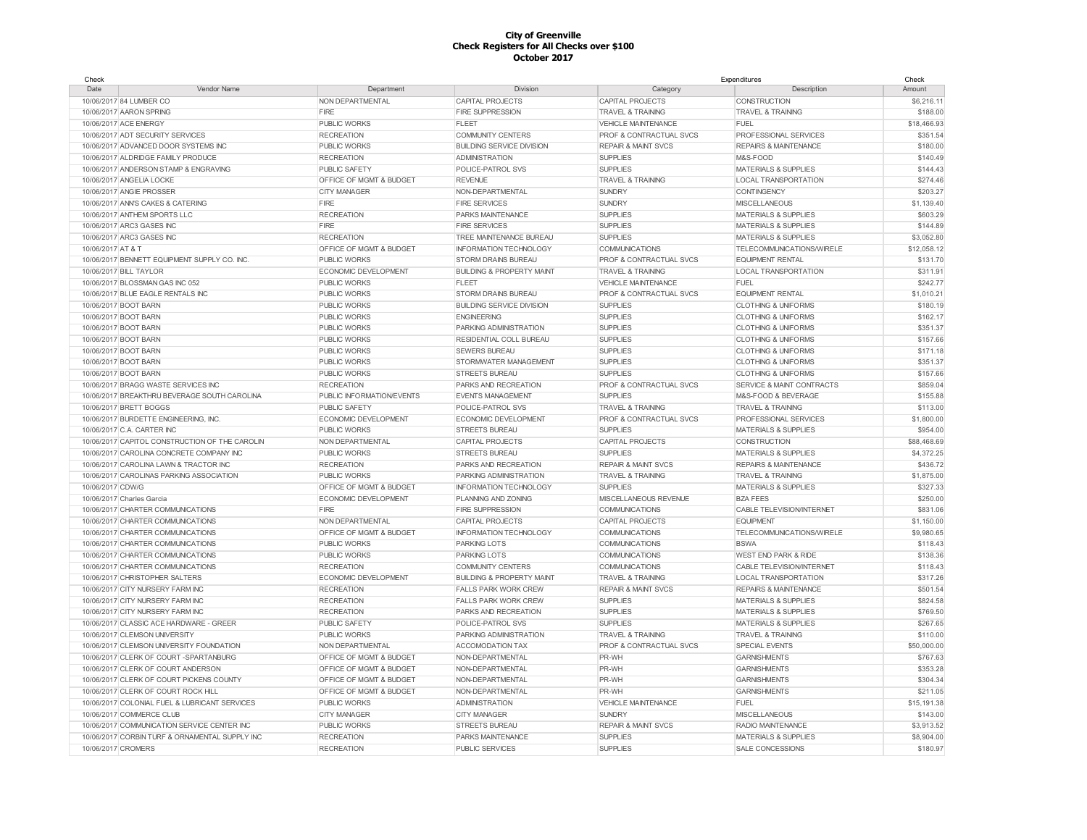| Check                                          |                                    |                                      |                                    | Expenditures                         | Check       |
|------------------------------------------------|------------------------------------|--------------------------------------|------------------------------------|--------------------------------------|-------------|
| Date<br>Vendor Name                            | Department                         | <b>Division</b>                      | Category                           | Description                          | Amount      |
| 10/06/2017 84 LUMBER CO                        | NON DEPARTMENTAL                   | <b>CAPITAL PROJECTS</b>              | <b>CAPITAL PROJECTS</b>            | CONSTRUCTION                         | \$6,216.11  |
| 10/06/2017 AARON SPRING                        | FIRE                               | <b>FIRE SUPPRESSION</b>              | <b>TRAVEL &amp; TRAINING</b>       | <b>TRAVEL &amp; TRAINING</b>         | \$188.00    |
| 10/06/2017 ACE ENERGY                          | <b>PUBLIC WORKS</b>                | <b>FLEET</b>                         | <b>VEHICLE MAINTENANCE</b>         | <b>FUEL</b>                          | \$18,466.93 |
| 10/06/2017 ADT SECURITY SERVICES               | <b>RECREATION</b>                  | <b>COMMUNITY CENTERS</b>             | <b>PROF &amp; CONTRACTUAL SVCS</b> | PROFESSIONAL SERVICES                | \$351.54    |
| 10/06/2017 ADVANCED DOOR SYSTEMS INC           | <b>PUBLIC WORKS</b>                | <b>BUILDING SERVICE DIVISION</b>     | <b>REPAIR &amp; MAINT SVCS</b>     | <b>REPAIRS &amp; MAINTENANCE</b>     | \$180.00    |
| 10/06/2017 ALDRIDGE FAMILY PRODUCE             | <b>RECREATION</b>                  | <b>ADMINISTRATION</b>                | <b>SUPPLIES</b>                    | M&S-FOOD                             | \$140.49    |
| 10/06/2017 ANDERSON STAMP & ENGRAVING          | <b>PUBLIC SAFETY</b>               | POLICE-PATROL SVS                    | <b>SUPPLIES</b>                    | <b>MATERIALS &amp; SUPPLIES</b>      | \$144.43    |
| 10/06/2017 ANGELIA LOCKE                       | <b>OFFICE OF MGMT &amp; BUDGET</b> | <b>REVENUE</b>                       | <b>TRAVEL &amp; TRAINING</b>       | <b>LOCAL TRANSPORTATION</b>          | \$274.46    |
| 10/06/2017 ANGIE PROSSER                       | <b>CITY MANAGER</b>                | NON-DEPARTMENTAL                     | SUNDRY                             | CONTINGENCY                          | \$203.27    |
| 10/06/2017 ANN'S CAKES & CATERING              | FIRE                               | <b>FIRE SERVICES</b>                 | <b>SUNDRY</b>                      | <b>MISCELLANEOUS</b>                 | \$1,139.40  |
| 10/06/2017 ANTHEM SPORTS LLC                   | <b>RECREATION</b>                  | PARKS MAINTENANCE                    | <b>SUPPLIES</b>                    | <b>MATERIALS &amp; SUPPLIES</b>      | \$603.29    |
| 10/06/2017 ARC3 GASES INC                      | FIRE                               | <b>FIRE SERVICES</b>                 | <b>SUPPLIES</b>                    | <b>MATERIALS &amp; SUPPLIES</b>      | \$144.89    |
| 10/06/2017 ARC3 GASES INC                      | <b>RECREATION</b>                  | TREE MAINTENANCE BUREAU              | <b>SUPPLIES</b>                    | <b>MATERIALS &amp; SUPPLIES</b>      | \$3,052.80  |
| 10/06/2017 AT & T                              | OFFICE OF MGMT & BUDGET            | INFORMATION TECHNOLOGY               | <b>COMMUNICATIONS</b>              | TELECOMMUNICATIONS/WIRELE            | \$12,058.12 |
| 10/06/2017 BENNETT EQUIPMENT SUPPLY CO. INC    | <b>PUBLIC WORKS</b>                | <b>STORM DRAINS BUREAU</b>           | PROF & CONTRACTUAL SVCS            | <b>EQUIPMENT RENTAL</b>              | \$131.70    |
| 10/06/2017 BILL TAYLOR                         | ECONOMIC DEVELOPMENT               | <b>BUILDING &amp; PROPERTY MAINT</b> | <b>TRAVEL &amp; TRAINING</b>       | <b>LOCAL TRANSPORTATION</b>          | \$311.91    |
| 10/06/2017 BLOSSMAN GAS INC 052                | <b>PUBLIC WORKS</b>                | <b>FLEET</b>                         | <b>VEHICLE MAINTENANCE</b>         | <b>FUEL</b>                          | \$242.77    |
|                                                |                                    |                                      |                                    |                                      |             |
| 10/06/2017 BLUE EAGLE RENTALS INC              | <b>PUBLIC WORKS</b>                | <b>STORM DRAINS BUREAU</b>           | <b>PROF &amp; CONTRACTUAL SVCS</b> | <b>EQUIPMENT RENTAL</b>              | \$1,010.21  |
| 10/06/2017 BOOT BARN                           | <b>PUBLIC WORKS</b>                | <b>BUILDING SERVICE DIVISION</b>     | <b>SUPPLIES</b>                    | <b>CLOTHING &amp; UNIFORMS</b>       | \$180.19    |
| 10/06/2017 BOOT BARN                           | <b>PUBLIC WORKS</b>                | <b>ENGINEERING</b>                   | <b>SUPPLIES</b>                    | <b>CLOTHING &amp; UNIFORMS</b>       | \$162.17    |
| 10/06/2017 BOOT BARN                           | <b>PUBLIC WORKS</b>                | PARKING ADMINISTRATION               | <b>SUPPLIES</b>                    | <b>CLOTHING &amp; UNIFORMS</b>       | \$351.37    |
| 10/06/2017 BOOT BARN                           | <b>PUBLIC WORKS</b>                | RESIDENTIAL COLL BUREAU              | <b>SUPPLIES</b>                    | <b>CLOTHING &amp; UNIFORMS</b>       | \$157.66    |
| 10/06/2017 BOOT BARN                           | <b>PUBLIC WORKS</b>                | <b>SEWERS BUREAU</b>                 | <b>SUPPLIES</b>                    | <b>CLOTHING &amp; UNIFORMS</b>       | \$171.18    |
| 10/06/2017 BOOT BARN                           | <b>PUBLIC WORKS</b>                | STORMWATER MANAGEMENT                | <b>SUPPLIES</b>                    | <b>CLOTHING &amp; UNIFORMS</b>       | \$351.37    |
| 10/06/2017 BOOT BARN                           | <b>PUBLIC WORKS</b>                | <b>STREETS BUREAU</b>                | <b>SUPPLIES</b>                    | <b>CLOTHING &amp; UNIFORMS</b>       | \$157.66    |
| 10/06/2017 BRAGG WASTE SERVICES INC            | <b>RECREATION</b>                  | PARKS AND RECREATION                 | PROF & CONTRACTUAL SVCS            | <b>SERVICE &amp; MAINT CONTRACTS</b> | \$859.04    |
| 10/06/2017 BREAKTHRU BEVERAGE SOUTH CAROLINA   | PUBLIC INFORMATION/EVENTS          | <b>EVENTS MANAGEMENT</b>             | <b>SUPPLIES</b>                    | M&S-FOOD & BEVERAGE                  | \$155.88    |
| 10/06/2017 BRETT BOGGS                         | PUBLIC SAFETY                      | POLICE-PATROL SVS                    | <b>TRAVEL &amp; TRAINING</b>       | <b>TRAVEL &amp; TRAINING</b>         | \$113.00    |
| 10/06/2017 BURDETTE ENGINEERING, INC.          | ECONOMIC DEVELOPMENT               | ECONOMIC DEVELOPMENT                 | PROF & CONTRACTUAL SVCS            | PROFESSIONAL SERVICES                | \$1,800.00  |
| 10/06/2017 C.A. CARTER INC                     | <b>PUBLIC WORKS</b>                | <b>STREETS BUREAU</b>                | <b>SUPPLIES</b>                    | <b>MATERIALS &amp; SUPPLIES</b>      | \$954.00    |
| 10/06/2017 CAPITOL CONSTRUCTION OF THE CAROLIN | NON DEPARTMENTAL                   | CAPITAL PROJECTS                     | CAPITAL PROJECTS                   | CONSTRUCTION                         | \$88,468.69 |
| 10/06/2017 CAROLINA CONCRETE COMPANY INC       | <b>PUBLIC WORKS</b>                | <b>STREETS BUREAU</b>                | <b>SUPPLIES</b>                    | <b>MATERIALS &amp; SUPPLIES</b>      | \$4,372.25  |
| 10/06/2017 CAROLINA LAWN & TRACTOR INC         | <b>RECREATION</b>                  | PARKS AND RECREATION                 | <b>REPAIR &amp; MAINT SVCS</b>     | <b>REPAIRS &amp; MAINTENANCE</b>     | \$436.72    |
| 10/06/2017 CAROLINAS PARKING ASSOCIATION       | <b>PUBLIC WORKS</b>                | PARKING ADMINISTRATION               | <b>TRAVEL &amp; TRAINING</b>       | <b>TRAVEL &amp; TRAINING</b>         | \$1,875.00  |
| 10/06/2017 CDW/G                               | OFFICE OF MGMT & BUDGET            | <b>INFORMATION TECHNOLOGY</b>        | <b>SUPPLIES</b>                    | MATERIALS & SUPPLIES                 | \$327.33    |
| 10/06/2017 Charles Garcia                      | ECONOMIC DEVELOPMENT               | PLANNING AND ZONING                  | MISCELLANEOUS REVENUE              | <b>BZA FEES</b>                      | \$250.00    |
| 10/06/2017 CHARTER COMMUNICATIONS              | FIRE                               | <b>FIRE SUPPRESSION</b>              | <b>COMMUNICATIONS</b>              | CABLE TELEVISION/INTERNET            | \$831.06    |
| 10/06/2017 CHARTER COMMUNICATIONS              | NON DEPARTMENTAL                   | <b>CAPITAL PROJECTS</b>              | CAPITAL PROJECTS                   | <b>EQUIPMENT</b>                     | \$1,150.00  |
| 10/06/2017 CHARTER COMMUNICATIONS              | <b>OFFICE OF MGMT &amp; BUDGET</b> | INFORMATION TECHNOLOGY               | <b>COMMUNICATIONS</b>              | TELECOMMUNICATIONS/WIRELE            | \$9,980.65  |
| 10/06/2017 CHARTER COMMUNICATIONS              | <b>PUBLIC WORKS</b>                | <b>PARKING LOTS</b>                  | <b>COMMUNICATIONS</b>              | <b>BSWA</b>                          | \$118.43    |
| 10/06/2017 CHARTER COMMUNICATIONS              | <b>PUBLIC WORKS</b>                | <b>PARKING LOTS</b>                  | <b>COMMUNICATIONS</b>              | WEST END PARK & RIDE                 | \$138.36    |
| 10/06/2017 CHARTER COMMUNICATIONS              | <b>RECREATION</b>                  | <b>COMMUNITY CENTERS</b>             | <b>COMMUNICATIONS</b>              | CABLE TELEVISION/INTERNET            | \$118.43    |
| 10/06/2017 CHRISTOPHER SALTERS                 | ECONOMIC DEVELOPMENT               | <b>BUILDING &amp; PROPERTY MAINT</b> | <b>TRAVEL &amp; TRAINING</b>       | <b>LOCAL TRANSPORTATION</b>          | \$317.26    |
| 10/06/2017 CITY NURSERY FARM INC               | <b>RECREATION</b>                  | <b>FALLS PARK WORK CREW</b>          | <b>REPAIR &amp; MAINT SVCS</b>     | <b>REPAIRS &amp; MAINTENANCE</b>     | \$501.54    |
| 10/06/2017 CITY NURSERY FARM INC               | <b>RECREATION</b>                  | <b>FALLS PARK WORK CREW</b>          | <b>SUPPLIES</b>                    | <b>MATERIALS &amp; SUPPLIES</b>      | \$824.58    |
| 10/06/2017 CITY NURSERY FARM INC               | <b>RECREATION</b>                  | PARKS AND RECREATION                 | <b>SUPPLIES</b>                    | <b>MATERIALS &amp; SUPPLIES</b>      | \$769.50    |
| 10/06/2017 CLASSIC ACE HARDWARE - GREER        | PUBLIC SAFETY                      | POLICE-PATROL SVS                    | <b>SUPPLIES</b>                    | <b>MATERIALS &amp; SUPPLIES</b>      | \$267.65    |
| 10/06/2017 CLEMSON UNIVERSITY                  | <b>PUBLIC WORKS</b>                | PARKING ADMINISTRATION               | <b>TRAVEL &amp; TRAINING</b>       | <b>TRAVEL &amp; TRAINING</b>         | \$110.00    |
| 10/06/2017 CLEMSON UNIVERSITY FOUNDATION       | NON DEPARTMENTAL                   | <b>ACCOMODATION TAX</b>              | PROF & CONTRACTUAL SVCS            | <b>SPECIAL EVENTS</b>                | \$50,000.00 |
| 10/06/2017 CLERK OF COURT-SPARTANBURG          | OFFICE OF MGMT & BUDGET            | NON-DEPARTMENTAL                     | PR-WH                              | <b>GARNISHMENTS</b>                  | \$767.63    |
| 10/06/2017 CLERK OF COURT ANDERSON             | OFFICE OF MGMT & BUDGET            | NON-DEPARTMENTAL                     | PR-WH                              | <b>GARNISHMENTS</b>                  | \$353.28    |
| 10/06/2017 CLERK OF COURT PICKENS COUNTY       | OFFICE OF MGMT & BUDGET            | NON-DEPARTMENTAL                     | PR-WH                              | <b>GARNISHMENTS</b>                  | \$304.34    |
| 10/06/2017 CLERK OF COURT ROCK HILL            | <b>OFFICE OF MGMT &amp; BUDGET</b> | NON-DEPARTMENTAL                     | PR-WH                              | <b>GARNISHMENTS</b>                  | \$211.05    |
| 10/06/2017 COLONIAL FUEL & LUBRICANT SERVICES  | <b>PUBLIC WORKS</b>                | <b>ADMINISTRATION</b>                | <b>VEHICLE MAINTENANCE</b>         | <b>FUEL</b>                          | \$15,191.38 |
|                                                |                                    |                                      |                                    |                                      |             |
| 10/06/2017 COMMERCE CLUB                       | <b>CITY MANAGER</b>                | <b>CITY MANAGER</b>                  | <b>SUNDRY</b>                      | <b>MISCELLANEOUS</b>                 | \$143.00    |
| 10/06/2017 COMMUNICATION SERVICE CENTER INC    | <b>PUBLIC WORKS</b>                | <b>STREETS BUREAU</b>                | <b>REPAIR &amp; MAINT SVCS</b>     | RADIO MAINTENANCE                    | \$3,913.52  |
| 10/06/2017 CORBIN TURF & ORNAMENTAL SUPPLY INC | <b>RECREATION</b>                  | PARKS MAINTENANCE                    | <b>SUPPLIES</b>                    | <b>MATERIALS &amp; SUPPLIES</b>      | \$8,904.00  |
| 10/06/2017 CROMERS                             | <b>RECREATION</b>                  | <b>PUBLIC SERVICES</b>               | <b>SUPPLIES</b>                    | SALE CONCESSIONS                     | \$180.97    |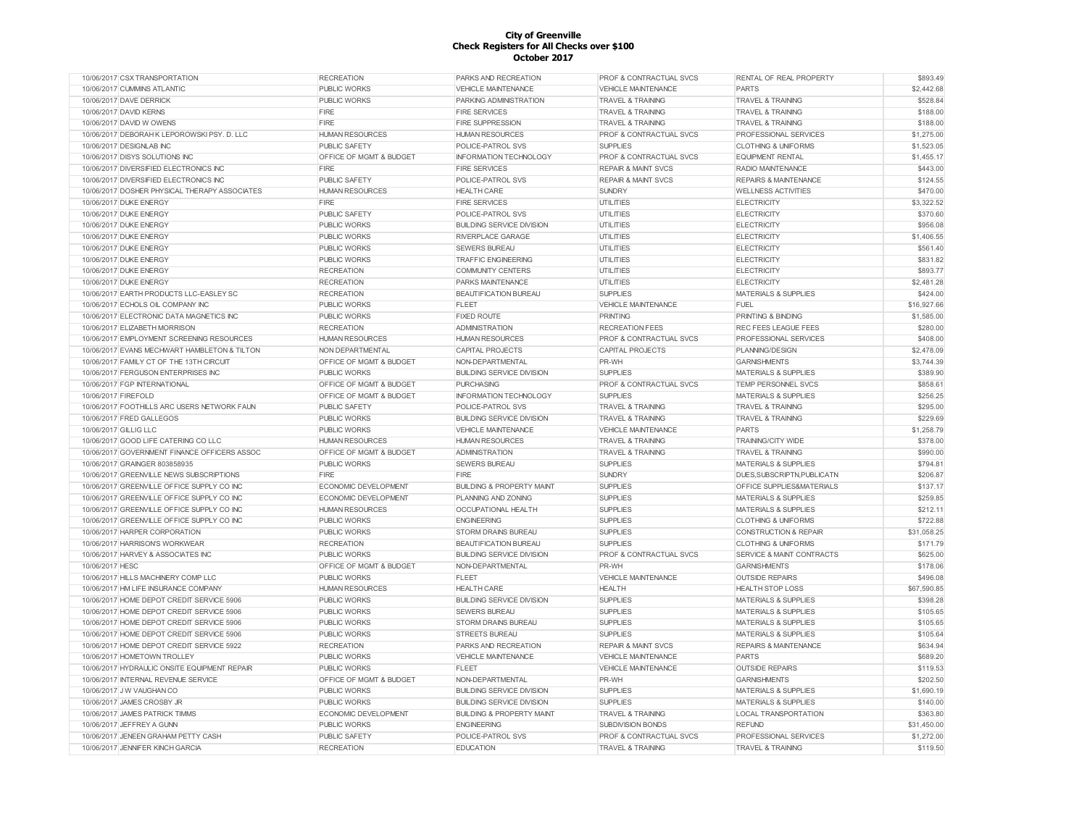| 10/06/2017 CSX TRANSPORTATION                 | <b>RECREATION</b>                  | PARKS AND RECREATION                 | PROF & CONTRACTUAL SVCS            | RENTAL OF REAL PROPERTY          | \$893.49    |
|-----------------------------------------------|------------------------------------|--------------------------------------|------------------------------------|----------------------------------|-------------|
| 10/06/2017 CUMMINS ATLANTIC                   | <b>PUBLIC WORKS</b>                | <b>VEHICLE MAINTENANCE</b>           | <b>VEHICLE MAINTENANCE</b>         | <b>PARTS</b>                     | \$2,442.68  |
| 10/06/2017 DAVE DERRICK                       | <b>PUBLIC WORKS</b>                | PARKING ADMINISTRATION               | <b>TRAVEL &amp; TRAINING</b>       | <b>TRAVEL &amp; TRAINING</b>     | \$528.84    |
| 10/06/2017 DAVID KERNS                        | FIRE                               | <b>FIRE SERVICES</b>                 | <b>TRAVEL &amp; TRAINING</b>       | <b>TRAVEL &amp; TRAINING</b>     | \$188.00    |
| 10/06/2017 DAVID W OWENS                      | FIRE                               | <b>FIRE SUPPRESSION</b>              | <b>TRAVEL &amp; TRAINING</b>       | <b>TRAVEL &amp; TRAINING</b>     | \$188.00    |
| 10/06/2017 DEBORAH K LEPOROWSKI PSY. D. LLC   | <b>HUMAN RESOURCES</b>             | <b>HUMAN RESOURCES</b>               | <b>PROF &amp; CONTRACTUAL SVCS</b> | PROFESSIONAL SERVICES            | \$1,275.00  |
| 10/06/2017 DESIGNLAB INC                      | <b>PUBLIC SAFETY</b>               | POLICE-PATROL SVS                    | <b>SUPPLIES</b>                    | <b>CLOTHING &amp; UNIFORMS</b>   | \$1,523.05  |
| 10/06/2017 DISYS SOLUTIONS INC                | OFFICE OF MGMT & BUDGET            | <b>INFORMATION TECHNOLOGY</b>        | <b>PROF &amp; CONTRACTUAL SVCS</b> | <b>EQUIPMENT RENTAL</b>          | \$1,455.17  |
| 10/06/2017 DIVERSIFIED ELECTRONICS INC        | <b>FIRE</b>                        | <b>FIRE SERVICES</b>                 | <b>REPAIR &amp; MAINT SVCS</b>     | RADIO MAINTENANCE                | \$443.00    |
| 10/06/2017 DIVERSIFIED ELECTRONICS INC        | <b>PUBLIC SAFETY</b>               | POLICE-PATROL SVS                    | <b>REPAIR &amp; MAINT SVCS</b>     | <b>REPAIRS &amp; MAINTENANCE</b> | \$124.55    |
| 10/06/2017 DOSHER PHYSICAL THERAPY ASSOCIATES | <b>HUMAN RESOURCES</b>             | <b>HEALTH CARE</b>                   | <b>SUNDRY</b>                      | <b>WELLNESS ACTIVITIES</b>       | \$470.00    |
| 10/06/2017 DUKE ENERGY                        | FIRE                               | <b>FIRE SERVICES</b>                 | <b>UTILITIES</b>                   | <b>ELECTRICITY</b>               | \$3,322.52  |
| 10/06/2017 DUKE ENERGY                        | <b>PUBLIC SAFETY</b>               | POLICE-PATROL SVS                    | <b>UTILITIES</b>                   | <b>ELECTRICITY</b>               | \$370.60    |
| 10/06/2017 DUKE ENERGY                        | <b>PUBLIC WORKS</b>                | <b>BUILDING SERVICE DIVISION</b>     | UTILITIES                          | <b>ELECTRICITY</b>               | \$956.08    |
| 10/06/2017 DUKE ENERGY                        | PUBLIC WORKS                       | RIVERPLACE GARAGE                    | <b>UTILITIES</b>                   | <b>ELECTRICITY</b>               | \$1,406.55  |
| 10/06/2017 DUKE ENERGY                        | <b>PUBLIC WORKS</b>                | <b>SEWERS BUREAU</b>                 | UTILITIES                          | <b>ELECTRICITY</b>               | \$561.40    |
| 10/06/2017 DUKE ENERGY                        | PUBLIC WORKS                       | <b>TRAFFIC ENGINEERING</b>           | <b>UTILITIES</b>                   | <b>ELECTRICITY</b>               | \$831.82    |
| 10/06/2017 DUKE ENERGY                        | <b>RECREATION</b>                  | <b>COMMUNITY CENTERS</b>             | UTILITIES                          | <b>ELECTRICITY</b>               | \$893.77    |
| 10/06/2017 DUKE ENERGY                        | <b>RECREATION</b>                  | PARKS MAINTENANCE                    | <b>UTILITIES</b>                   | <b>ELECTRICITY</b>               | \$2,481.28  |
| 10/06/2017 EARTH PRODUCTS LLC-EASLEY SC       | <b>RECREATION</b>                  | <b>BEAUTIFICATION BUREAU</b>         | <b>SUPPLIES</b>                    | MATERIALS & SUPPLIES             | \$424.00    |
| 10/06/2017 ECHOLS OIL COMPANY INC             | PUBLIC WORKS                       | <b>FLEET</b>                         | VEHICLE MAINTENANCE                | <b>FUEL</b>                      | \$16,927.66 |
| 10/06/2017 ELECTRONIC DATA MAGNETICS INC      | <b>PUBLIC WORKS</b>                | <b>FIXED ROUTE</b>                   | PRINTING                           | PRINTING & BINDING               | \$1,585.00  |
| 10/06/2017 ELIZABETH MORRISON                 | <b>RECREATION</b>                  | <b>ADMINISTRATION</b>                | <b>RECREATION FEES</b>             | <b>REC FEES LEAGUE FEES</b>      | \$280.00    |
| 10/06/2017 EMPLOYMENT SCREENING RESOURCES     | <b>HUMAN RESOURCES</b>             | <b>HUMAN RESOURCES</b>               | PROF & CONTRACTUAL SVCS            | PROFESSIONAL SERVICES            | \$408.00    |
| 10/06/2017 EVANS MECHWART HAMBLETON & TILTON  | NON DEPARTMENTAL                   |                                      |                                    |                                  |             |
|                                               |                                    | CAPITAL PROJECTS                     | <b>CAPITAL PROJECTS</b>            | PLANNING/DESIGN                  | \$2,478.09  |
| 10/06/2017 FAMILY CT OF THE 13TH CIRCUIT      | <b>OFFICE OF MGMT &amp; BUDGET</b> | NON-DEPARTMENTAL                     | PR-WH                              | <b>GARNISHMENTS</b>              | \$3,744.39  |
| 10/06/2017 FERGUSON ENTERPRISES INC           | <b>PUBLIC WORKS</b>                | <b>BUILDING SERVICE DIVISION</b>     | <b>SUPPLIES</b>                    | <b>MATERIALS &amp; SUPPLIES</b>  | \$389.90    |
| 10/06/2017 FGP INTERNATIONAL                  | OFFICE OF MGMT & BUDGET            | <b>PURCHASING</b>                    | PROF & CONTRACTUAL SVCS            | TEMP PERSONNEL SVCS              | \$858.61    |
| 10/06/2017 FIREFOLD                           | OFFICE OF MGMT & BUDGET            | <b>INFORMATION TECHNOLOGY</b>        | <b>SUPPLIES</b>                    | <b>MATERIALS &amp; SUPPLIES</b>  | \$256.25    |
| 10/06/2017 FOOTHILLS ARC USERS NETWORK FAUN   | <b>PUBLIC SAFETY</b>               | POLICE-PATROL SVS                    | <b>TRAVEL &amp; TRAINING</b>       | <b>TRAVEL &amp; TRAINING</b>     | \$295.00    |
| 10/06/2017 FRED GALLEGOS                      | <b>PUBLIC WORKS</b>                | <b>BUILDING SERVICE DIVISION</b>     | <b>TRAVEL &amp; TRAINING</b>       | <b>TRAVEL &amp; TRAINING</b>     | \$229.69    |
| 10/06/2017 GILLIG LLC                         | <b>PUBLIC WORKS</b>                | <b>VEHICLE MAINTENANCE</b>           | <b>VEHICLE MAINTENANCE</b>         | <b>PARTS</b>                     | \$1,258.79  |
| 10/06/2017 GOOD LIFE CATERING CO LLC          | <b>HUMAN RESOURCES</b>             | <b>HUMAN RESOURCES</b>               | <b>TRAVEL &amp; TRAINING</b>       | <b>TRAINING/CITY WIDE</b>        | \$378.00    |
| 10/06/2017 GOVERNMENT FINANCE OFFICERS ASSOC  | OFFICE OF MGMT & BUDGET            | <b>ADMINISTRATION</b>                | <b>TRAVEL &amp; TRAINING</b>       | <b>TRAVEL &amp; TRAINING</b>     | \$990.00    |
| 10/06/2017 GRAINGER 803858935                 | <b>PUBLIC WORKS</b>                | <b>SEWERS BUREAU</b>                 | <b>SUPPLIES</b>                    | <b>MATERIALS &amp; SUPPLIES</b>  | \$794.81    |
| 10/06/2017 GREENVILLE NEWS SUBSCRIPTIONS      | <b>FIRE</b>                        | FIRE                                 | <b>SUNDRY</b>                      | DUES, SUBSCRIPTN, PUBLICATN      | \$206.87    |
| 10/06/2017 GREENVILLE OFFICE SUPPLY CO INC    | ECONOMIC DEVELOPMENT               | <b>BUILDING &amp; PROPERTY MAINT</b> | <b>SUPPLIES</b>                    | OFFICE SUPPLIES&MATERIALS        | \$137.17    |
| 10/06/2017 GREENVILLE OFFICE SUPPLY CO INC    | ECONOMIC DEVELOPMENT               | PLANNING AND ZONING                  | <b>SUPPLIES</b>                    | <b>MATERIALS &amp; SUPPLIES</b>  | \$259.85    |
| 10/06/2017 GREENVILLE OFFICE SUPPLY CO INC    | <b>HUMAN RESOURCES</b>             | <b>OCCUPATIONAL HEALTH</b>           | <b>SUPPLIES</b>                    | <b>MATERIALS &amp; SUPPLIES</b>  | \$212.11    |
| 10/06/2017 GREENVILLE OFFICE SUPPLY CO INC    | <b>PUBLIC WORKS</b>                | <b>ENGINEERING</b>                   | <b>SUPPLIES</b>                    | <b>CLOTHING &amp; UNIFORMS</b>   | \$722.88    |
| 10/06/2017 HARPER CORPORATION                 | PUBLIC WORKS                       | STORM DRAINS BUREAU                  | <b>SUPPLIES</b>                    | CONSTRUCTION & REPAIR            | \$31,058.25 |
| 10/06/2017 HARRISON'S WORKWEAR                | <b>RECREATION</b>                  | <b>BEAUTIFICATION BUREAU</b>         | <b>SUPPLIES</b>                    | <b>CLOTHING &amp; UNIFORMS</b>   | \$171.79    |
| 10/06/2017 HARVEY & ASSOCIATES INC            | PUBLIC WORKS                       | <b>BUILDING SERVICE DIVISION</b>     | <b>PROF &amp; CONTRACTUAL SVCS</b> | SERVICE & MAINT CONTRACTS        | \$625.00    |
| 10/06/2017 HESC                               | OFFICE OF MGMT & BUDGET            | NON-DEPARTMENTAL                     | PR-WH                              | <b>GARNISHMENTS</b>              | \$178.06    |
| 10/06/2017 HILLS MACHINERY COMP LLC           | <b>PUBLIC WORKS</b>                | <b>FLEET</b>                         | <b>VEHICLE MAINTENANCE</b>         | <b>OUTSIDE REPAIRS</b>           | \$496.08    |
| 10/06/2017 HM LIFE INSURANCE COMPANY          | <b>HUMAN RESOURCES</b>             | <b>HEALTH CARE</b>                   | <b>HEALTH</b>                      | <b>HEALTH STOP LOSS</b>          | \$67,590.85 |
| 10/06/2017 HOME DEPOT CREDIT SERVICE 5906     | <b>PUBLIC WORKS</b>                | <b>BUILDING SERVICE DIVISION</b>     | <b>SUPPLIES</b>                    | <b>MATERIALS &amp; SUPPLIES</b>  | \$398.28    |
| 10/06/2017 HOME DEPOT CREDIT SERVICE 5906     | <b>PUBLIC WORKS</b>                | <b>SEWERS BUREAU</b>                 | <b>SUPPLIES</b>                    | <b>MATERIALS &amp; SUPPLIES</b>  | \$105.65    |
| 10/06/2017 HOME DEPOT CREDIT SERVICE 5906     | PUBLIC WORKS                       | STORM DRAINS BUREAU                  | <b>SUPPLIES</b>                    | <b>MATERIALS &amp; SUPPLIES</b>  | \$105.65    |
| 10/06/2017 HOME DEPOT CREDIT SERVICE 5906     | <b>PUBLIC WORKS</b>                | <b>STREETS BUREAU</b>                | <b>SUPPLIES</b>                    | <b>MATERIALS &amp; SUPPLIES</b>  | \$105.64    |
| 10/06/2017 HOME DEPOT CREDIT SERVICE 5922     | <b>RECREATION</b>                  | PARKS AND RECREATION                 | <b>REPAIR &amp; MAINT SVCS</b>     | <b>REPAIRS &amp; MAINTENANCE</b> | \$634.94    |
| 10/06/2017 HOMETOWN TROLLEY                   | <b>PUBLIC WORKS</b>                | VEHICLE MAINTENANCE                  | <b>VEHICLE MAINTENANCE</b>         | PARTS                            | \$689.20    |
| 10/06/2017 HYDRAULIC ONSITE EQUIPMENT REPAIR  | PUBLIC WORKS                       | <b>FLEET</b>                         | <b>VEHICLE MAINTENANCE</b>         | <b>OUTSIDE REPAIRS</b>           | \$119.53    |
| 10/06/2017 INTERNAL REVENUE SERVICE           | <b>OFFICE OF MGMT &amp; BUDGET</b> | NON-DEPARTMENTAL                     | PR-WH                              | <b>GARNISHMENTS</b>              | \$202.50    |
| 10/06/2017 J W VAUGHAN CO                     | <b>PUBLIC WORKS</b>                | <b>BUILDING SERVICE DIVISION</b>     | <b>SUPPLIES</b>                    | MATERIALS & SUPPLIES             | \$1,690.19  |
| 10/06/2017 JAMES CROSBY JR                    | <b>PUBLIC WORKS</b>                | <b>BUILDING SERVICE DIVISION</b>     | <b>SUPPLIES</b>                    | <b>MATERIALS &amp; SUPPLIES</b>  | \$140.00    |
| 10/06/2017 JAMES PATRICK TIMMS                | ECONOMIC DEVELOPMENT               | <b>BUILDING &amp; PROPERTY MAINT</b> | <b>TRAVEL &amp; TRAINING</b>       | <b>LOCAL TRANSPORTATION</b>      | \$363.80    |
| 10/06/2017 JEFFREY A GUNN                     | PUBLIC WORKS                       | <b>ENGINEERING</b>                   | SUBDIVISION BONDS                  | <b>REFUND</b>                    | \$31,450.00 |
| 10/06/2017 JENEEN GRAHAM PETTY CASH           | PUBLIC SAFETY                      | POLICE-PATROL SVS                    | PROF & CONTRACTUAL SVCS            | PROFESSIONAL SERVICES            | \$1,272.00  |
| 10/06/2017 JENNIFER KINCH GARCIA              | <b>RECREATION</b>                  | <b>EDUCATION</b>                     | <b>TRAVEL &amp; TRAINING</b>       | <b>TRAVEL &amp; TRAINING</b>     | \$119.50    |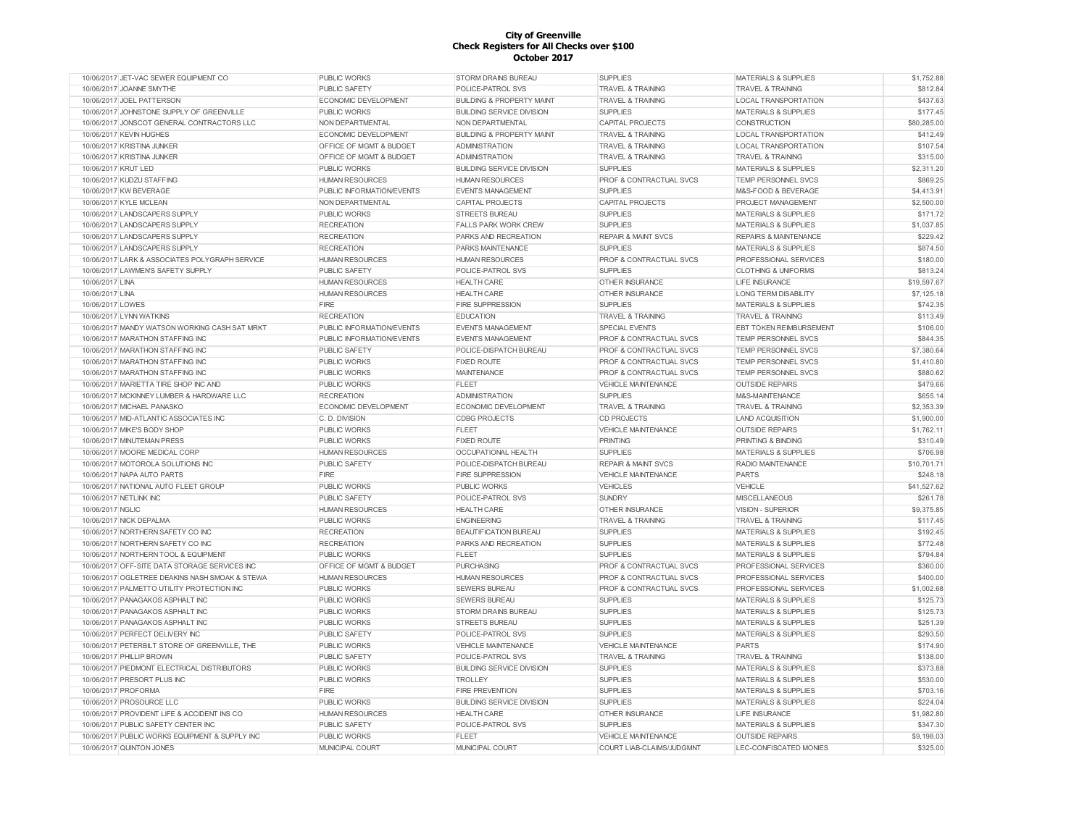| 10/06/2017 JET-VAC SEWER EQUIPMENT CO          | <b>PUBLIC WORKS</b>       | STORM DRAINS BUREAU                  | <b>SUPPLIES</b>                    | <b>MATERIALS &amp; SUPPLIES</b>  | \$1,752.88  |
|------------------------------------------------|---------------------------|--------------------------------------|------------------------------------|----------------------------------|-------------|
| 10/06/2017 JOANNE SMYTHE                       | PUBLIC SAFETY             | POLICE-PATROL SVS                    | <b>TRAVEL &amp; TRAINING</b>       | <b>TRAVEL &amp; TRAINING</b>     | \$812.84    |
| 10/06/2017 JOEL PATTERSON                      | ECONOMIC DEVELOPMENT      | <b>BUILDING &amp; PROPERTY MAINT</b> | <b>TRAVEL &amp; TRAINING</b>       | <b>LOCAL TRANSPORTATION</b>      | \$437.63    |
| 10/06/2017 JOHNSTONE SUPPLY OF GREENVILLE      | <b>PUBLIC WORKS</b>       | <b>BUILDING SERVICE DIVISION</b>     | <b>SUPPLIES</b>                    | <b>MATERIALS &amp; SUPPLIES</b>  | \$177.45    |
| 10/06/2017 JONSCOT GENERAL CONTRACTORS LLC     | NON DEPARTMENTAL          | NON DEPARTMENTAL                     | <b>CAPITAL PROJECTS</b>            | <b>CONSTRUCTION</b>              | \$80,285.00 |
| 10/06/2017 KEVIN HUGHES                        | ECONOMIC DEVELOPMENT      | <b>BUILDING &amp; PROPERTY MAINT</b> | <b>TRAVEL &amp; TRAINING</b>       | LOCAL TRANSPORTATION             | \$412.49    |
| 10/06/2017 KRISTINA JUNKER                     | OFFICE OF MGMT & BUDGET   | <b>ADMINISTRATION</b>                | <b>TRAVEL &amp; TRAINING</b>       | LOCAL TRANSPORTATION             | \$107.54    |
| 10/06/2017 KRISTINA JUNKER                     | OFFICE OF MGMT & BUDGET   | <b>ADMINISTRATION</b>                | <b>TRAVEL &amp; TRAINING</b>       | <b>TRAVEL &amp; TRAINING</b>     | \$315.00    |
| 10/06/2017 KRUT LED                            | <b>PUBLIC WORKS</b>       | <b>BUILDING SERVICE DIVISION</b>     | <b>SUPPLIES</b>                    | <b>MATERIALS &amp; SUPPLIES</b>  | \$2,311.20  |
| 10/06/2017 KUDZU STAFFING                      | <b>HUMAN RESOURCES</b>    | <b>HUMAN RESOURCES</b>               | PROF & CONTRACTUAL SVCS            | <b>TEMP PERSONNEL SVCS</b>       | \$869.25    |
| 10/06/2017 KW BEVERAGE                         | PUBLIC INFORMATION/EVENTS | <b>EVENTS MANAGEMENT</b>             | <b>SUPPLIES</b>                    | M&S-FOOD & BEVERAGE              | \$4,413.91  |
| 10/06/2017 KYLE MCLEAN                         | NON DEPARTMENTAL          | <b>CAPITAL PROJECTS</b>              | <b>CAPITAL PROJECTS</b>            | PROJECT MANAGEMENT               | \$2,500.00  |
| 10/06/2017 LANDSCAPERS SUPPLY                  | <b>PUBLIC WORKS</b>       | <b>STREETS BUREAU</b>                | <b>SUPPLIES</b>                    | <b>MATERIALS &amp; SUPPLIES</b>  | \$171.72    |
| 10/06/2017 LANDSCAPERS SUPPLY                  | <b>RECREATION</b>         | <b>FALLS PARK WORK CREW</b>          | <b>SUPPLIES</b>                    | <b>MATERIALS &amp; SUPPLIES</b>  | \$1,037.85  |
| 10/06/2017 LANDSCAPERS SUPPLY                  | <b>RECREATION</b>         | PARKS AND RECREATION                 | <b>REPAIR &amp; MAINT SVCS</b>     | <b>REPAIRS &amp; MAINTENANCE</b> | \$229.42    |
| 10/06/2017 LANDSCAPERS SUPPLY                  | <b>RECREATION</b>         | <b>PARKS MAINTENANCE</b>             | <b>SUPPLIES</b>                    | <b>MATERIALS &amp; SUPPLIES</b>  | \$874.50    |
| 10/06/2017 LARK & ASSOCIATES POLYGRAPH SERVICE | <b>HUMAN RESOURCES</b>    | <b>HUMAN RESOURCES</b>               | <b>PROF &amp; CONTRACTUAL SVCS</b> | PROFESSIONAL SERVICES            | \$180.00    |
| 10/06/2017 LAWMEN'S SAFETY SUPPLY              | <b>PUBLIC SAFETY</b>      | POLICE-PATROL SVS                    | <b>SUPPLIES</b>                    | <b>CLOTHING &amp; UNIFORMS</b>   | \$813.24    |
| 10/06/2017 LINA                                | <b>HUMAN RESOURCES</b>    | <b>HEALTH CARE</b>                   | <b>OTHER INSURANCE</b>             | LIFE INSURANCE                   | \$19,597.67 |
| 10/06/2017 LINA                                | <b>HUMAN RESOURCES</b>    | <b>HEALTH CARE</b>                   | <b>OTHER INSURANCE</b>             | <b>LONG TERM DISABILITY</b>      | \$7,125.18  |
| 10/06/2017 LOWES                               | FIRE                      | <b>FIRE SUPPRESSION</b>              | <b>SUPPLIES</b>                    | <b>MATERIALS &amp; SUPPLIES</b>  | \$742.35    |
|                                                |                           |                                      |                                    |                                  |             |
| 10/06/2017 LYNN WATKINS                        | <b>RECREATION</b>         | <b>EDUCATION</b>                     | <b>TRAVEL &amp; TRAINING</b>       | <b>TRAVEL &amp; TRAINING</b>     | \$113.49    |
| 10/06/2017 MANDY WATSON WORKING CASH SAT MRKT  | PUBLIC INFORMATION/EVENTS | <b>EVENTS MANAGEMENT</b>             | <b>SPECIAL EVENTS</b>              | <b>EBT TOKEN REIMBURSEMENT</b>   | \$106.00    |
| 10/06/2017 MARATHON STAFFING INC               | PUBLIC INFORMATION/EVENTS | <b>EVENTS MANAGEMENT</b>             | PROF & CONTRACTUAL SVCS            | TEMP PERSONNEL SVCS              | \$844.35    |
| 10/06/2017 MARATHON STAFFING INC               | <b>PUBLIC SAFETY</b>      | POLICE-DISPATCH BUREAU               | PROF & CONTRACTUAL SVCS            | TEMP PERSONNEL SVCS              | \$7,380.64  |
| 10/06/2017 MARATHON STAFFING INC               | <b>PUBLIC WORKS</b>       | <b>FIXED ROUTE</b>                   | PROF & CONTRACTUAL SVCS            | TEMP PERSONNEL SVCS              | \$1,410.80  |
| 10/06/2017 MARATHON STAFFING INC               | <b>PUBLIC WORKS</b>       | <b>MAINTENANCE</b>                   | <b>PROF &amp; CONTRACTUAL SVCS</b> | TEMP PERSONNEL SVCS              | \$880.62    |
| 10/06/2017 MARIETTA TIRE SHOP INC AND          | <b>PUBLIC WORKS</b>       | <b>FLEET</b>                         | <b>VEHICLE MAINTENANCE</b>         | <b>OUTSIDE REPAIRS</b>           | \$479.66    |
| 10/06/2017 MCKINNEY LUMBER & HARDWARE LLC      | <b>RECREATION</b>         | <b>ADMINISTRATION</b>                | <b>SUPPLIES</b>                    | M&S-MAINTENANCE                  | \$655.14    |
| 10/06/2017 MICHAEL PANASKO                     | ECONOMIC DEVELOPMENT      | ECONOMIC DEVELOPMENT                 | <b>TRAVEL &amp; TRAINING</b>       | <b>TRAVEL &amp; TRAINING</b>     | \$2,353.39  |
| 10/06/2017 MID-ATLANTIC ASSOCIATES INC         | C. D. DIVISION            | <b>CDBG PROJECTS</b>                 | <b>CD PROJECTS</b>                 | <b>LAND ACQUISITION</b>          | \$1,900.00  |
| 10/06/2017 MIKE'S BODY SHOP                    | <b>PUBLIC WORKS</b>       | <b>FLEET</b>                         | <b>VEHICLE MAINTENANCE</b>         | <b>OUTSIDE REPAIRS</b>           | \$1,762.11  |
| 10/06/2017 MINUTEMAN PRESS                     | <b>PUBLIC WORKS</b>       | <b>FIXED ROUTE</b>                   | <b>PRINTING</b>                    | <b>PRINTING &amp; BINDING</b>    | \$310.49    |
| 10/06/2017 MOORE MEDICAL CORP                  | <b>HUMAN RESOURCES</b>    | <b>OCCUPATIONAL HEALTH</b>           | <b>SUPPLIES</b>                    | <b>MATERIALS &amp; SUPPLIES</b>  | \$706.98    |
| 10/06/2017 MOTOROLA SOLUTIONS INC              | <b>PUBLIC SAFETY</b>      | POLICE-DISPATCH BUREAU               | <b>REPAIR &amp; MAINT SVCS</b>     | RADIO MAINTENANCE                | \$10,701.71 |
| 10/06/2017 NAPA AUTO PARTS                     | <b>FIRE</b>               | <b>FIRE SUPPRESSION</b>              | <b>VEHICLE MAINTENANCE</b>         | <b>PARTS</b>                     | \$248.18    |
| 10/06/2017 NATIONAL AUTO FLEET GROUP           | <b>PUBLIC WORKS</b>       | <b>PUBLIC WORKS</b>                  | <b>VEHICLES</b>                    | VEHICLE                          | \$41,527.62 |
| 10/06/2017 NETLINK INC                         | <b>PUBLIC SAFETY</b>      | POLICE-PATROL SVS                    | <b>SUNDRY</b>                      | <b>MISCELLANEOUS</b>             | \$261.78    |
| 10/06/2017 NGLIC                               | <b>HUMAN RESOURCES</b>    | <b>HEALTH CARE</b>                   | <b>OTHER INSURANCE</b>             | <b>VISION - SUPERIOR</b>         | \$9,375.85  |
| 10/06/2017 NICK DEPALMA                        | <b>PUBLIC WORKS</b>       | <b>ENGINEERING</b>                   | <b>TRAVEL &amp; TRAINING</b>       | <b>TRAVEL &amp; TRAINING</b>     | \$117.45    |
| 10/06/2017 NORTHERN SAFETY CO INC              | <b>RECREATION</b>         | <b>BEAUTIFICATION BUREAU</b>         | <b>SUPPLIES</b>                    | <b>MATERIALS &amp; SUPPLIES</b>  | \$192.45    |
| 10/06/2017 NORTHERN SAFETY CO INC              | <b>RECREATION</b>         | PARKS AND RECREATION                 | <b>SUPPLIES</b>                    | <b>MATERIALS &amp; SUPPLIES</b>  | \$772.48    |
| 10/06/2017 NORTHERN TOOL & EQUIPMENT           | <b>PUBLIC WORKS</b>       | <b>FLEET</b>                         | <b>SUPPLIES</b>                    | <b>MATERIALS &amp; SUPPLIES</b>  | \$794.84    |
| 10/06/2017 OFF-SITE DATA STORAGE SERVICES INC  | OFFICE OF MGMT & BUDGET   | <b>PURCHASING</b>                    | <b>PROF &amp; CONTRACTUAL SVCS</b> | PROFESSIONAL SERVICES            | \$360.00    |
| 10/06/2017 OGLETREE DEAKINS NASH SMOAK & STEWA | <b>HUMAN RESOURCES</b>    | <b>HUMAN RESOURCES</b>               | PROF & CONTRACTUAL SVCS            | PROFESSIONAL SERVICES            | \$400.00    |
| 10/06/2017 PALMETTO UTILITY PROTECTION INC     | <b>PUBLIC WORKS</b>       | SEWERS BUREAU                        | PROF & CONTRACTUAL SVCS            | PROFESSIONAL SERVICES            | \$1,002.68  |
| 10/06/2017 PANAGAKOS ASPHALT INC               | <b>PUBLIC WORKS</b>       | <b>SEWERS BUREAU</b>                 | <b>SUPPLIES</b>                    | <b>MATERIALS &amp; SUPPLIES</b>  | \$125.73    |
| 10/06/2017 PANAGAKOS ASPHALT INC               | <b>PUBLIC WORKS</b>       | STORM DRAINS BUREAU                  | <b>SUPPLIES</b>                    | <b>MATERIALS &amp; SUPPLIES</b>  | \$125.73    |
| 10/06/2017 PANAGAKOS ASPHALT INC               | <b>PUBLIC WORKS</b>       | <b>STREETS BUREAU</b>                | <b>SUPPLIES</b>                    | <b>MATERIALS &amp; SUPPLIES</b>  | \$251.39    |
| 10/06/2017 PERFECT DELIVERY INC                | PUBLIC SAFETY             | POLICE-PATROL SVS                    | <b>SUPPLIES</b>                    | MATERIALS & SUPPLIES             | \$293.50    |
| 10/06/2017 PETERBILT STORE OF GREENVILLE, THE  | <b>PUBLIC WORKS</b>       | <b>VEHICLE MAINTENANCE</b>           | VEHICLE MAINTENANCE                | <b>PARTS</b>                     | \$174.90    |
| 10/06/2017 PHILLIP BROWN                       | <b>PUBLIC SAFETY</b>      | POLICE-PATROL SVS                    | <b>TRAVEL &amp; TRAINING</b>       | <b>TRAVEL &amp; TRAINING</b>     | \$138.00    |
| 10/06/2017 PIEDMONT ELECTRICAL DISTRIBUTORS    | <b>PUBLIC WORKS</b>       | <b>BUILDING SERVICE DIVISION</b>     | <b>SUPPLIES</b>                    | MATERIALS & SUPPLIES             | \$373.88    |
| 10/06/2017 PRESORT PLUS INC                    | PUBLIC WORKS              | <b>TROLLEY</b>                       | <b>SUPPLIES</b>                    | MATERIALS & SUPPLIES             | \$530.00    |
| 10/06/2017 PROFORMA                            | <b>FIRE</b>               | <b>FIRE PREVENTION</b>               | <b>SUPPLIES</b>                    | <b>MATERIALS &amp; SUPPLIES</b>  | \$703.16    |
| 10/06/2017 PROSOURCE LLC                       | <b>PUBLIC WORKS</b>       | <b>BUILDING SERVICE DIVISION</b>     | <b>SUPPLIES</b>                    | <b>MATERIALS &amp; SUPPLIES</b>  | \$224.04    |
| 10/06/2017 PROVIDENT LIFE & ACCIDENT INS CO    | <b>HUMAN RESOURCES</b>    | <b>HEALTH CARE</b>                   | <b>OTHER INSURANCE</b>             | LIFE INSURANCE                   | \$1,982.80  |
| 10/06/2017 PUBLIC SAFETY CENTER INC            | PUBLIC SAFETY             | POLICE-PATROL SVS                    | <b>SUPPLIES</b>                    | <b>MATERIALS &amp; SUPPLIES</b>  | \$347.30    |
| 10/06/2017 PUBLIC WORKS EQUIPMENT & SUPPLY INC | <b>PUBLIC WORKS</b>       | <b>FLEET</b>                         | <b>VEHICLE MAINTENANCE</b>         | <b>OUTSIDE REPAIRS</b>           | \$9,198.03  |
| 10/06/2017 QUINTON JONES                       | MUNICIPAL COURT           | MUNICIPAL COURT                      | COURT LIAB-CLAIMS/JUDGMNT          | LEC-CONFISCATED MONIES           | \$325.00    |
|                                                |                           |                                      |                                    |                                  |             |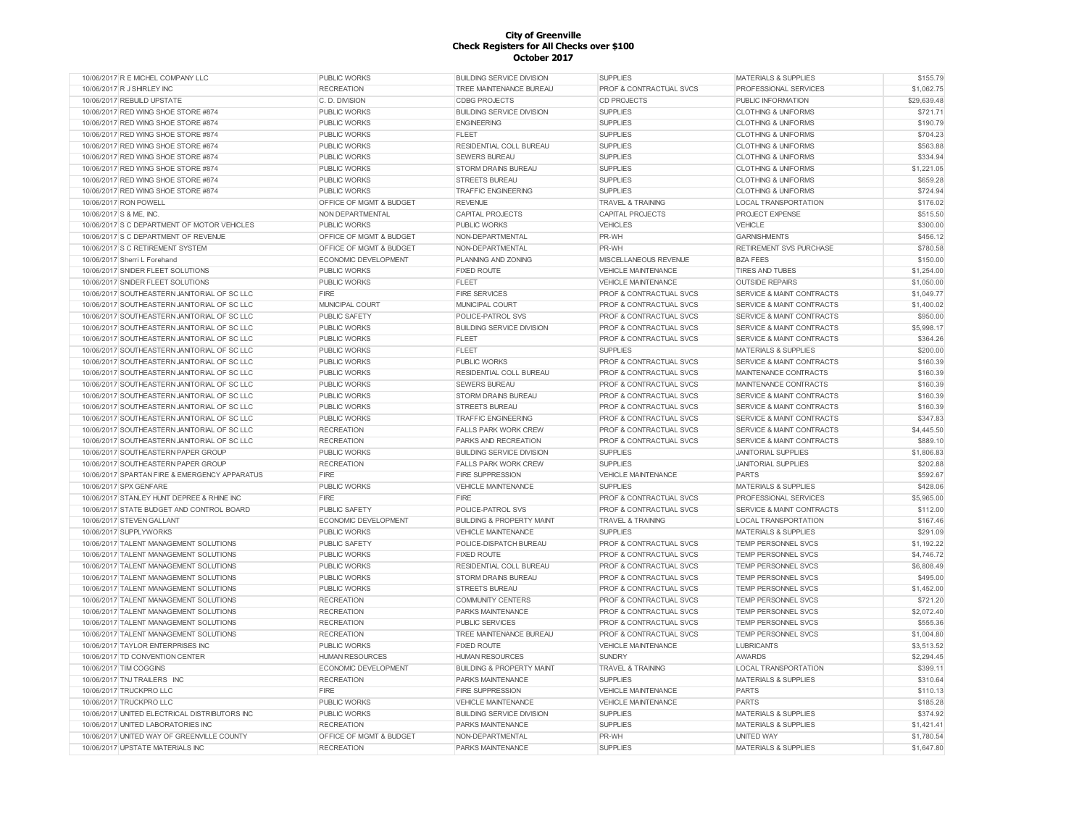| 10/06/2017 R E MICHEL COMPANY LLC             | <b>PUBLIC WORKS</b>                | <b>BUILDING SERVICE DIVISION</b>     | <b>SUPPLIES</b>                    | <b>MATERIALS &amp; SUPPLIES</b>      | \$155.79    |
|-----------------------------------------------|------------------------------------|--------------------------------------|------------------------------------|--------------------------------------|-------------|
| 10/06/2017 R J SHIRLEY INC                    | <b>RECREATION</b>                  | TREE MAINTENANCE BUREAU              | PROF & CONTRACTUAL SVCS            | PROFESSIONAL SERVICES                | \$1,062.75  |
| 10/06/2017 REBUILD UPSTATE                    | C. D. DIVISION                     | <b>CDBG PROJECTS</b>                 | <b>CD PROJECTS</b>                 | PUBLIC INFORMATION                   | \$29,639.48 |
| 10/06/2017 RED WING SHOE STORE #874           | <b>PUBLIC WORKS</b>                | <b>BUILDING SERVICE DIVISION</b>     | <b>SUPPLIES</b>                    | <b>CLOTHING &amp; UNIFORMS</b>       | \$721.71    |
| 10/06/2017 RED WING SHOE STORE #874           | <b>PUBLIC WORKS</b>                | <b>ENGINEERING</b>                   | <b>SUPPLIES</b>                    | <b>CLOTHING &amp; UNIFORMS</b>       | \$190.79    |
| 10/06/2017 RED WING SHOE STORE #874           | <b>PUBLIC WORKS</b>                | <b>FLEET</b>                         | <b>SUPPLIES</b>                    | <b>CLOTHING &amp; UNIFORMS</b>       | \$704.23    |
| 10/06/2017 RED WING SHOE STORE #874           | <b>PUBLIC WORKS</b>                | RESIDENTIAL COLL BUREAU              | <b>SUPPLIES</b>                    | <b>CLOTHING &amp; UNIFORMS</b>       | \$563.88    |
| 10/06/2017 RED WING SHOE STORE #874           | <b>PUBLIC WORKS</b>                | <b>SEWERS BUREAU</b>                 | <b>SUPPLIES</b>                    | <b>CLOTHING &amp; UNIFORMS</b>       | \$334.94    |
| 10/06/2017 RED WING SHOE STORE #874           | <b>PUBLIC WORKS</b>                | STORM DRAINS BUREAU                  | <b>SUPPLIES</b>                    | <b>CLOTHING &amp; UNIFORMS</b>       | \$1,221.05  |
| 10/06/2017 RED WING SHOE STORE #874           | <b>PUBLIC WORKS</b>                | <b>STREETS BUREAU</b>                | <b>SUPPLIES</b>                    | <b>CLOTHING &amp; UNIFORMS</b>       | \$659.28    |
| 10/06/2017 RED WING SHOE STORE #874           | <b>PUBLIC WORKS</b>                | <b>TRAFFIC ENGINEERING</b>           | <b>SUPPLIES</b>                    | <b>CLOTHING &amp; UNIFORMS</b>       | \$724.94    |
| 10/06/2017 RON POWELL                         | OFFICE OF MGMT & BUDGET            | <b>REVENUE</b>                       | <b>TRAVEL &amp; TRAINING</b>       | LOCAL TRANSPORTATION                 | \$176.02    |
| 10/06/2017 S & ME, INC.                       | NON DEPARTMENTAL                   | CAPITAL PROJECTS                     | <b>CAPITAL PROJECTS</b>            | PROJECT EXPENSE                      | \$515.50    |
| 10/06/2017 S C DEPARTMENT OF MOTOR VEHICLES   | <b>PUBLIC WORKS</b>                | <b>PUBLIC WORKS</b>                  | <b>VEHICLES</b>                    | VEHICLE                              | \$300.00    |
| 10/06/2017 S C DEPARTMENT OF REVENUE          | OFFICE OF MGMT & BUDGET            | NON-DEPARTMENTAL                     | PR-WH                              | <b>GARNISHMENTS</b>                  | \$456.12    |
| 10/06/2017 S C RETIREMENT SYSTEM              | <b>OFFICE OF MGMT &amp; BUDGET</b> | NON-DEPARTMENTAL                     | PR-WH                              | <b>RETIREMENT SVS PURCHASE</b>       | \$780.58    |
| 10/06/2017 Sherri L Forehand                  | <b>ECONOMIC DEVELOPMENT</b>        | PLANNING AND ZONING                  | MISCELLANEOUS REVENUE              | <b>BZA FEES</b>                      | \$150.00    |
| 10/06/2017 SNIDER FLEET SOLUTIONS             | <b>PUBLIC WORKS</b>                | <b>FIXED ROUTE</b>                   | <b>VEHICLE MAINTENANCE</b>         | <b>TIRES AND TUBES</b>               | \$1,254.00  |
| 10/06/2017 SNIDER FLEET SOLUTIONS             | <b>PUBLIC WORKS</b>                | <b>FLEET</b>                         | VEHICLE MAINTENANCE                | <b>OUTSIDE REPAIRS</b>               | \$1,050.00  |
| 10/06/2017 SOUTHEASTERN JANITORIAL OF SC LLC  | <b>FIRE</b>                        | <b>FIRE SERVICES</b>                 | PROF & CONTRACTUAL SVCS            | <b>SERVICE &amp; MAINT CONTRACTS</b> | \$1,049.77  |
| 10/06/2017 SOUTHEASTERN JANITORIAL OF SC LLC  | MUNICIPAL COURT                    | MUNICIPAL COURT                      | PROF & CONTRACTUAL SVCS            | <b>SERVICE &amp; MAINT CONTRACTS</b> | \$1,400.02  |
| 10/06/2017 SOUTHEASTERN JANITORIAL OF SC LLC  | <b>PUBLIC SAFETY</b>               | POLICE-PATROL SVS                    | <b>PROF &amp; CONTRACTUAL SVCS</b> | <b>SERVICE &amp; MAINT CONTRACTS</b> | \$950.00    |
| 10/06/2017 SOUTHEASTERN JANITORIAL OF SC LLC  | <b>PUBLIC WORKS</b>                | <b>BUILDING SERVICE DIVISION</b>     | PROF & CONTRACTUAL SVCS            | SERVICE & MAINT CONTRACTS            | \$5,998.17  |
| 10/06/2017 SOUTHEASTERN JANITORIAL OF SC LLC  |                                    | <b>FLEET</b>                         | <b>PROF &amp; CONTRACTUAL SVCS</b> | <b>SERVICE &amp; MAINT CONTRACTS</b> | \$364.26    |
|                                               | <b>PUBLIC WORKS</b>                |                                      |                                    |                                      |             |
| 10/06/2017 SOUTHEASTERN JANITORIAL OF SC LLC  | <b>PUBLIC WORKS</b>                | <b>FLEET</b>                         | <b>SUPPLIES</b>                    | <b>MATERIALS &amp; SUPPLIES</b>      | \$200.00    |
| 10/06/2017 SOUTHEASTERN JANITORIAL OF SC LLC  | <b>PUBLIC WORKS</b>                | <b>PUBLIC WORKS</b>                  | <b>PROF &amp; CONTRACTUAL SVCS</b> | <b>SERVICE &amp; MAINT CONTRACTS</b> | \$160.39    |
| 10/06/2017 SOUTHEASTERN JANITORIAL OF SC LLC  | <b>PUBLIC WORKS</b>                | <b>RESIDENTIAL COLL BUREAU</b>       | <b>PROF &amp; CONTRACTUAL SVCS</b> | MAINTENANCE CONTRACTS                | \$160.39    |
| 10/06/2017 SOUTHEASTERN JANITORIAL OF SC LLC  | <b>PUBLIC WORKS</b>                | <b>SEWERS BUREAU</b>                 | <b>PROF &amp; CONTRACTUAL SVCS</b> | MAINTENANCE CONTRACTS                | \$160.39    |
| 10/06/2017 SOUTHEASTERN JANITORIAL OF SC LLC  | <b>PUBLIC WORKS</b>                | STORM DRAINS BUREAU                  | <b>PROF &amp; CONTRACTUAL SVCS</b> | <b>SERVICE &amp; MAINT CONTRACTS</b> | \$160.39    |
| 10/06/2017 SOUTHEASTERN JANITORIAL OF SC LLC  | <b>PUBLIC WORKS</b>                | <b>STREETS BUREAU</b>                | <b>PROF &amp; CONTRACTUAL SVCS</b> | <b>SERVICE &amp; MAINT CONTRACTS</b> | \$160.39    |
| 10/06/2017 SOUTHEASTERN JANITORIAL OF SC LLC  | <b>PUBLIC WORKS</b>                | <b>TRAFFIC ENGINEERING</b>           | <b>PROF &amp; CONTRACTUAL SVCS</b> | <b>SERVICE &amp; MAINT CONTRACTS</b> | \$347.83    |
| 10/06/2017 SOUTHEASTERN JANITORIAL OF SC LLC  | <b>RECREATION</b>                  | <b>FALLS PARK WORK CREW</b>          | PROF & CONTRACTUAL SVCS            | <b>SERVICE &amp; MAINT CONTRACTS</b> | \$4,445.50  |
| 10/06/2017 SOUTHEASTERN JANITORIAL OF SC LLC  | <b>RECREATION</b>                  | PARKS AND RECREATION                 | PROF & CONTRACTUAL SVCS            | SERVICE & MAINT CONTRACTS            | \$889.10    |
| 10/06/2017 SOUTHEASTERN PAPER GROUP           | <b>PUBLIC WORKS</b>                | <b>BUILDING SERVICE DIVISION</b>     | <b>SUPPLIES</b>                    | <b>JANITORIAL SUPPLIES</b>           | \$1,806.83  |
| 10/06/2017 SOUTHEASTERN PAPER GROUP           | <b>RECREATION</b>                  | <b>FALLS PARK WORK CREW</b>          | <b>SUPPLIES</b>                    | <b>JANITORIAL SUPPLIES</b>           | \$202.88    |
| 10/06/2017 SPARTAN FIRE & EMERGENCY APPARATUS | <b>FIRE</b>                        | <b>FIRE SUPPRESSION</b>              | <b>VEHICLE MAINTENANCE</b>         | <b>PARTS</b>                         | \$592.67    |
| 10/06/2017 SPX GENFARE                        | <b>PUBLIC WORKS</b>                | <b>VEHICLE MAINTENANCE</b>           | <b>SUPPLIES</b>                    | <b>MATERIALS &amp; SUPPLIES</b>      | \$428.06    |
| 10/06/2017 STANLEY HUNT DEPREE & RHINE INC    | <b>FIRE</b>                        | FIRE                                 | <b>PROF &amp; CONTRACTUAL SVCS</b> | PROFESSIONAL SERVICES                | \$5,965.00  |
| 10/06/2017 STATE BUDGET AND CONTROL BOARD     | PUBLIC SAFETY                      | POLICE-PATROL SVS                    | <b>PROF &amp; CONTRACTUAL SVCS</b> | <b>SERVICE &amp; MAINT CONTRACTS</b> | \$112.00    |
| 10/06/2017 STEVEN GALLANT                     | ECONOMIC DEVELOPMENT               | <b>BUILDING &amp; PROPERTY MAINT</b> | <b>TRAVEL &amp; TRAINING</b>       | LOCAL TRANSPORTATION                 | \$167.46    |
| 10/06/2017 SUPPLYWORKS                        | <b>PUBLIC WORKS</b>                | <b>VEHICLE MAINTENANCE</b>           | <b>SUPPLIES</b>                    | <b>MATERIALS &amp; SUPPLIES</b>      | \$291.09    |
| 10/06/2017 TALENT MANAGEMENT SOLUTIONS        | PUBLIC SAFETY                      | POLICE-DISPATCH BUREAU               | PROF & CONTRACTUAL SVCS            | TEMP PERSONNEL SVCS                  | \$1,192.22  |
| 10/06/2017 TALENT MANAGEMENT SOLUTIONS        | PUBLIC WORKS                       | <b>FIXED ROUTE</b>                   | <b>PROF &amp; CONTRACTUAL SVCS</b> | TEMP PERSONNEL SVCS                  | \$4,746.72  |
| 10/06/2017 TALENT MANAGEMENT SOLUTIONS        | <b>PUBLIC WORKS</b>                | RESIDENTIAL COLL BUREAU              | <b>PROF &amp; CONTRACTUAL SVCS</b> | TEMP PERSONNEL SVCS                  | \$6,808.49  |
| 10/06/2017 TALENT MANAGEMENT SOLUTIONS        | PUBLIC WORKS                       | <b>STORM DRAINS BUREAU</b>           | PROF & CONTRACTUAL SVCS            | <b>TEMP PERSONNEL SVCS</b>           | \$495.00    |
| 10/06/2017 TALENT MANAGEMENT SOLUTIONS        | <b>PUBLIC WORKS</b>                | <b>STREETS BUREAU</b>                | PROF & CONTRACTUAL SVCS            | <b>TEMP PERSONNEL SVCS</b>           | \$1,452.00  |
| 10/06/2017 TALENT MANAGEMENT SOLUTIONS        | <b>RECREATION</b>                  | <b>COMMUNITY CENTERS</b>             | PROF & CONTRACTUAL SVCS            | TEMP PERSONNEL SVCS                  | \$721.20    |
| 10/06/2017 TALENT MANAGEMENT SOLUTIONS        | <b>RECREATION</b>                  | PARKS MAINTENANCE                    | PROF & CONTRACTUAL SVCS            | <b>TEMP PERSONNEL SVCS</b>           | \$2,072.40  |
| 10/06/2017 TALENT MANAGEMENT SOLUTIONS        | <b>RECREATION</b>                  | <b>PUBLIC SERVICES</b>               | PROF & CONTRACTUAL SVCS            | <b>TEMP PERSONNEL SVCS</b>           | \$555.36    |
| 10/06/2017 TALENT MANAGEMENT SOLUTIONS        | <b>RECREATION</b>                  | TREE MAINTENANCE BUREAU              | PROF & CONTRACTUAL SVCS            | <b>TEMP PERSONNEL SVCS</b>           | \$1,004.80  |
| 10/06/2017 TAYLOR ENTERPRISES INC             | <b>PUBLIC WORKS</b>                | <b>FIXED ROUTE</b>                   | VEHICLE MAINTENANCE                | <b>LUBRICANTS</b>                    | \$3,513.52  |
| 10/06/2017 TD CONVENTION CENTER               | <b>HUMAN RESOURCES</b>             | <b>HUMAN RESOURCES</b>               | SUNDRY                             | <b>AWARDS</b>                        | \$2,294.45  |
| 10/06/2017 TIM COGGINS                        | ECONOMIC DEVELOPMENT               | <b>BUILDING &amp; PROPERTY MAINT</b> | <b>TRAVEL &amp; TRAINING</b>       | LOCAL TRANSPORTATION                 | \$399.11    |
| 10/06/2017 TNJ TRAILERS INC                   | <b>RECREATION</b>                  | PARKS MAINTENANCE                    | <b>SUPPLIES</b>                    | MATERIALS & SUPPLIES                 | \$310.64    |
| 10/06/2017 TRUCKPRO LLC                       | FIRE                               | <b>FIRE SUPPRESSION</b>              | <b>VEHICLE MAINTENANCE</b>         | PARTS                                | \$110.13    |
| 10/06/2017 TRUCKPRO LLC                       | <b>PUBLIC WORKS</b>                | <b>VEHICLE MAINTENANCE</b>           | VEHICLE MAINTENANCE                | <b>PARTS</b>                         | \$185.28    |
| 10/06/2017 UNITED ELECTRICAL DISTRIBUTORS INC | <b>PUBLIC WORKS</b>                | <b>BUILDING SERVICE DIVISION</b>     | <b>SUPPLIES</b>                    | MATERIALS & SUPPLIES                 | \$374.92    |
| 10/06/2017 UNITED LABORATORIES INC            | <b>RECREATION</b>                  | <b>PARKS MAINTENANCE</b>             | <b>SUPPLIES</b>                    | <b>MATERIALS &amp; SUPPLIES</b>      | \$1,421.41  |
| 10/06/2017 UNITED WAY OF GREENVILLE COUNTY    | OFFICE OF MGMT & BUDGET            | NON-DEPARTMENTAL                     | PR-WH                              | <b>UNITED WAY</b>                    | \$1,780.54  |
| 10/06/2017 UPSTATE MATERIALS INC              | <b>RECREATION</b>                  | <b>PARKS MAINTENANCE</b>             | <b>SUPPLIES</b>                    | <b>MATERIALS &amp; SUPPLIES</b>      | \$1,647.80  |
|                                               |                                    |                                      |                                    |                                      |             |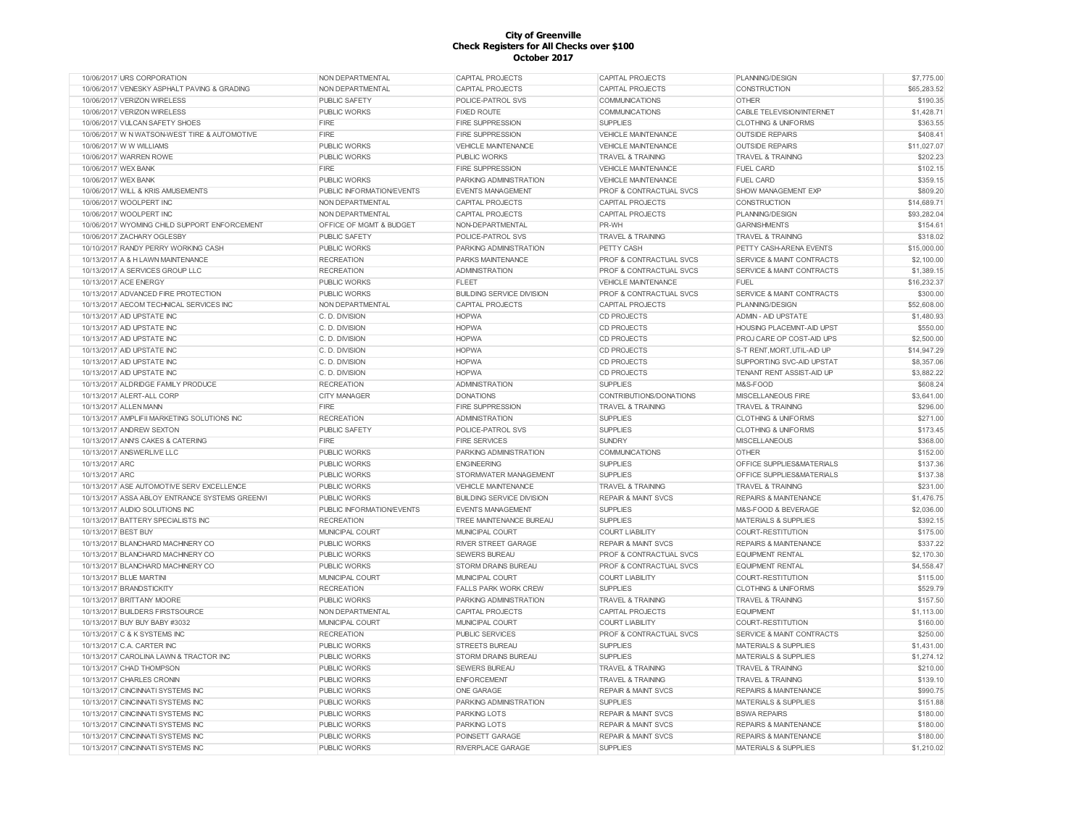| 10/06/2017 URS CORPORATION                     | <b>NON DEPARTMENTAL</b>   | CAPITAL PROJECTS                 | CAPITAL PROJECTS                   | PLANNING/DESIGN                  | \$7,775.00  |
|------------------------------------------------|---------------------------|----------------------------------|------------------------------------|----------------------------------|-------------|
| 10/06/2017 VENESKY ASPHALT PAVING & GRADING    | NON DEPARTMENTAL          | CAPITAL PROJECTS                 | CAPITAL PROJECTS                   | CONSTRUCTION                     | \$65,283.52 |
| 10/06/2017 VERIZON WIRELESS                    | <b>PUBLIC SAFETY</b>      | POLICE-PATROL SVS                | COMMUNICATIONS                     | <b>OTHER</b>                     | \$190.35    |
| 10/06/2017 VERIZON WIRELESS                    | <b>PUBLIC WORKS</b>       | <b>FIXED ROUTE</b>               | <b>COMMUNICATIONS</b>              | CABLE TELEVISION/INTERNET        | \$1,428.71  |
| 10/06/2017 VULCAN SAFETY SHOES                 | FIRE                      | <b>FIRE SUPPRESSION</b>          | <b>SUPPLIES</b>                    | <b>CLOTHING &amp; UNIFORMS</b>   | \$363.55    |
| 10/06/2017 W N WATSON-WEST TIRE & AUTOMOTIVE   | FIRE                      | <b>FIRE SUPPRESSION</b>          | <b>VEHICLE MAINTENANCE</b>         | <b>OUTSIDE REPAIRS</b>           | \$408.41    |
| 10/06/2017 W W WILLIAMS                        | <b>PUBLIC WORKS</b>       | VEHICLE MAINTENANCE              | VEHICLE MAINTENANCE                | <b>OUTSIDE REPAIRS</b>           | \$11.027.07 |
| 10/06/2017 WARREN ROWE                         | <b>PUBLIC WORKS</b>       | <b>PUBLIC WORKS</b>              | <b>TRAVEL &amp; TRAINING</b>       | <b>TRAVEL &amp; TRAINING</b>     | \$202.23    |
| 10/06/2017 WEX BANK                            | <b>FIRE</b>               | <b>FIRE SUPPRESSION</b>          | VEHICLE MAINTENANCE                | <b>FUEL CARD</b>                 | \$102.15    |
| 10/06/2017 WEX BANK                            | <b>PUBLIC WORKS</b>       | PARKING ADMINISTRATION           | <b>VEHICLE MAINTENANCE</b>         | <b>FUEL CARD</b>                 | \$359.15    |
| 10/06/2017 WILL & KRIS AMUSEMENTS              | PUBLIC INFORMATION/EVENTS | <b>EVENTS MANAGEMENT</b>         | <b>PROF &amp; CONTRACTUAL SVCS</b> | <b>SHOW MANAGEMENT EXP</b>       | \$809.20    |
| 10/06/2017 WOOLPERT INC                        | NON DEPARTMENTAL          | CAPITAL PROJECTS                 | CAPITAL PROJECTS                   | <b>CONSTRUCTION</b>              | \$14,689.71 |
| 10/06/2017 WOOLPERT INC                        | NON DEPARTMENTAL          | CAPITAL PROJECTS                 | <b>CAPITAL PROJECTS</b>            | PLANNING/DESIGN                  | \$93,282.04 |
| 10/06/2017 WYOMING CHILD SUPPORT ENFORCEMENT   | OFFICE OF MGMT & BUDGET   | NON-DEPARTMENTAL                 | PR-WH                              | <b>GARNISHMENTS</b>              | \$154.61    |
| 10/06/2017 ZACHARY OGLESBY                     | PUBLIC SAFETY             | POLICE-PATROL SVS                | <b>TRAVEL &amp; TRAINING</b>       | <b>TRAVEL &amp; TRAINING</b>     | \$318.02    |
| 10/10/2017 RANDY PERRY WORKING CASH            | <b>PUBLIC WORKS</b>       | PARKING ADMINISTRATION           | PETTY CASH                         | PETTY CASH-ARENA EVENTS          | \$15,000.00 |
| 10/13/2017 A & H LAWN MAINTENANCE              | <b>RECREATION</b>         | PARKS MAINTENANCE                | PROF & CONTRACTUAL SVCS            | SERVICE & MAINT CONTRACTS        | \$2,100.00  |
| 10/13/2017 A SERVICES GROUP LLC                | <b>RECREATION</b>         | ADMINISTRATION                   | PROF & CONTRACTUAL SVCS            | SERVICE & MAINT CONTRACTS        | \$1,389.15  |
| 10/13/2017 ACE ENERGY                          | <b>PUBLIC WORKS</b>       | <b>FLEET</b>                     | <b>VEHICLE MAINTENANCE</b>         | <b>FUEL</b>                      | \$16,232.37 |
| 10/13/2017 ADVANCED FIRE PROTECTION            | <b>PUBLIC WORKS</b>       | <b>BUILDING SERVICE DIVISION</b> | <b>PROF &amp; CONTRACTUAL SVCS</b> | SERVICE & MAINT CONTRACTS        | \$300.00    |
| 10/13/2017 AECOM TECHNICAL SERVICES INC        | NON DEPARTMENTAL          | CAPITAL PROJECTS                 | CAPITAL PROJECTS                   | PLANNING/DESIGN                  | \$52,608.00 |
| 10/13/2017 AID UPSTATE INC                     | C. D. DIVISION            | <b>HOPWA</b>                     | <b>CD PROJECTS</b>                 | <b>ADMIN - AID UPSTATE</b>       | \$1,480.93  |
| 10/13/2017 AID UPSTATE INC                     | C. D. DIVISION            | <b>HOPWA</b>                     | <b>CD PROJECTS</b>                 | HOUSING PLACEMNT-AID UPST        | \$550.00    |
| 10/13/2017 AID UPSTATE INC                     | C. D. DIVISION            | <b>HOPWA</b>                     | <b>CD PROJECTS</b>                 | PROJ CARE OP COST-AID UPS        | \$2,500.00  |
| 10/13/2017 AID UPSTATE INC                     | C. D. DIVISION            | <b>HOPWA</b>                     | <b>CD PROJECTS</b>                 | S-T RENT, MORT, UTIL-AID UP      | \$14,947.29 |
|                                                | C. D. DIVISION            |                                  |                                    |                                  | \$8,357.06  |
| 10/13/2017 AID UPSTATE INC                     |                           | <b>HOPWA</b>                     | <b>CD PROJECTS</b>                 | SUPPORTING SVC-AID UPSTAT        |             |
| 10/13/2017 AID UPSTATE INC                     | C. D. DIVISION            | <b>HOPWA</b>                     | <b>CD PROJECTS</b>                 | TENANT RENT ASSIST-AID UP        | \$3,882.22  |
| 10/13/2017 ALDRIDGE FAMILY PRODUCE             | <b>RECREATION</b>         | <b>ADMINISTRATION</b>            | <b>SUPPLIES</b>                    | M&S-FOOD                         | \$608.24    |
| 10/13/2017 ALERT-ALL CORP                      | <b>CITY MANAGER</b>       | <b>DONATIONS</b>                 | CONTRIBUTIONS/DONATIONS            | MISCELLANEOUS FIRE               | \$3,641.00  |
| 10/13/2017 ALLEN MANN                          | FIRE                      | <b>FIRE SUPPRESSION</b>          | <b>TRAVEL &amp; TRAINING</b>       | <b>TRAVEL &amp; TRAINING</b>     | \$296.00    |
| 10/13/2017 AMPLIFII MARKETING SOLUTIONS INC    | <b>RECREATION</b>         | <b>ADMINISTRATION</b>            | <b>SUPPLIES</b>                    | <b>CLOTHING &amp; UNIFORMS</b>   | \$271.00    |
| 10/13/2017 ANDREW SEXTON                       | <b>PUBLIC SAFETY</b>      | POLICE-PATROL SVS                | <b>SUPPLIES</b>                    | <b>CLOTHING &amp; UNIFORMS</b>   | \$173.45    |
| 10/13/2017 ANN'S CAKES & CATERING              | <b>FIRE</b>               | <b>FIRE SERVICES</b>             | <b>SUNDRY</b>                      | <b>MISCELLANEOUS</b>             | \$368.00    |
| 10/13/2017 ANSWERLIVE LLC                      | <b>PUBLIC WORKS</b>       | PARKING ADMINISTRATION           | <b>COMMUNICATIONS</b>              | <b>OTHER</b>                     | \$152.00    |
| 10/13/2017 ARC                                 | PUBLIC WORKS              | <b>ENGINEERING</b>               | <b>SUPPLIES</b>                    | OFFICE SUPPLIES&MATERIALS        | \$137.36    |
| 10/13/2017 ARC                                 | <b>PUBLIC WORKS</b>       | STORMWATER MANAGEMENT            | <b>SUPPLIES</b>                    | OFFICE SUPPLIES&MATERIALS        | \$137.38    |
| 10/13/2017 ASE AUTOMOTIVE SERV EXCELLENCE      | <b>PUBLIC WORKS</b>       | <b>VEHICLE MAINTENANCE</b>       | <b>TRAVEL &amp; TRAINING</b>       | <b>TRAVEL &amp; TRAINING</b>     | \$231.00    |
| 10/13/2017 ASSA ABLOY ENTRANCE SYSTEMS GREENVI | PUBLIC WORKS              | <b>BUILDING SERVICE DIVISION</b> | <b>REPAIR &amp; MAINT SVCS</b>     | <b>REPAIRS &amp; MAINTENANCE</b> | \$1,476.75  |
| 10/13/2017 AUDIO SOLUTIONS INC                 | PUBLIC INFORMATION/EVENTS | <b>EVENTS MANAGEMENT</b>         | <b>SUPPLIES</b>                    | M&S-FOOD & BEVERAGE              | \$2,036.00  |
| 10/13/2017 BATTERY SPECIALISTS INC             | <b>RECREATION</b>         | TREE MAINTENANCE BUREAU          | <b>SUPPLIES</b>                    | <b>MATERIALS &amp; SUPPLIES</b>  | \$392.15    |
| 10/13/2017 BEST BUY                            | MUNICIPAL COURT           | MUNICIPAL COURT                  | <b>COURT LIABILITY</b>             | COURT-RESTITUTION                | \$175.00    |
| 10/13/2017 BLANCHARD MACHINERY CO              | <b>PUBLIC WORKS</b>       | <b>RIVER STREET GARAGE</b>       | <b>REPAIR &amp; MAINT SVCS</b>     | <b>REPAIRS &amp; MAINTENANCE</b> | \$337.22    |
| 10/13/2017 BLANCHARD MACHINERY CO              | <b>PUBLIC WORKS</b>       | <b>SEWERS BUREAU</b>             | <b>PROF &amp; CONTRACTUAL SVCS</b> | <b>EQUIPMENT RENTAL</b>          | \$2,170.30  |
| 10/13/2017 BLANCHARD MACHINERY CO              | <b>PUBLIC WORKS</b>       | <b>STORM DRAINS BUREAU</b>       | <b>PROF &amp; CONTRACTUAL SVCS</b> | <b>EQUIPMENT RENTAL</b>          | \$4,558.47  |
| 10/13/2017 BLUE MARTINI                        | MUNICIPAL COURT           | MUNICIPAL COURT                  | <b>COURT LIABILITY</b>             | COURT-RESTITUTION                | \$115.00    |
| 10/13/2017 BRANDSTICKITY                       | <b>RECREATION</b>         | <b>FALLS PARK WORK CREW</b>      | <b>SUPPLIES</b>                    | <b>CLOTHING &amp; UNIFORMS</b>   | \$529.79    |
| 10/13/2017 BRITTANY MOORE                      | <b>PUBLIC WORKS</b>       | PARKING ADMINISTRATION           | <b>TRAVEL &amp; TRAINING</b>       | <b>TRAVEL &amp; TRAINING</b>     | \$157.50    |
| 10/13/2017 BUILDERS FIRSTSOURCE                | NON DEPARTMENTAL          | CAPITAL PROJECTS                 | CAPITAL PROJECTS                   | <b>FOUPMENT</b>                  | \$1,113.00  |
| 10/13/2017 BUY BUY BABY #3032                  | MUNICIPAL COURT           | MUNICIPAL COURT                  | <b>COURT LIABILITY</b>             | COURT-RESTITUTION                | \$160.00    |
| 10/13/2017 C & K SYSTEMS INC                   | <b>RECREATION</b>         | <b>PUBLIC SERVICES</b>           | <b>PROF &amp; CONTRACTUAL SVCS</b> | SERVICE & MAINT CONTRACTS        | \$250.00    |
| 10/13/2017 C.A. CARTER INC                     | <b>PUBLIC WORKS</b>       | <b>STREETS BUREAU</b>            | <b>SUPPLIES</b>                    | <b>MATERIALS &amp; SUPPLIES</b>  | \$1,431.00  |
| 10/13/2017 CAROLINA LAWN & TRACTOR INC         | <b>PUBLIC WORKS</b>       | <b>STORM DRAINS BUREAU</b>       | <b>SUPPLIES</b>                    | <b>MATERIALS &amp; SUPPLIES</b>  | \$1,274.12  |
| 10/13/2017 CHAD THOMPSON                       | <b>PUBLIC WORKS</b>       | <b>SEWERS BUREAU</b>             | <b>TRAVEL &amp; TRAINING</b>       | <b>TRAVEL &amp; TRAINING</b>     | \$210.00    |
| 10/13/2017 CHARLES CRONIN                      | <b>PUBLIC WORKS</b>       | <b>ENFORCEMENT</b>               | <b>TRAVEL &amp; TRAINING</b>       | <b>TRAVEL &amp; TRAINING</b>     | \$139.10    |
| 10/13/2017 CINCINNATI SYSTEMS INC              | <b>PUBLIC WORKS</b>       | <b>ONE GARAGE</b>                | <b>REPAIR &amp; MAINT SVCS</b>     | <b>REPAIRS &amp; MAINTENANCE</b> | \$990.75    |
| 10/13/2017 CINCINNATI SYSTEMS INC              | <b>PUBLIC WORKS</b>       | PARKING ADMINISTRATION           | <b>SUPPLIES</b>                    | <b>MATERIALS &amp; SUPPLIES</b>  | \$151.88    |
| 10/13/2017 CINCINNATI SYSTEMS INC              | PUBLIC WORKS              | <b>PARKING LOTS</b>              | <b>REPAIR &amp; MAINT SVCS</b>     | <b>BSWA REPAIRS</b>              | \$180.00    |
| 10/13/2017 CINCINNATI SYSTEMS INC              | <b>PUBLIC WORKS</b>       | <b>PARKING LOTS</b>              | <b>REPAIR &amp; MAINT SVCS</b>     | <b>REPAIRS &amp; MAINTENANCE</b> | \$180.00    |
| 10/13/2017 CINCINNATI SYSTEMS INC              | <b>PUBLIC WORKS</b>       | POINSETT GARAGE                  | <b>REPAIR &amp; MAINT SVCS</b>     | <b>REPAIRS &amp; MAINTENANCE</b> | \$180.00    |
| 10/13/2017 CINCINNATI SYSTEMS INC              | <b>PUBLIC WORKS</b>       | <b>RIVERPLACE GARAGE</b>         | <b>SUPPLIES</b>                    | MATERIALS & SUPPLIES             | \$1,210.02  |
|                                                |                           |                                  |                                    |                                  |             |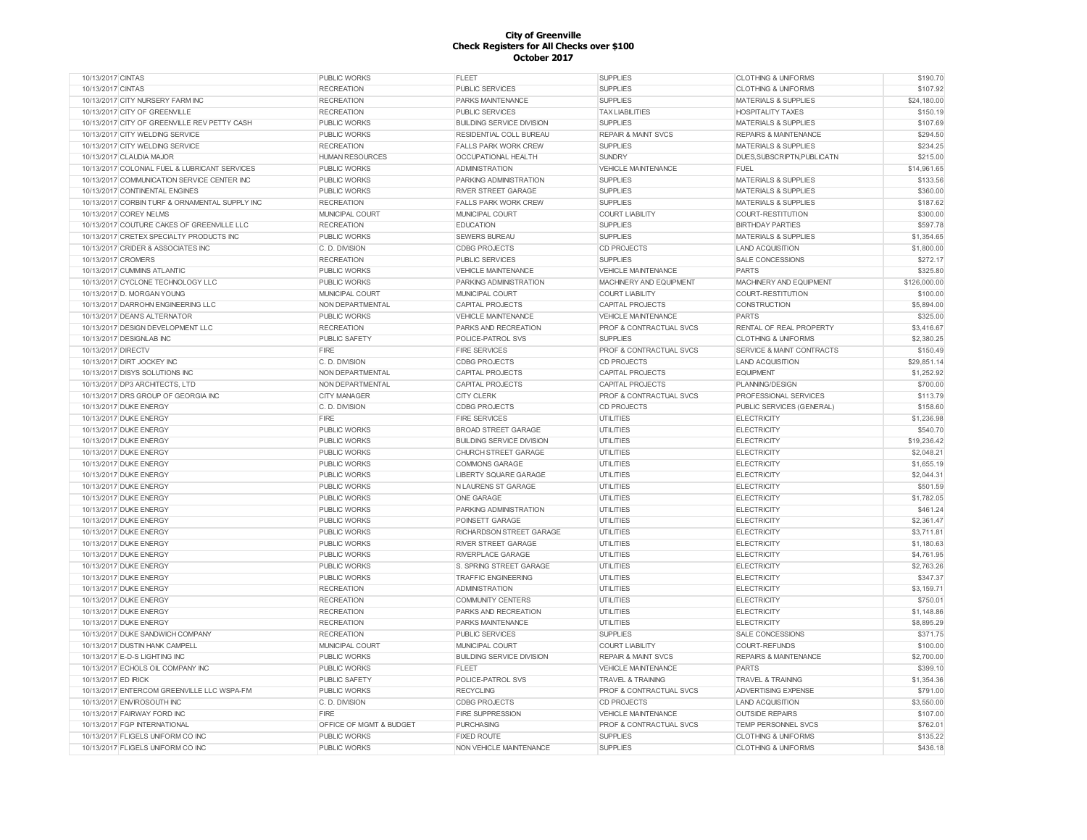| 10/13/2017 CINTAS                              | <b>PUBLIC WORKS</b>     | <b>FLEET</b>                     | <b>SUPPLIES</b>                | <b>CLOTHING &amp; UNIFORMS</b>   | \$190.70     |
|------------------------------------------------|-------------------------|----------------------------------|--------------------------------|----------------------------------|--------------|
| 10/13/2017 CINTAS                              | <b>RECREATION</b>       | <b>PUBLIC SERVICES</b>           | <b>SUPPLIES</b>                | <b>CLOTHING &amp; UNIFORMS</b>   | \$107.92     |
| 10/13/2017 CITY NURSERY FARM INC               | <b>RECREATION</b>       | PARKS MAINTENANCE                | <b>SUPPLIES</b>                | <b>MATERIALS &amp; SUPPLIES</b>  | \$24,180.00  |
| 10/13/2017 CITY OF GREENVILLE                  | <b>RECREATION</b>       | <b>PUBLIC SERVICES</b>           | <b>TAX LIABILITIES</b>         | <b>HOSPITALITY TAXES</b>         | \$150.19     |
| 10/13/2017 CITY OF GREENVILLE REV PETTY CASH   | PUBLIC WORKS            | <b>BUILDING SERVICE DIVISION</b> | <b>SUPPLIES</b>                | MATERIALS & SUPPLIES             | \$107.69     |
| 10/13/2017 CITY WELDING SERVICE                | PUBLIC WORKS            | RESIDENTIAL COLL BUREAU          | <b>REPAIR &amp; MAINT SVCS</b> | <b>REPAIRS &amp; MAINTENANCE</b> | \$294.50     |
| 10/13/2017 CITY WELDING SERVICE                | <b>RECREATION</b>       | <b>FALLS PARK WORK CREW</b>      | <b>SUPPLIES</b>                | <b>MATERIALS &amp; SUPPLIES</b>  | \$234.25     |
| 10/13/2017 CLAUDIA MAJOR                       | <b>HUMAN RESOURCES</b>  | OCCUPATIONAL HEALTH              | <b>SUNDRY</b>                  | DUES, SUBSCRIPTN, PUBLICATN      | \$215.00     |
| 10/13/2017 COLONIAL FUEL & LUBRICANT SERVICES  | <b>PUBLIC WORKS</b>     | <b>ADMINISTRATION</b>            | <b>VEHICLE MAINTENANCE</b>     | FUEL                             | \$14,961.65  |
| 10/13/2017 COMMUNICATION SERVICE CENTER INC    | <b>PUBLIC WORKS</b>     | PARKING ADMINISTRATION           | <b>SUPPLIES</b>                | <b>MATERIALS &amp; SUPPLIES</b>  | \$133.56     |
| 10/13/2017 CONTINENTAL ENGINES                 | <b>PUBLIC WORKS</b>     | <b>RIVER STREET GARAGE</b>       | <b>SUPPLIES</b>                | <b>MATERIALS &amp; SUPPLIES</b>  | \$360.00     |
| 10/13/2017 CORBIN TURF & ORNAMENTAL SUPPLY INC | <b>RECREATION</b>       | <b>FALLS PARK WORK CREW</b>      | <b>SUPPLIES</b>                | <b>MATERIALS &amp; SUPPLIES</b>  | \$187.62     |
| 10/13/2017 COREY NELMS                         |                         |                                  |                                | <b>COURT-RESTITUTION</b>         |              |
|                                                | MUNICIPAL COURT         | MUNICIPAL COURT                  | <b>COURT LIABILITY</b>         |                                  | \$300.00     |
| 10/13/2017 COUTURE CAKES OF GREENVILLE LLC     | <b>RECREATION</b>       | <b>EDUCATION</b>                 | <b>SUPPLIES</b>                | <b>BIRTHDAY PARTIES</b>          | \$597.78     |
| 10/13/2017 CRETEX SPECIALTY PRODUCTS INC       | <b>PUBLIC WORKS</b>     | <b>SEWERS BUREAU</b>             | <b>SUPPLIES</b>                | <b>MATERIALS &amp; SUPPLIES</b>  | \$1,354.65   |
| 10/13/2017 CRIDER & ASSOCIATES INC             | C.D. DIVISION           | <b>CDBG PROJECTS</b>             | <b>CD PROJECTS</b>             | <b>LAND ACQUISITION</b>          | \$1,800.00   |
| 10/13/2017 CROMERS                             | <b>RECREATION</b>       | PUBLIC SERVICES                  | <b>SUPPLIES</b>                | <b>SALE CONCESSIONS</b>          | \$272.17     |
| 10/13/2017 CUMMINS ATLANTIC                    | <b>PUBLIC WORKS</b>     | <b>VEHICLE MAINTENANCE</b>       | <b>VEHICLE MAINTENANCE</b>     | <b>PARTS</b>                     | \$325.80     |
| 10/13/2017 CYCLONE TECHNOLOGY LLC              | PUBLIC WORKS            | PARKING ADMINISTRATION           | MACHINERY AND EQUIPMENT        | <b>MACHINERY AND EQUIPMENT</b>   | \$126,000.00 |
| 10/13/2017 D. MORGAN YOUNG                     | MUNICIPAL COURT         | MUNICIPAL COURT                  | <b>COURT LIABILITY</b>         | <b>COURT-RESTITUTION</b>         | \$100.00     |
| 10/13/2017 DARROHN ENGINEERING LLC             | NON DEPARTMENTAL        | <b>CAPITAL PROJECTS</b>          | <b>CAPITAL PROJECTS</b>        | <b>CONSTRUCTION</b>              | \$5,894.00   |
| 10/13/2017 DEAN'S ALTERNATOR                   | <b>PUBLIC WORKS</b>     | <b>VEHICLE MAINTENANCE</b>       | <b>VEHICLE MAINTENANCE</b>     | PARTS                            | \$325.00     |
| 10/13/2017 DESIGN DEVELOPMENT LLC              | <b>RECREATION</b>       | PARKS AND RECREATION             | PROF & CONTRACTUAL SVCS        | RENTAL OF REAL PROPERTY          | \$3,416.67   |
| 10/13/2017 DESIGNLAB INC                       | <b>PUBLIC SAFETY</b>    | POLICE-PATROL SVS                | <b>SUPPLIES</b>                | <b>CLOTHING &amp; UNIFORMS</b>   | \$2,380.25   |
| 10/13/2017 DIRECTV                             | <b>FIRE</b>             | <b>FIRE SERVICES</b>             | PROF & CONTRACTUAL SVCS        | SERVICE & MAINT CONTRACTS        | \$150.49     |
| 10/13/2017 DIRT JOCKEY INC                     | C. D. DIVISION          | <b>CDBG PROJECTS</b>             | <b>CD PROJECTS</b>             | <b>LAND ACQUISITION</b>          | \$29,851.14  |
| 10/13/2017 DISYS SOLUTIONS INC                 | NON DEPARTMENTAL        | CAPITAL PROJECTS                 | <b>CAPITAL PROJECTS</b>        | <b>EQUIPMENT</b>                 | \$1,252.92   |
| 10/13/2017 DP3 ARCHITECTS, LTD                 | NON DEPARTMENTAL        | CAPITAL PROJECTS                 | <b>CAPITAL PROJECTS</b>        | PLANNING/DESIGN                  | \$700.00     |
| 10/13/2017 DRS GROUP OF GEORGIA INC            | <b>CITY MANAGER</b>     | <b>CITY CLERK</b>                | PROF & CONTRACTUAL SVCS        | PROFESSIONAL SERVICES            | \$113.79     |
| 10/13/2017 DUKE ENERGY                         | C. D. DIVISION          | <b>CDBG PROJECTS</b>             | <b>CD PROJECTS</b>             | PUBLIC SERVICES (GENERAL)        | \$158.60     |
| 10/13/2017 DUKE ENERGY                         | <b>FIRE</b>             | <b>FIRE SERVICES</b>             |                                | <b>ELECTRICITY</b>               | \$1,236.98   |
|                                                |                         |                                  | UTILITIES                      |                                  |              |
| 10/13/2017 DUKE ENERGY                         | <b>PUBLIC WORKS</b>     | <b>BROAD STREET GARAGE</b>       | UTILITIES                      | <b>ELECTRICITY</b>               | \$540.70     |
| 10/13/2017 DUKE ENERGY                         | <b>PUBLIC WORKS</b>     | <b>BUILDING SERVICE DIVISION</b> | UTILITIES                      | <b>ELECTRICITY</b>               | \$19,236.42  |
| 10/13/2017 DUKE ENERGY                         | <b>PUBLIC WORKS</b>     | CHURCH STREET GARAGE             | <b>UTILITIES</b>               | <b>ELECTRICITY</b>               | \$2,048.21   |
| 10/13/2017 DUKE ENERGY                         | <b>PUBLIC WORKS</b>     | <b>COMMONS GARAGE</b>            | <b>UTILITIES</b>               | <b>ELECTRICITY</b>               | \$1,655.19   |
| 10/13/2017 DUKE ENERGY                         | PUBLIC WORKS            | <b>LIBERTY SQUARE GARAGE</b>     | <b>UTILITIES</b>               | <b>ELECTRICITY</b>               | \$2,044.31   |
| 10/13/2017 DUKE ENERGY                         | PUBLIC WORKS            | <b>NLAURENS ST GARAGE</b>        | <b>UTILITIES</b>               | <b>ELECTRICITY</b>               | \$501.59     |
| 10/13/2017 DUKE ENERGY                         | <b>PUBLIC WORKS</b>     | ONE GARAGE                       | <b>UTILITIES</b>               | <b>ELECTRICITY</b>               | \$1,782.05   |
| 10/13/2017 DUKE ENERGY                         | PUBLIC WORKS            | PARKING ADMINISTRATION           | <b>UTILITIES</b>               | <b>ELECTRICITY</b>               | \$461.24     |
| 10/13/2017 DUKE ENERGY                         | <b>PUBLIC WORKS</b>     | POINSETT GARAGE                  | UTILITIES                      | <b>ELECTRICITY</b>               | \$2,361.47   |
| 10/13/2017 DUKE ENERGY                         | PUBLIC WORKS            | RICHARDSON STREET GARAGE         | UTILITIES                      | <b>ELECTRICITY</b>               | \$3,711.81   |
| 10/13/2017 DUKE ENERGY                         | <b>PUBLIC WORKS</b>     | <b>RIVER STREET GARAGE</b>       | UTILITIES                      | <b>ELECTRICITY</b>               | \$1,180.63   |
| 10/13/2017 DUKE ENERGY                         | <b>PUBLIC WORKS</b>     | RIVERPLACE GARAGE                | <b>UTILITIES</b>               | <b>ELECTRICITY</b>               | \$4,761.95   |
| 10/13/2017 DUKE ENERGY                         | <b>PUBLIC WORKS</b>     | S. SPRING STREET GARAGE          | UTILITIES                      | <b>ELECTRICITY</b>               | \$2,763.26   |
| 10/13/2017 DUKE ENERGY                         | PUBLIC WORKS            | <b>TRAFFIC ENGINEERING</b>       | <b>UTILITIES</b>               | <b>ELECTRICITY</b>               | \$347.37     |
| 10/13/2017 DUKE ENERGY                         | <b>RECREATION</b>       | <b>ADMINISTRATION</b>            | <b>UTILITIES</b>               | <b>ELECTRICITY</b>               | \$3,159.71   |
| 10/13/2017 DUKE ENERGY                         | <b>RECREATION</b>       | <b>COMMUNITY CENTERS</b>         | <b>UTILITIES</b>               | <b>ELECTRICITY</b>               | \$750.01     |
| 10/13/2017 DUKE ENERGY                         | <b>RECREATION</b>       | PARKS AND RECREATION             | <b>UTILITIES</b>               | <b>ELECTRICITY</b>               | \$1,148.86   |
| 10/13/2017 DUKE ENERGY                         | <b>RECREATION</b>       | PARKS MAINTENANCE                | UTILITIES                      | <b>ELECTRICITY</b>               | \$8,895.29   |
| 10/13/2017 DUKE SANDWICH COMPANY               | <b>RECREATION</b>       | <b>PUBLIC SERVICES</b>           | <b>SUPPLIES</b>                | <b>SALE CONCESSIONS</b>          | \$371.75     |
|                                                |                         |                                  |                                |                                  | \$100.00     |
| 10/13/2017 DUSTIN HANK CAMPELL                 | MUNICIPAL COURT         | MUNICIPAL COURT                  | <b>COURT LIABILITY</b>         | COURT-REFUNDS                    |              |
| 10/13/2017 E-D-S LIGHTING INC                  | <b>PUBLIC WORKS</b>     | <b>BUILDING SERVICE DIVISION</b> | <b>REPAIR &amp; MAINT SVCS</b> | <b>REPAIRS &amp; MAINTENANCE</b> | \$2,700.00   |
| 10/13/2017 ECHOLS OIL COMPANY INC              | PUBLIC WORKS            | <b>FLEET</b>                     | VEHICLE MAINTENANCE            | PARTS                            | \$399.10     |
| 10/13/2017 ED IRICK                            | <b>PUBLIC SAFETY</b>    | POLICE-PATROL SVS                | <b>TRAVEL &amp; TRAINING</b>   | <b>TRAVEL &amp; TRAINING</b>     | \$1,354.36   |
| 10/13/2017 ENTERCOM GREENVILLE LLC WSPA-FM     | PUBLIC WORKS            | <b>RECYCLING</b>                 | PROF & CONTRACTUAL SVCS        | ADVERTISING EXPENSE              | \$791.00     |
| 10/13/2017 ENVIROSOUTH INC                     | C. D. DIVISION          | <b>CDBG PROJECTS</b>             | <b>CD PROJECTS</b>             | <b>LAND ACQUISITION</b>          | \$3,550.00   |
| 10/13/2017 FAIRWAY FORD INC                    | FIRE                    | FIRE SUPPRESSION                 | VEHICLE MAINTENANCE            | <b>OUTSIDE REPAIRS</b>           | \$107.00     |
| 10/13/2017 FGP INTERNATIONAL                   | OFFICE OF MGMT & BUDGET | <b>PURCHASING</b>                | PROF & CONTRACTUAL SVCS        | <b>TEMP PERSONNEL SVCS</b>       | \$762.01     |
| 10/13/2017 FLIGELS UNIFORM CO INC              | PUBLIC WORKS            | <b>FIXED ROUTE</b>               | <b>SUPPLIES</b>                | <b>CLOTHING &amp; UNIFORMS</b>   | \$135.22     |
| 10/13/2017 FLIGELS UNIFORM CO INC              | <b>PUBLIC WORKS</b>     | NON VEHICLE MAINTENANCE          | <b>SUPPLIES</b>                | <b>CLOTHING &amp; UNIFORMS</b>   | \$436.18     |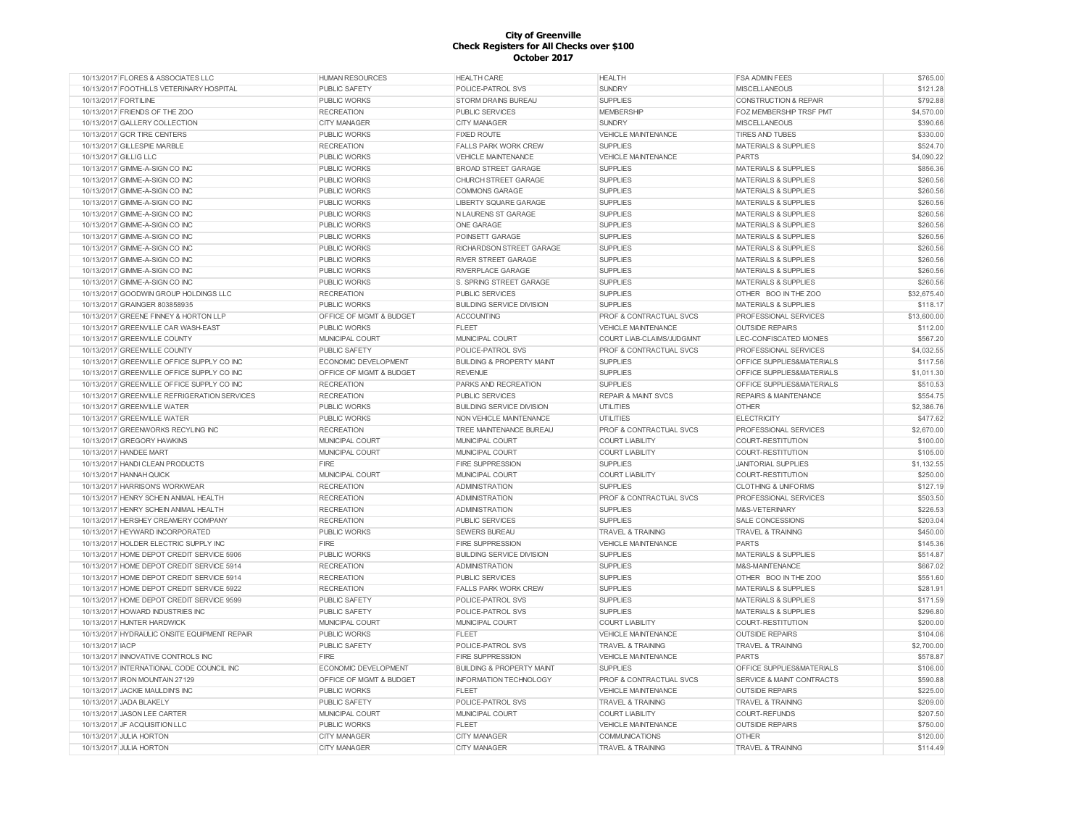| 10/13/2017 FLORES & ASSOCIATES LLC           | <b>HUMAN RESOURCES</b>      | <b>HEALTH CARE</b>                   | <b>HEALTH</b>                      | <b>FSA ADMIN FEES</b>                | \$765.00    |
|----------------------------------------------|-----------------------------|--------------------------------------|------------------------------------|--------------------------------------|-------------|
| 10/13/2017 FOOTHILLS VETERINARY HOSPITAL     | <b>PUBLIC SAFETY</b>        | POLICE-PATROL SVS                    | <b>SUNDRY</b>                      | <b>MISCELLANEOUS</b>                 | \$121.28    |
| 10/13/2017 FORTILINE                         | <b>PUBLIC WORKS</b>         | <b>STORM DRAINS BUREAU</b>           | <b>SUPPLIES</b>                    | CONSTRUCTION & REPAIR                | \$792.88    |
| 10/13/2017 FRIENDS OF THE ZOO                | <b>RECREATION</b>           | <b>PUBLIC SERVICES</b>               | <b>MEMBERSHIP</b>                  | <b>FOZ MEMBERSHIP TRSF PMT</b>       | \$4,570.00  |
| 10/13/2017 GALLERY COLLECTION                | <b>CITY MANAGER</b>         | <b>CITY MANAGER</b>                  | <b>SUNDRY</b>                      | <b>MISCELLANEOUS</b>                 | \$390.66    |
| 10/13/2017 GCR TIRE CENTERS                  | <b>PUBLIC WORKS</b>         | <b>FIXED ROUTE</b>                   | <b>VEHICLE MAINTENANCE</b>         | <b>TIRES AND TUBES</b>               | \$330.00    |
| 10/13/2017 GILLESPIE MARBLE                  | <b>RECREATION</b>           | <b>FALLS PARK WORK CREW</b>          | <b>SUPPLIES</b>                    | <b>MATERIALS &amp; SUPPLIES</b>      | \$524.70    |
| 10/13/2017 GILLIG LLC                        | <b>PUBLIC WORKS</b>         | <b>VEHICLE MAINTENANCE</b>           | <b>VEHICLE MAINTENANCE</b>         | <b>PARTS</b>                         | \$4,090.22  |
| 10/13/2017 GIMME-A-SIGN CO INC               | <b>PUBLIC WORKS</b>         | <b>BROAD STREET GARAGE</b>           | <b>SUPPLIES</b>                    | <b>MATERIALS &amp; SUPPLIES</b>      | \$856.36    |
| 10/13/2017 GIMME-A-SIGN CO INC               | <b>PUBLIC WORKS</b>         | CHURCH STREET GARAGE                 | <b>SUPPLIES</b>                    | MATERIALS & SUPPLIES                 | \$260.56    |
| 10/13/2017 GIMME-A-SIGN CO INC               | <b>PUBLIC WORKS</b>         | <b>COMMONS GARAGE</b>                | <b>SUPPLIES</b>                    | <b>MATERIALS &amp; SUPPLIES</b>      | \$260.56    |
| 10/13/2017 GIMME-A-SIGN CO INC               | <b>PUBLIC WORKS</b>         | <b>LIBERTY SQUARE GARAGE</b>         | <b>SUPPLIES</b>                    | <b>MATERIALS &amp; SUPPLIES</b>      | \$260.56    |
| 10/13/2017 GIMME-A-SIGN CO INC               | <b>PUBLIC WORKS</b>         | <b>NLAURENS ST GARAGE</b>            | <b>SUPPLIES</b>                    | <b>MATERIALS &amp; SUPPLIES</b>      | \$260.56    |
| 10/13/2017 GIMME-A-SIGN CO INC               | <b>PUBLIC WORKS</b>         | ONE GARAGE                           | <b>SUPPLIES</b>                    | <b>MATERIALS &amp; SUPPLIES</b>      | \$260.56    |
| 10/13/2017 GIMME-A-SIGN CO INC               | <b>PUBLIC WORKS</b>         | POINSETT GARAGE                      | <b>SUPPLIES</b>                    | <b>MATERIALS &amp; SUPPLIES</b>      | \$260.56    |
| 10/13/2017 GIMME-A-SIGN CO INC               | <b>PUBLIC WORKS</b>         | RICHARDSON STREET GARAGE             | <b>SUPPLIES</b>                    | <b>MATERIALS &amp; SUPPLIES</b>      | \$260.56    |
| 10/13/2017 GIMME-A-SIGN CO INC               | <b>PUBLIC WORKS</b>         | <b>RIVER STREET GARAGE</b>           | <b>SUPPLIES</b>                    | <b>MATERIALS &amp; SUPPLIES</b>      | \$260.56    |
| 10/13/2017 GIMME-A-SIGN CO INC               | <b>PUBLIC WORKS</b>         | <b>RIVERPLACE GARAGE</b>             | <b>SUPPLIES</b>                    | <b>MATERIALS &amp; SUPPLIES</b>      | \$260.56    |
| 10/13/2017 GIMME-A-SIGN CO INC               | <b>PUBLIC WORKS</b>         | S. SPRING STREET GARAGE              | <b>SUPPLIES</b>                    | <b>MATERIALS &amp; SUPPLIES</b>      | \$260.56    |
|                                              |                             |                                      |                                    |                                      |             |
| 10/13/2017 GOODWIN GROUP HOLDINGS LLC        | <b>RECREATION</b>           | <b>PUBLIC SERVICES</b>               | <b>SUPPLIES</b>                    | OTHER BOO IN THE ZOO                 | \$32,675.40 |
| 10/13/2017 GRAINGER 803858935                | <b>PUBLIC WORKS</b>         | <b>BUILDING SERVICE DIVISION</b>     | <b>SUPPLIES</b>                    | <b>MATERIALS &amp; SUPPLIES</b>      | \$118.17    |
| 10/13/2017 GREENE FINNEY & HORTON LLP        | OFFICE OF MGMT & BUDGET     | <b>ACCOUNTING</b>                    | <b>PROF &amp; CONTRACTUAL SVCS</b> | PROFESSIONAL SERVICES                | \$13,600.00 |
| 10/13/2017 GREENVILLE CAR WASH-EAST          | <b>PUBLIC WORKS</b>         | <b>FLEET</b>                         | <b>VEHICLE MAINTENANCE</b>         | <b>OUTSIDE REPAIRS</b>               | \$112.00    |
| 10/13/2017 GREENVILLE COUNTY                 | MUNICIPAL COURT             | MUNICIPAL COURT                      | COURT LIAB-CLAIMS/JUDGMNT          | LEC-CONFISCATED MONIES               | \$567.20    |
| 10/13/2017 GREENVILLE COUNTY                 | <b>PUBLIC SAFETY</b>        | POLICE-PATROL SVS                    | PROF & CONTRACTUAL SVCS            | PROFESSIONAL SERVICES                | \$4,032.55  |
| 10/13/2017 GREENVILLE OFFICE SUPPLY CO INC   | ECONOMIC DEVELOPMENT        | <b>BUILDING &amp; PROPERTY MAINT</b> | <b>SUPPLIES</b>                    | OFFICE SUPPLIES&MATERIALS            | \$117.56    |
| 10/13/2017 GREENVILLE OFFICE SUPPLY CO INC   | OFFICE OF MGMT & BUDGET     | <b>REVENUE</b>                       | <b>SUPPLIES</b>                    | <b>OFFICE SUPPLIES&amp;MATERIALS</b> | \$1,011.30  |
| 10/13/2017 GREENVILLE OFFICE SUPPLY CO INC   | <b>RECREATION</b>           | PARKS AND RECREATION                 | <b>SUPPLIES</b>                    | OFFICE SUPPLIES&MATERIALS            | \$510.53    |
| 10/13/2017 GREENVILLE REFRIGERATION SERVICES | <b>RECREATION</b>           | <b>PUBLIC SERVICES</b>               | <b>REPAIR &amp; MAINT SVCS</b>     | <b>REPAIRS &amp; MAINTENANCE</b>     | \$554.75    |
| 10/13/2017 GREENVILLE WATER                  | <b>PUBLIC WORKS</b>         | <b>BUILDING SERVICE DIVISION</b>     | UTILITIES                          | <b>OTHER</b>                         | \$2,386.76  |
| 10/13/2017 GREENVILLE WATER                  | <b>PUBLIC WORKS</b>         | NON VEHICLE MAINTENANCE              | UTILITIES                          | <b>ELECTRICITY</b>                   | \$477.62    |
| 10/13/2017 GREENWORKS RECYLING INC           | <b>RECREATION</b>           | TREE MAINTENANCE BUREAU              | PROF & CONTRACTUAL SVCS            | PROFESSIONAL SERVICES                | \$2,670.00  |
| 10/13/2017 GREGORY HAWKINS                   | MUNICIPAL COURT             | MUNICIPAL COURT                      | <b>COURT LIABILITY</b>             | COURT-RESTITUTION                    | \$100.00    |
| 10/13/2017 HANDEE MART                       | MUNICIPAL COURT             | MUNICIPAL COURT                      | <b>COURT LIABILITY</b>             | COURT-RESTITUTION                    | \$105.00    |
| 10/13/2017 HANDI CLEAN PRODUCTS              | <b>FIRE</b>                 | <b>FIRE SUPPRESSION</b>              | <b>SUPPLIES</b>                    | <b>JANITORIAL SUPPLIES</b>           | \$1,132.55  |
| 10/13/2017 HANNAH QUICK                      | MUNICIPAL COURT             | MUNICIPAL COURT                      | <b>COURT LIABILITY</b>             | COURT-RESTITUTION                    | \$250.00    |
| 10/13/2017 HARRISONS WORKWEAR                | <b>RECREATION</b>           | <b>ADMINISTRATION</b>                | <b>SUPPLIES</b>                    | <b>CLOTHING &amp; UNIFORMS</b>       | \$127.19    |
| 10/13/2017 HENRY SCHEIN ANIMAL HEALTH        | <b>RECREATION</b>           | <b>ADMINISTRATION</b>                | PROF & CONTRACTUAL SVCS            | PROFESSIONAL SERVICES                | \$503.50    |
| 10/13/2017 HENRY SCHEIN ANIMAL HEALTH        | <b>RECREATION</b>           | <b>ADMINISTRATION</b>                | <b>SUPPLIES</b>                    | M&S-VETERINARY                       | \$226.53    |
| 10/13/2017 HERSHEY CREAMERY COMPANY          | <b>RECREATION</b>           | PUBLIC SERVICES                      | <b>SUPPLIES</b>                    | <b>SALE CONCESSIONS</b>              | \$203.04    |
| 10/13/2017 HEYWARD INCORPORATED              | <b>PUBLIC WORKS</b>         | <b>SEWERS BUREAU</b>                 | <b>TRAVEL &amp; TRAINING</b>       | <b>TRAVEL &amp; TRAINING</b>         | \$450.00    |
| 10/13/2017 HOLDER ELECTRIC SUPPLY INC        | FIRE                        | <b>FIRE SUPPRESSION</b>              | <b>VEHICLE MAINTENANCE</b>         | <b>PARTS</b>                         | \$145.36    |
| 10/13/2017 HOME DEPOT CREDIT SERVICE 5906    | <b>PUBLIC WORKS</b>         | BUILDING SERVICE DIVISION            | <b>SUPPLIES</b>                    | <b>MATERIALS &amp; SUPPLIES</b>      | \$514.87    |
| 10/13/2017 HOME DEPOT CREDIT SERVICE 5914    | <b>RECREATION</b>           | <b>ADMINISTRATION</b>                | <b>SUPPLIES</b>                    | M&S-MAINTENANCE                      | \$667.02    |
| 10/13/2017 HOME DEPOT CREDIT SERVICE 5914    | <b>RECREATION</b>           | <b>PUBLIC SERVICES</b>               | <b>SUPPLIES</b>                    | OTHER BOO IN THE ZOO                 | \$551.60    |
| 10/13/2017 HOME DEPOT CREDIT SERVICE 5922    | <b>RECREATION</b>           | FALLS PARK WORK CREW                 | <b>SUPPLIES</b>                    | <b>MATERIALS &amp; SUPPLIES</b>      | \$281.91    |
| 10/13/2017 HOME DEPOT CREDIT SERVICE 9599    | <b>PUBLIC SAFETY</b>        | POLICE-PATROL SVS                    | <b>SUPPLIES</b>                    | <b>MATERIALS &amp; SUPPLIES</b>      | \$171.59    |
| 10/13/2017 HOWARD INDUSTRIES INC             | <b>PUBLIC SAFETY</b>        | POLICE-PATROL SVS                    | <b>SUPPLIES</b>                    | <b>MATERIALS &amp; SUPPLIES</b>      | \$296.80    |
| 10/13/2017 HUNTER HARDWICK                   | MUNICIPAL COURT             | MUNICIPAL COURT                      | <b>COURT LIABILITY</b>             | COURT-RESTITUTION                    | \$200.00    |
| 10/13/2017 HYDRAULIC ONSITE EQUIPMENT REPAIR | <b>PUBLIC WORKS</b>         | FLEET                                | <b>VEHICLE MAINTENANCE</b>         | <b>OUTSIDE REPAIRS</b>               | \$104.06    |
|                                              |                             |                                      |                                    |                                      |             |
| 10/13/2017 IACP                              | <b>PUBLIC SAFETY</b>        | POLICE-PATROL SVS                    | <b>TRAVEL &amp; TRAINING</b>       | <b>TRAVEL &amp; TRAINING</b>         | \$2,700.00  |
| 10/13/2017 INNOVATIVE CONTROLS INC           | FIRE                        | <b>FIRE SUPPRESSION</b>              | <b>VEHICLE MAINTENANCE</b>         | <b>PARTS</b>                         | \$578.87    |
| 10/13/2017 INTERNATIONAL CODE COUNCIL INC    | <b>ECONOMIC DEVELOPMENT</b> | <b>BUILDING &amp; PROPERTY MAINT</b> | <b>SUPPLIES</b>                    | OFFICE SUPPLIES&MATERIALS            | \$106.00    |
| 10/13/2017 IRON MOUNTAIN 27129               | OFFICE OF MGMT & BUDGET     | <b>INFORMATION TECHNOLOGY</b>        | <b>PROF &amp; CONTRACTUAL SVCS</b> | <b>SERVICE &amp; MAINT CONTRACTS</b> | \$590.88    |
| 10/13/2017 JACKIE MAULDIN'S INC              | <b>PUBLIC WORKS</b>         | <b>FLEET</b>                         | <b>VEHICLE MAINTENANCE</b>         | <b>OUTSIDE REPAIRS</b>               | \$225.00    |
| 10/13/2017 JADA BLAKELY                      | PUBLIC SAFETY               | POLICE-PATROL SVS                    | <b>TRAVEL &amp; TRAINING</b>       | <b>TRAVEL &amp; TRAINING</b>         | \$209.00    |
| 10/13/2017 JASON LEE CARTER                  | MUNICIPAL COURT             | MUNICIPAL COURT                      | <b>COURT LIABILITY</b>             | COURT-REFUNDS                        | \$207.50    |
| 10/13/2017 JF ACQUISITION LLC                | <b>PUBLIC WORKS</b>         | <b>FLEET</b>                         | <b>VEHICLE MAINTENANCE</b>         | <b>OUTSIDE REPAIRS</b>               | \$750.00    |
| 10/13/2017 JULIA HORTON                      | <b>CITY MANAGER</b>         | <b>CITY MANAGER</b>                  | <b>COMMUNICATIONS</b>              | <b>OTHER</b>                         | \$120.00    |
| 10/13/2017 JULIA HORTON                      | <b>CITY MANAGER</b>         | <b>CITY MANAGER</b>                  | <b>TRAVEL &amp; TRAINING</b>       | <b>TRAVEL &amp; TRAINING</b>         | \$114.49    |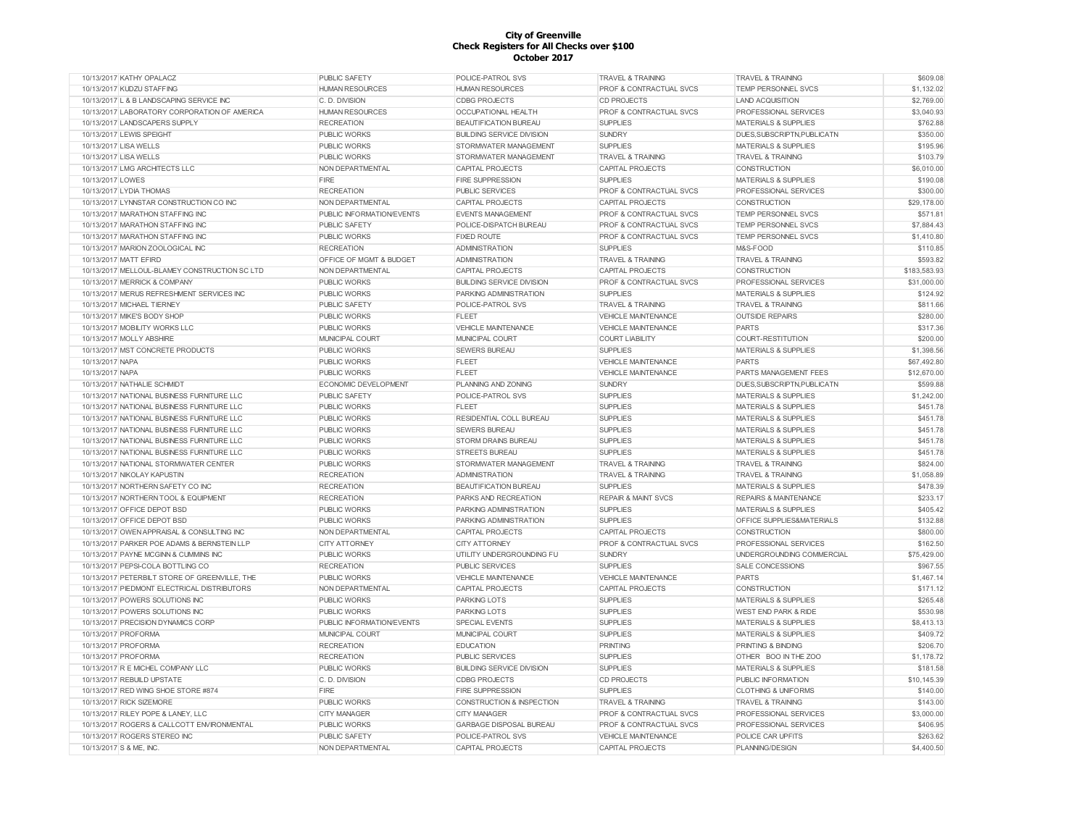| 10/13/2017 KATHY OPALACZ                      | <b>PUBLIC SAFETY</b>        | POLICE-PATROL SVS                | <b>TRAVEL &amp; TRAINING</b>   | <b>TRAVEL &amp; TRAINING</b>     | \$609.08     |
|-----------------------------------------------|-----------------------------|----------------------------------|--------------------------------|----------------------------------|--------------|
| 10/13/2017 KUDZU STAFFING                     | <b>HUMAN RESOURCES</b>      | <b>HUMAN RESOURCES</b>           | PROF & CONTRACTUAL SVCS        | TEMP PERSONNEL SVCS              | \$1,132.02   |
| 10/13/2017 L & B LANDSCAPING SERVICE INC      | C. D. DIVISION              | <b>CDBG PROJECTS</b>             | <b>CD PROJECTS</b>             | <b>LAND ACQUISITION</b>          | \$2,769.00   |
| 10/13/2017 LABORATORY CORPORATION OF AMERICA  | <b>HUMAN RESOURCES</b>      | OCCUPATIONAL HEALTH              | PROF & CONTRACTUAL SVCS        | PROFESSIONAL SERVICES            | \$3,040.93   |
| 10/13/2017 LANDSCAPERS SUPPLY                 | <b>RECREATION</b>           | <b>BEAUTIFICATION BUREAU</b>     | <b>SUPPLIES</b>                | <b>MATERIALS &amp; SUPPLIES</b>  | \$762.88     |
| 10/13/2017 LEWIS SPEIGHT                      | <b>PUBLIC WORKS</b>         | <b>BUILDING SERVICE DIVISION</b> | <b>SUNDRY</b>                  | DUES, SUBSCRIPTN, PUBLICATN      | \$350.00     |
| 10/13/2017 LISA WELLS                         | PUBLIC WORKS                | STORMWATER MANAGEMENT            | <b>SUPPLIES</b>                | <b>MATERIALS &amp; SUPPLIES</b>  | \$195.96     |
| 10/13/2017 LISA WELLS                         | PUBLIC WORKS                | STORMWATER MANAGEMENT            | <b>TRAVEL &amp; TRAINING</b>   | <b>TRAVEL &amp; TRAINING</b>     | \$103.79     |
| 10/13/2017 LMG ARCHITECTS LLC                 | NON DEPARTMENTAL            | <b>CAPITAL PROJECTS</b>          | <b>CAPITAL PROJECTS</b>        | CONSTRUCTION                     | \$6,010.00   |
| 10/13/2017 LOWES                              | FIRE                        | <b>FIRE SUPPRESSION</b>          | <b>SUPPLIES</b>                | <b>MATERIALS &amp; SUPPLIES</b>  | \$190.08     |
| 10/13/2017 LYDIA THOMAS                       | <b>RECREATION</b>           | <b>PUBLIC SERVICES</b>           | PROF & CONTRACTUAL SVCS        | PROFESSIONAL SERVICES            | \$300.00     |
| 10/13/2017 LYNNSTAR CONSTRUCTION CO INC       | NON DEPARTMENTAL            | <b>CAPITAL PROJECTS</b>          | <b>CAPITAL PROJECTS</b>        | <b>CONSTRUCTION</b>              | \$29,178.00  |
| 10/13/2017 MARATHON STAFFING INC              | PUBLIC INFORMATION/EVENTS   | <b>EVENTS MANAGEMENT</b>         | PROF & CONTRACTUAL SVCS        | TEMP PERSONNEL SVCS              | \$571.81     |
| 10/13/2017 MARATHON STAFFING INC              | PUBLIC SAFETY               | POLICE-DISPATCH BUREAU           | PROF & CONTRACTUAL SVCS        | <b>TEMP PERSONNEL SVCS</b>       | \$7,884.43   |
| 10/13/2017 MARATHON STAFFING INC              | <b>PUBLIC WORKS</b>         | <b>FIXED ROUTE</b>               | PROF & CONTRACTUAL SVCS        | TEMP PERSONNEL SVCS              | \$1,410.80   |
| 10/13/2017 MARION ZOOLOGICAL INC              | <b>RECREATION</b>           | <b>ADMINISTRATION</b>            | <b>SUPPLIES</b>                | M&S-FOOD                         | \$110.85     |
| 10/13/2017 MATT EFIRD                         | OFFICE OF MGMT & BUDGET     | <b>ADMINISTRATION</b>            | <b>TRAVEL &amp; TRAINING</b>   | <b>TRAVEL &amp; TRAINING</b>     | \$593.82     |
| 10/13/2017 MELLOUL-BLAMEY CONSTRUCTION SC LTD | NON DEPARTMENTAL            | <b>CAPITAL PROJECTS</b>          | <b>CAPITAL PROJECTS</b>        | <b>CONSTRUCTION</b>              | \$183,583.93 |
| 10/13/2017 MERRICK & COMPANY                  | <b>PUBLIC WORKS</b>         | <b>BUILDING SERVICE DIVISION</b> | PROF & CONTRACTUAL SVCS        | PROFESSIONAL SERVICES            | \$31,000.00  |
| 10/13/2017 MERUS REFRESHMENT SERVICES INC     |                             |                                  |                                | <b>MATERIALS &amp; SUPPLIES</b>  | \$124.92     |
|                                               | <b>PUBLIC WORKS</b>         | PARKING ADMINISTRATION           | <b>SUPPLIES</b>                |                                  |              |
| 10/13/2017 MICHAEL TIERNEY                    | PUBLIC SAFETY               | POLICE-PATROL SVS                | <b>TRAVEL &amp; TRAINING</b>   | <b>TRAVEL &amp; TRAINING</b>     | \$811.66     |
| 10/13/2017 MIKE'S BODY SHOP                   | <b>PUBLIC WORKS</b>         | <b>FLEET</b>                     | <b>VEHICLE MAINTENANCE</b>     | <b>OUTSIDE REPAIRS</b>           | \$280.00     |
| 10/13/2017 MOBILITY WORKS LLC                 | PUBLIC WORKS                | VEHICLE MAINTENANCE              | <b>VEHICLE MAINTENANCE</b>     | <b>PARTS</b>                     | \$317.36     |
| 10/13/2017 MOLLY ABSHIRE                      | MUNICIPAL COURT             | MUNICIPAL COURT                  | <b>COURT LIABILITY</b>         | COURT-RESTITUTION                | \$200.00     |
| 10/13/2017 MST CONCRETE PRODUCTS              | PUBLIC WORKS                | <b>SEWERS BUREAU</b>             | <b>SUPPLIES</b>                | <b>MATERIALS &amp; SUPPLIES</b>  | \$1,398.56   |
| 10/13/2017 NAPA                               | PUBLIC WORKS                | <b>FLEET</b>                     | <b>VEHICLE MAINTENANCE</b>     | <b>PARTS</b>                     | \$67,492.80  |
| 10/13/2017 NAPA                               | PUBLIC WORKS                | <b>FLEET</b>                     | <b>VEHICLE MAINTENANCE</b>     | PARTS MANAGEMENT FEES            | \$12,670.00  |
| 10/13/2017 NATHALIE SCHMIDT                   | <b>ECONOMIC DEVELOPMENT</b> | PLANNING AND ZONING              | <b>SUNDRY</b>                  | DUES.SUBSCRIPTN.PUBLICATN        | \$599.88     |
| 10/13/2017 NATIONAL BUSINESS FURNITURE LLC    | <b>PUBLIC SAFETY</b>        | POLICE-PATROL SVS                | <b>SUPPLIES</b>                | <b>MATERIALS &amp; SUPPLIES</b>  | \$1,242.00   |
| 10/13/2017 NATIONAL BUSINESS FURNITURE LLC    | <b>PUBLIC WORKS</b>         | <b>FLEET</b>                     | <b>SUPPLIES</b>                | <b>MATERIALS &amp; SUPPLIES</b>  | \$451.78     |
| 10/13/2017 NATIONAL BUSINESS FURNITURE LLC    | <b>PUBLIC WORKS</b>         | RESIDENTIAL COLL BUREAU          | <b>SUPPLIES</b>                | <b>MATERIALS &amp; SUPPLIES</b>  | \$451.78     |
| 10/13/2017 NATIONAL BUSINESS FURNITURE LLC    | <b>PUBLIC WORKS</b>         | <b>SEWERS BUREAU</b>             | <b>SUPPLIES</b>                | <b>MATERIALS &amp; SUPPLIES</b>  | \$451.78     |
| 10/13/2017 NATIONAL BUSINESS FURNITURE LLC    | PUBLIC WORKS                | STORM DRAINS BUREAU              | <b>SUPPLIES</b>                | <b>MATERIALS &amp; SUPPLIES</b>  | \$451.78     |
| 10/13/2017 NATIONAL BUSINESS FURNITURE LLC    | PUBLIC WORKS                | <b>STREETS BUREAU</b>            | <b>SUPPLIES</b>                | <b>MATERIALS &amp; SUPPLIES</b>  | \$451.78     |
| 10/13/2017 NATIONAL STORMWATER CENTER         | <b>PUBLIC WORKS</b>         | STORMWATER MANAGEMENT            | <b>TRAVEL &amp; TRAINING</b>   | <b>TRAVEL &amp; TRAINING</b>     | \$824.00     |
| 10/13/2017 NIKOLAY KAPUSTIN                   | <b>RECREATION</b>           | <b>ADMINISTRATION</b>            | <b>TRAVEL &amp; TRAINING</b>   | <b>TRAVEL &amp; TRAINING</b>     | \$1,058.89   |
| 10/13/2017 NORTHERN SAFETY CO INC             | <b>RECREATION</b>           | BEAUTIFICATION BUREAU            | <b>SUPPLIES</b>                | <b>MATERIALS &amp; SUPPLIES</b>  | \$478.39     |
| 10/13/2017 NORTHERN TOOL & EQUIPMENT          | <b>RECREATION</b>           | PARKS AND RECREATION             | <b>REPAIR &amp; MAINT SVCS</b> | <b>REPAIRS &amp; MAINTENANCE</b> | \$233.17     |
| 10/13/2017 OFFICE DEPOT BSD                   | PUBLIC WORKS                | PARKING ADMINISTRATION           | <b>SUPPLIES</b>                | <b>MATERIALS &amp; SUPPLIES</b>  | \$405.42     |
| 10/13/2017 OFFICE DEPOT BSD                   | <b>PUBLIC WORKS</b>         | PARKING ADMINISTRATION           | <b>SUPPLIES</b>                | OFFICE SUPPLIES&MATERIALS        | \$132.88     |
| 10/13/2017 OWEN APPRAISAL & CONSULTING INC    | NON DEPARTMENTAL            | <b>CAPITAL PROJECTS</b>          | CAPITAL PROJECTS               | <b>CONSTRUCTION</b>              | \$800.00     |
| 10/13/2017 PARKER POE ADAMS & BERNSTEIN LLP   | <b>CITY ATTORNEY</b>        | <b>CITY ATTORNEY</b>             | PROF & CONTRACTUAL SVCS        | PROFESSIONAL SERVICES            | \$162.50     |
| 10/13/2017 PAYNE MCGINN & CUMMINS INC         | PUBLIC WORKS                | UTILITY UNDERGROUNDING FU        | <b>SUNDRY</b>                  | UNDERGROUNDING COMMERCIAL        | \$75,429.00  |
| 10/13/2017 PEPSI-COLA BOTTLING CO             | <b>RECREATION</b>           | <b>PUBLIC SERVICES</b>           | <b>SUPPLIES</b>                | <b>SALE CONCESSIONS</b>          | \$967.55     |
| 10/13/2017 PETERBILT STORE OF GREENVILLE. THE | <b>PUBLIC WORKS</b>         | VEHICLE MAINTENANCE              | <b>VEHICLE MAINTENANCE</b>     | <b>PARTS</b>                     | \$1,467.14   |
| 10/13/2017 PIEDMONT ELECTRICAL DISTRIBUTORS   | NON DEPARTMENTAL            | <b>CAPITAL PROJECTS</b>          | <b>CAPITAL PROJECTS</b>        | <b>CONSTRUCTION</b>              | \$171.12     |
| 10/13/2017 POWERS SOLUTIONS INC               | <b>PUBLIC WORKS</b>         | PARKING LOTS                     | <b>SUPPLIES</b>                | <b>MATERIALS &amp; SUPPLIES</b>  | \$265.48     |
| 10/13/2017 POWERS SOLUTIONS INC               | <b>PUBLIC WORKS</b>         | <b>PARKING LOTS</b>              | <b>SUPPLIES</b>                | <b>WEST END PARK &amp; RIDE</b>  | \$530.98     |
| 10/13/2017 PRECISION DYNAMICS CORP            | PUBLIC INFORMATION/EVENTS   | SPECIAL EVENTS                   | <b>SUPPLIES</b>                | <b>MATERIALS &amp; SUPPLIES</b>  | \$8.413.13   |
| 10/13/2017 PROFORMA                           | MUNICIPAL COURT             | MUNICIPAL COURT                  | <b>SUPPLIES</b>                | <b>MATERIALS &amp; SUPPLIES</b>  | \$409.72     |
| 10/13/2017 PROFORMA                           | <b>RECREATION</b>           | <b>EDUCATION</b>                 | <b>PRINTING</b>                | <b>PRINTING &amp; BINDING</b>    | \$206.70     |
| 10/13/2017 PROFORMA                           | <b>RECREATION</b>           | PUBLIC SERVICES                  | <b>SUPPLIES</b>                | OTHER BOO IN THE ZOO             | \$1,178.72   |
|                                               |                             | <b>BUILDING SERVICE DIVISION</b> | <b>SUPPLIES</b>                |                                  | \$181.58     |
| 10/13/2017 R E MICHEL COMPANY LLC             | <b>PUBLIC WORKS</b>         |                                  |                                | <b>MATERIALS &amp; SUPPLIES</b>  |              |
| 10/13/2017 REBUILD UPSTATE                    | C. D. DIVISION              | <b>CDBG PROJECTS</b>             | CD PROJECTS                    | PUBLIC INFORMATION               | \$10,145.39  |
| 10/13/2017 RED WING SHOE STORE #874           | FIRE                        | <b>FIRE SUPPRESSION</b>          | <b>SUPPLIES</b>                | <b>CLOTHING &amp; UNIFORMS</b>   | \$140.00     |
| 10/13/2017 RICK SIZEMORE                      | <b>PUBLIC WORKS</b>         | CONSTRUCTION & INSPECTION        | <b>TRAVEL &amp; TRAINING</b>   | <b>TRAVEL &amp; TRAINING</b>     | \$143.00     |
| 10/13/2017 RILEY POPE & LANEY, LLC            | <b>CITY MANAGER</b>         | <b>CITY MANAGER</b>              | PROF & CONTRACTUAL SVCS        | PROFESSIONAL SERVICES            | \$3,000.00   |
| 10/13/2017 ROGERS & CALLCOTT ENVIRONMENTAL    | PUBLIC WORKS                | <b>GARBAGE DISPOSAL BUREAU</b>   | PROF & CONTRACTUAL SVCS        | PROFESSIONAL SERVICES            | \$406.95     |
| 10/13/2017 ROGERS STEREO INC                  | PUBLIC SAFETY               | POLICE-PATROL SVS                | <b>VEHICLE MAINTENANCE</b>     | POLICE CAR UPFITS                | \$263.62     |
| 10/13/2017 S & ME, INC.                       | NON DEPARTMENTAL            | <b>CAPITAL PROJECTS</b>          | <b>CAPITAL PROJECTS</b>        | PLANNING/DESIGN                  | \$4,400.50   |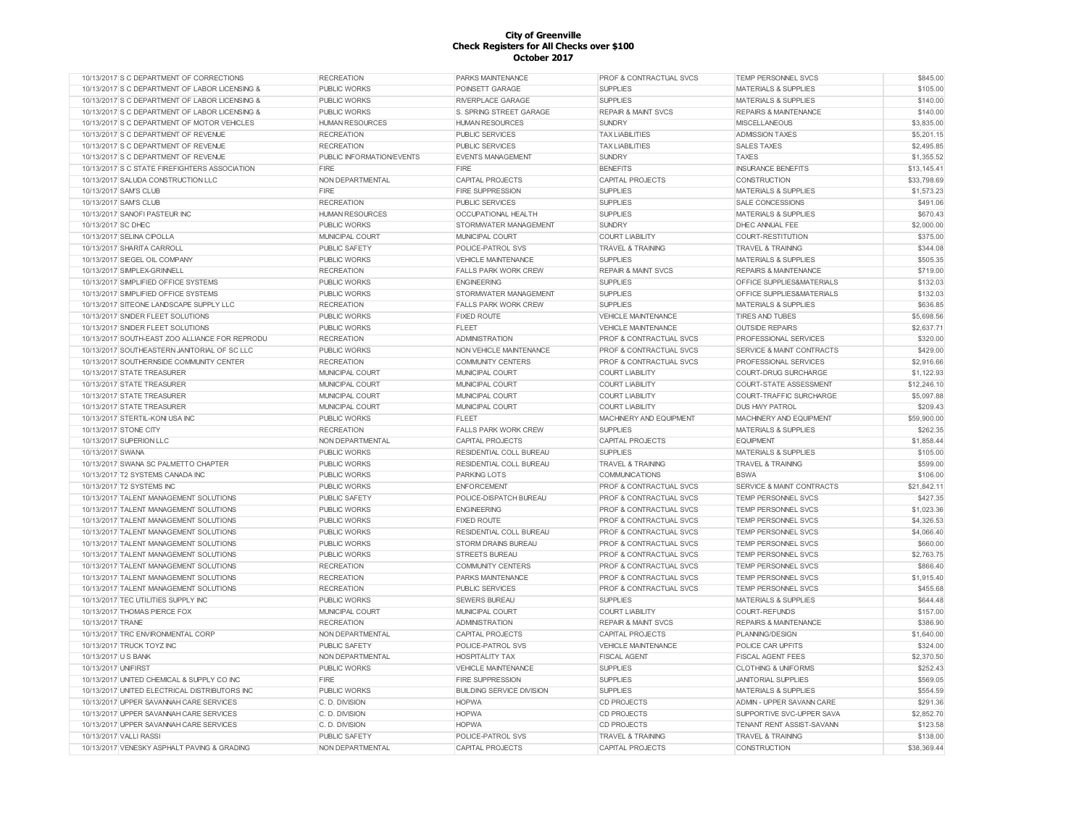| 10/13/2017 S C DEPARTMENT OF CORRECTIONS       | <b>RECREATION</b>         | <b>PARKS MAINTENANCE</b>         | PROF & CONTRACTUAL SVCS            | TEMP PERSONNEL SVCS                  | \$845.00    |
|------------------------------------------------|---------------------------|----------------------------------|------------------------------------|--------------------------------------|-------------|
| 10/13/2017 S C DEPARTMENT OF LABOR LICENSING & | PUBLIC WORKS              | POINSETT GARAGE                  | <b>SUPPLIES</b>                    | <b>MATERIALS &amp; SUPPLIES</b>      | \$105.00    |
| 10/13/2017 S C DEPARTMENT OF LABOR LICENSING & | PUBLIC WORKS              | RIVERPLACE GARAGE                | <b>SUPPLIES</b>                    | <b>MATERIALS &amp; SUPPLIES</b>      | \$140.00    |
| 10/13/2017 S C DEPARTMENT OF LABOR LICENSING & | PUBLIC WORKS              | S. SPRING STREET GARAGE          | <b>REPAIR &amp; MAINT SVCS</b>     | <b>REPAIRS &amp; MAINTENANCE</b>     | \$140.00    |
| 10/13/2017 S C DEPARTMENT OF MOTOR VEHICLES    | <b>HUMAN RESOURCES</b>    | <b>HUMAN RESOURCES</b>           | <b>SUNDRY</b>                      | <b>MISCELLANEOUS</b>                 | \$3,835.00  |
| 10/13/2017 S C DEPARTMENT OF REVENUE           | <b>RECREATION</b>         | PUBLIC SERVICES                  | <b>TAX LIABILITIES</b>             | <b>ADMISSION TAXES</b>               | \$5,201.15  |
| 10/13/2017 S C DEPARTMENT OF REVENUE           | <b>RECREATION</b>         | <b>PUBLIC SERVICES</b>           | <b>TAX LIABILITIES</b>             | <b>SALES TAXES</b>                   | \$2,495.85  |
| 10/13/2017 S C DEPARTMENT OF REVENUE           | PUBLIC INFORMATION/EVENTS | <b>EVENTS MANAGEMENT</b>         | <b>SUNDRY</b>                      | <b>TAXES</b>                         | \$1,355.52  |
| 10/13/2017 S C STATE FIREFIGHTERS ASSOCIATION  | <b>FIRE</b>               | FIRE                             | <b>BENEFITS</b>                    | <b>INSURANCE BENEFITS</b>            | \$13,145.41 |
| 10/13/2017 SALUDA CONSTRUCTION LLC             | NON DEPARTMENTAL          | <b>CAPITAL PROJECTS</b>          | <b>CAPITAL PROJECTS</b>            | <b>CONSTRUCTION</b>                  | \$33,798.69 |
| 10/13/2017 SAM'S CLUB                          | <b>FIRE</b>               | <b>FIRE SUPPRESSION</b>          | <b>SUPPLIES</b>                    | <b>MATERIALS &amp; SUPPLIES</b>      | \$1,573.23  |
| 10/13/2017 SAM'S CLUB                          | <b>RECREATION</b>         | <b>PUBLIC SERVICES</b>           | <b>SUPPLIES</b>                    | <b>SALE CONCESSIONS</b>              | \$491.06    |
| 10/13/2017 SANOFI PASTEUR INC                  | <b>HUMAN RESOURCES</b>    | OCCUPATIONAL HEALTH              | <b>SUPPLIES</b>                    | MATERIALS & SUPPLIES                 | \$670.43    |
| 10/13/2017 SC DHEC                             | PUBLIC WORKS              | STORMWATER MANAGEMENT            | <b>SUNDRY</b>                      | DHEC ANNUAL FEE                      | \$2,000.00  |
| 10/13/2017 SELINA CIPOLLA                      | MUNICIPAL COURT           | MUNICIPAL COURT                  | <b>COURT LIABILITY</b>             | COURT-RESTITUTION                    | \$375.00    |
| 10/13/2017 SHARITA CARROLL                     | PUBLIC SAFETY             | POLICE-PATROL SVS                | <b>TRAVEL &amp; TRAINING</b>       | <b>TRAVEL &amp; TRAINING</b>         | \$344.08    |
| 10/13/2017 SIEGEL OIL COMPANY                  | <b>PUBLIC WORKS</b>       | <b>VEHICLE MAINTENANCE</b>       | <b>SUPPLIES</b>                    | <b>MATERIALS &amp; SUPPLIES</b>      | \$505.35    |
| 10/13/2017 SIMPLEX-GRINNELL                    | <b>RECREATION</b>         | <b>FALLS PARK WORK CREW</b>      | <b>REPAIR &amp; MAINT SVCS</b>     | <b>REPAIRS &amp; MAINTENANCE</b>     | \$719.00    |
| 10/13/2017 SIMPLIFIED OFFICE SYSTEMS           | <b>PUBLIC WORKS</b>       | <b>ENGINEERING</b>               | <b>SUPPLIES</b>                    | OFFICE SUPPLIES&MATERIALS            | \$132.03    |
|                                                |                           |                                  |                                    |                                      |             |
| 10/13/2017 SIMPLIFIED OFFICE SYSTEMS           | PUBLIC WORKS              | STORMWATER MANAGEMENT            | <b>SUPPLIES</b>                    | OFFICE SUPPLIES&MATERIALS            | \$132.03    |
| 10/13/2017 SITEONE LANDSCAPE SUPPLY LLC        | <b>RECREATION</b>         | <b>FALLS PARK WORK CREW</b>      | <b>SUPPLIES</b>                    | <b>MATERIALS &amp; SUPPLIES</b>      | \$636.85    |
| 10/13/2017 SNIDER FLEET SOLUTIONS              | PUBLIC WORKS              | <b>FIXED ROUTE</b>               | <b>VEHICLE MAINTENANCE</b>         | <b>TIRES AND TUBES</b>               | \$5,698.56  |
| 10/13/2017 SNIDER FLEET SOLUTIONS              | PUBLIC WORKS              | <b>FLEET</b>                     | <b>VEHICLE MAINTENANCE</b>         | <b>OUTSIDE REPAIRS</b>               | \$2,637.71  |
| 10/13/2017 SOUTH-EAST ZOO ALLIANCE FOR REPRODU | <b>RECREATION</b>         | <b>ADMINISTRATION</b>            | PROF & CONTRACTUAL SVCS            | PROFESSIONAL SERVICES                | \$320.00    |
| 10/13/2017 SOUTHEASTERN JANITORIAL OF SC LLC   | PUBLIC WORKS              | NON VEHICLE MAINTENANCE          | PROF & CONTRACTUAL SVCS            | SERVICE & MAINT CONTRACTS            | \$429.00    |
| 10/13/2017 SOUTHERNSIDE COMMUNITY CENTER       | <b>RECREATION</b>         | <b>COMMUNITY CENTERS</b>         | <b>PROF &amp; CONTRACTUAL SVCS</b> | PROFESSIONAL SERVICES                | \$2,916.66  |
| 10/13/2017 STATE TREASURER                     | MUNICIPAL COURT           | <b>MUNICIPAL COURT</b>           | <b>COURT LIABILITY</b>             | <b>COURT-DRUG SURCHARGE</b>          | \$1,122.93  |
| 10/13/2017 STATE TREASURER                     | MUNICIPAL COURT           | <b>MUNICIPAL COURT</b>           | <b>COURT LIABILITY</b>             | <b>COURT-STATE ASSESSMENT</b>        | \$12,246.10 |
| 10/13/2017 STATE TREASURER                     | MUNICIPAL COURT           | MUNICIPAL COURT                  | <b>COURT LIABILITY</b>             | COURT-TRAFFIC SURCHARGE              | \$5,097.88  |
| 10/13/2017 STATE TREASURER                     | MUNICIPAL COURT           | MUNICIPAL COURT                  | <b>COURT LIABILITY</b>             | <b>DUS HWY PATROL</b>                | \$209.43    |
| 10/13/2017 STERTIL-KONI USA INC                | PUBLIC WORKS              | <b>FLEET</b>                     | MACHINERY AND EQUIPMENT            | MACHINERY AND EQUIPMENT              | \$59,900.00 |
| 10/13/2017 STONE CITY                          | <b>RECREATION</b>         | <b>FALLS PARK WORK CREW</b>      | <b>SUPPLIES</b>                    | <b>MATERIALS &amp; SUPPLIES</b>      | \$262.35    |
| 10/13/2017 SUPERION LLC                        | NON DEPARTMENTAL          | CAPITAL PROJECTS                 | <b>CAPITAL PROJECTS</b>            | <b>EQUIPMENT</b>                     | \$1,858.44  |
| 10/13/2017 SWANA                               | PUBLIC WORKS              | RESIDENTIAL COLL BUREAU          | <b>SUPPLIES</b>                    | <b>MATERIALS &amp; SUPPLIES</b>      | \$105.00    |
| 10/13/2017 SWANA SC PALMETTO CHAPTER           | <b>PUBLIC WORKS</b>       | RESIDENTIAL COLL BUREAU          | <b>TRAVEL &amp; TRAINING</b>       | <b>TRAVEL &amp; TRAINING</b>         | \$599.00    |
| 10/13/2017 T2 SYSTEMS CANADA INC               | <b>PUBLIC WORKS</b>       | <b>PARKING LOTS</b>              | <b>COMMUNICATIONS</b>              | <b>BSWA</b>                          | \$106.00    |
| 10/13/2017 T2 SYSTEMS INC                      | PUBLIC WORKS              | <b>ENFORCEMENT</b>               | PROF & CONTRACTUAL SVCS            | <b>SERVICE &amp; MAINT CONTRACTS</b> | \$21,842.11 |
| 10/13/2017 TALENT MANAGEMENT SOLUTIONS         | PUBLIC SAFETY             | POLICE-DISPATCH BUREAU           | <b>PROF &amp; CONTRACTUAL SVCS</b> | <b>TEMP PERSONNEL SVCS</b>           | \$427.35    |
| 10/13/2017 TALENT MANAGEMENT SOLUTIONS         | <b>PUBLIC WORKS</b>       | <b>ENGINEERING</b>               | <b>PROF &amp; CONTRACTUAL SVCS</b> | <b>TEMP PERSONNEL SVCS</b>           | \$1,023.36  |
| 10/13/2017 TALENT MANAGEMENT SOLUTIONS         | PUBLIC WORKS              | <b>FIXED ROUTE</b>               | PROF & CONTRACTUAL SVCS            | TEMP PERSONNEL SVCS                  | \$4,326.53  |
| 10/13/2017 TALENT MANAGEMENT SOLUTIONS         | PUBLIC WORKS              | RESIDENTIAL COLL BUREAU          | PROF & CONTRACTUAL SVCS            | <b>TEMP PERSONNEL SVCS</b>           | \$4,066.40  |
| 10/13/2017 TALENT MANAGEMENT SOLUTIONS         | PUBLIC WORKS              | <b>STORM DRAINS BUREAU</b>       | PROF & CONTRACTUAL SVCS            | TEMP PERSONNEL SVCS                  | \$660.00    |
| 10/13/2017 TALENT MANAGEMENT SOLUTIONS         | <b>PUBLIC WORKS</b>       | <b>STREETS BUREAU</b>            | <b>PROF &amp; CONTRACTUAL SVCS</b> | <b>TEMP PERSONNEL SVCS</b>           | \$2,763.75  |
| 10/13/2017 TALENT MANAGEMENT SOLUTIONS         | <b>RECREATION</b>         | <b>COMMUNITY CENTERS</b>         | <b>PROF &amp; CONTRACTUAL SVCS</b> | <b>TEMP PERSONNEL SVCS</b>           | \$866.40    |
| 10/13/2017 TALENT MANAGEMENT SOLUTIONS         | <b>RECREATION</b>         | PARKS MAINTENANCE                | PROF & CONTRACTUAL SVCS            | <b>TEMP PERSONNEL SVCS</b>           | \$1,915.40  |
| 10/13/2017 TALENT MANAGEMENT SOLUTIONS         | <b>RECREATION</b>         | <b>PUBLIC SERVICES</b>           | PROF & CONTRACTUAL SVCS            | <b>TEMP PERSONNEL SVCS</b>           | \$455.68    |
| 10/13/2017 TEC UTILITIES SUPPLY INC            | <b>PUBLIC WORKS</b>       | <b>SEWERS BUREAU</b>             | <b>SUPPLIES</b>                    | <b>MATERIALS &amp; SUPPLIES</b>      | \$644.48    |
| 10/13/2017 THOMAS PIERCE FOX                   | MUNICIPAL COURT           | MUNICIPAL COURT                  | <b>COURT LIABILITY</b>             | <b>COURT-REFUNDS</b>                 | \$157.00    |
| 10/13/2017 TRANE                               | <b>RECREATION</b>         | <b>ADMINISTRATION</b>            | <b>REPAIR &amp; MAINT SVCS</b>     | <b>REPAIRS &amp; MAINTENANCE</b>     | \$386.90    |
| 10/13/2017 TRC ENVIRONMENTAL CORP              | NON DEPARTMENTAL          | <b>CAPITAL PROJECTS</b>          | <b>CAPITAL PROJECTS</b>            | PLANNING/DESIGN                      | \$1,640.00  |
| 10/13/2017 TRUCK TOYZ INC                      | PUBLIC SAFETY             |                                  | <b>VEHICLE MAINTENANCE</b>         |                                      | \$324.00    |
|                                                |                           | POLICE-PATROL SVS                |                                    | POLICE CAR UPFITS                    |             |
| 10/13/2017 U S BANK                            | NON DEPARTMENTAL          | <b>HOSPITALITY TAX</b>           | <b>FISCAL AGENT</b>                | <b>FISCAL AGENT FEES</b>             | \$2,370.50  |
| 10/13/2017 UNIFIRST                            | <b>PUBLIC WORKS</b>       | VEHICLE MAINTENANCE              | <b>SUPPLIES</b>                    | <b>CLOTHING &amp; UNIFORMS</b>       | \$252.43    |
| 10/13/2017 UNITED CHEMICAL & SUPPLY CO INC     | <b>FIRE</b>               | FIRE SUPPRESSION                 | <b>SUPPLIES</b>                    | <b>JANITORIAL SUPPLIES</b>           | \$569.05    |
| 10/13/2017 UNITED ELECTRICAL DISTRIBUTORS INC  | PUBLIC WORKS              | <b>BUILDING SERVICE DIVISION</b> | <b>SUPPLIES</b>                    | <b>MATERIALS &amp; SUPPLIES</b>      | \$554.59    |
| 10/13/2017 UPPER SAVANNAH CARE SERVICES        | C. D. DIVISION            | <b>HOPWA</b>                     | <b>CD PROJECTS</b>                 | ADMIN - UPPER SAVANN CARE            | \$291.36    |
| 10/13/2017 UPPER SAVANNAH CARE SERVICES        | C. D. DIVISION            | <b>HOPWA</b>                     | <b>CD PROJECTS</b>                 | SUPPORTIVE SVC-UPPER SAVA            | \$2,852.70  |
| 10/13/2017 UPPER SAVANNAH CARE SERVICES        | C. D. DIVISION            | <b>HOPWA</b>                     | <b>CD PROJECTS</b>                 | TENANT RENT ASSIST-SAVANN            | \$123.58    |
| 10/13/2017 VALLI RASSI                         | PUBLIC SAFETY             | POLICE-PATROL SVS                | <b>TRAVEL &amp; TRAINING</b>       | <b>TRAVEL &amp; TRAINING</b>         | \$138.00    |
| 10/13/2017 VENESKY ASPHALT PAVING & GRADING    | NON DEPARTMENTAL          | <b>CAPITAL PROJECTS</b>          | <b>CAPITAL PROJECTS</b>            | <b>CONSTRUCTION</b>                  | \$38,369.44 |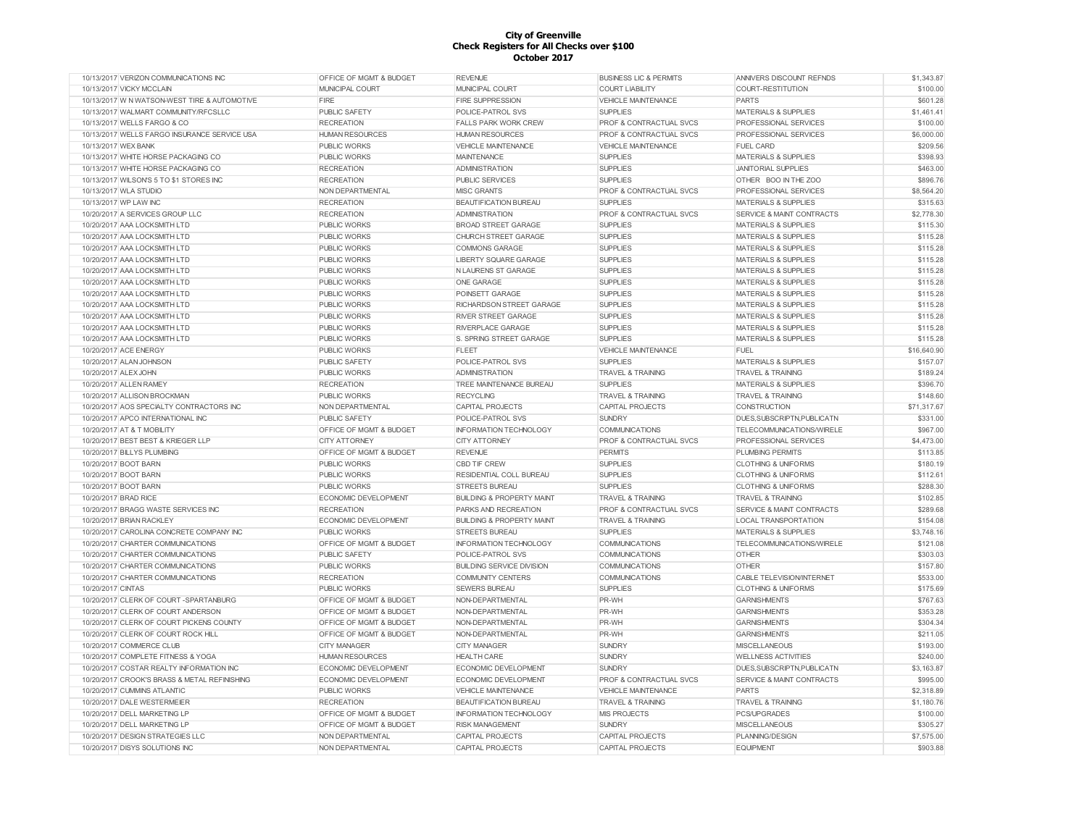| 10/13/2017 VERIZON COMMUNICATIONS INC        | OFFICE OF MGMT & BUDGET            | <b>REVENUE</b>                       | <b>BUSINESS LIC &amp; PERMITS</b>  | ANNIVERS DISCOUNT REFNDS             | \$1,343.87  |
|----------------------------------------------|------------------------------------|--------------------------------------|------------------------------------|--------------------------------------|-------------|
| 10/13/2017 VICKY MCCLAIN                     | MUNICIPAL COURT                    | MUNICIPAL COURT                      | <b>COURT LIABILITY</b>             | COURT-RESTITUTION                    | \$100.00    |
| 10/13/2017 W N WATSON-WEST TIRE & AUTOMOTIVE | FIRE                               | <b>FIRE SUPPRESSION</b>              | <b>VEHICLE MAINTENANCE</b>         | <b>PARTS</b>                         | \$601.28    |
| 10/13/2017 WALMART COMMUNITY/RFCSLLC         | PUBLIC SAFETY                      | POLICE-PATROL SVS                    | <b>SUPPLIES</b>                    | <b>MATERIALS &amp; SUPPLIES</b>      | \$1,461.41  |
| 10/13/2017 WELLS FARGO & CO                  | <b>RECREATION</b>                  | <b>FALLS PARK WORK CREW</b>          | PROF & CONTRACTUAL SVCS            | PROFESSIONAL SERVICES                | \$100.00    |
| 10/13/2017 WELLS FARGO INSURANCE SERVICE USA | <b>HUMAN RESOURCES</b>             | <b>HUMAN RESOURCES</b>               | PROF & CONTRACTUAL SVCS            | PROFESSIONAL SERVICES                | \$6,000.00  |
| 10/13/2017 WEX BANK                          | PUBLIC WORKS                       | <b>VEHICLE MAINTENANCE</b>           | <b>VEHICLE MAINTENANCE</b>         | <b>FUEL CARD</b>                     | \$209.56    |
| 10/13/2017 WHITE HORSE PACKAGING CO          | <b>PUBLIC WORKS</b>                | <b>MAINTENANCE</b>                   | <b>SUPPLIES</b>                    | <b>MATERIALS &amp; SUPPLIES</b>      | \$398.93    |
| 10/13/2017 WHITE HORSE PACKAGING CO          | <b>RECREATION</b>                  | <b>ADMINISTRATION</b>                | <b>SUPPLIES</b>                    | <b>JANITORIAL SUPPLIES</b>           | \$463.00    |
| 10/13/2017 WILSON'S 5 TO \$1 STORES INC      | <b>RECREATION</b>                  | <b>PUBLIC SERVICES</b>               | <b>SUPPLIES</b>                    | OTHER BOO IN THE ZOO                 | \$896.76    |
| 10/13/2017 WLA STUDIO                        | NON DEPARTMENTAL                   | <b>MISC GRANTS</b>                   | PROF & CONTRACTUAL SVCS            | PROFESSIONAL SERVICES                | \$8,564.20  |
| 10/13/2017 WP LAW INC                        | <b>RECREATION</b>                  | <b>BEAUTIFICATION BUREAU</b>         | <b>SUPPLIES</b>                    | <b>MATERIALS &amp; SUPPLIES</b>      | \$315.63    |
| 10/20/2017 A SERVICES GROUP LLC              | <b>RECREATION</b>                  | <b>ADMINISTRATION</b>                | PROF & CONTRACTUAL SVCS            | SERVICE & MAINT CONTRACTS            | \$2,778.30  |
| 10/20/2017 AAA LOCKSMITH LTD                 | <b>PUBLIC WORKS</b>                | <b>BROAD STREET GARAGE</b>           | <b>SUPPLIES</b>                    | <b>MATERIALS &amp; SUPPLIES</b>      | \$115.30    |
| 10/20/2017 AAA LOCKSMITH LTD                 | PUBLIC WORKS                       | CHURCH STREET GARAGE                 | <b>SUPPLIES</b>                    | <b>MATERIALS &amp; SUPPLIES</b>      | \$115.28    |
| 10/20/2017 AAA LOCKSMITH LTD                 | <b>PUBLIC WORKS</b>                | <b>COMMONS GARAGE</b>                | <b>SUPPLIES</b>                    | <b>MATERIALS &amp; SUPPLIES</b>      | \$115.28    |
| 10/20/2017 AAA LOCKSMITH LTD                 | <b>PUBLIC WORKS</b>                | <b>LIBERTY SQUARE GARAGE</b>         | <b>SUPPLIES</b>                    | <b>MATERIALS &amp; SUPPLIES</b>      | \$115.28    |
| 10/20/2017 AAA LOCKSMITH LTD                 | <b>PUBLIC WORKS</b>                | N LAURENS ST GARAGE                  | <b>SUPPLIES</b>                    | <b>MATERIALS &amp; SUPPLIES</b>      | \$115.28    |
| 10/20/2017 AAA LOCKSMITH LTD                 | <b>PUBLIC WORKS</b>                | <b>ONE GARAGE</b>                    | <b>SUPPLIES</b>                    | <b>MATERIALS &amp; SUPPLIES</b>      | \$115.28    |
| 10/20/2017 AAA LOCKSMITH LTD                 | <b>PUBLIC WORKS</b>                | POINSETT GARAGE                      | <b>SUPPLIES</b>                    | <b>MATERIALS &amp; SUPPLIES</b>      | \$115.28    |
| 10/20/2017 AAA LOCKSMITH LTD                 | PUBLIC WORKS                       | RICHARDSON STREET GARAGE             | <b>SUPPLIES</b>                    | <b>MATERIALS &amp; SUPPLIES</b>      | \$115.28    |
| 10/20/2017 AAA LOCKSMITH LTD                 | <b>PUBLIC WORKS</b>                | <b>RIVER STREET GARAGE</b>           | <b>SUPPLIES</b>                    | <b>MATERIALS &amp; SUPPLIES</b>      | \$115.28    |
| 10/20/2017 AAA LOCKSMITH LTD                 | <b>PUBLIC WORKS</b>                | RIVERPLACE GARAGE                    | <b>SUPPLIES</b>                    | <b>MATERIALS &amp; SUPPLIES</b>      | \$115.28    |
| 10/20/2017 AAA LOCKSMITH LTD                 | <b>PUBLIC WORKS</b>                | S. SPRING STREET GARAGE              | <b>SUPPLIES</b>                    | <b>MATERIALS &amp; SUPPLIES</b>      | \$115.28    |
| 10/20/2017 ACE ENERGY                        | <b>PUBLIC WORKS</b>                | <b>FLEET</b>                         | <b>VEHICLE MAINTENANCE</b>         | FUEL                                 | \$16,640.90 |
| 10/20/2017 ALAN JOHNSON                      | <b>PUBLIC SAFETY</b>               | POLICE-PATROL SVS                    | <b>SUPPLIES</b>                    | <b>MATERIALS &amp; SUPPLIES</b>      | \$157.07    |
| 10/20/2017 ALEX JOHN                         | <b>PUBLIC WORKS</b>                | <b>ADMINISTRATION</b>                | <b>TRAVEL &amp; TRAINING</b>       | <b>TRAVEL &amp; TRAINING</b>         | \$189.24    |
|                                              |                                    |                                      |                                    |                                      |             |
| 10/20/2017 ALLEN RAMEY                       | <b>RECREATION</b>                  | TREE MAINTENANCE BUREAU              | <b>SUPPLIES</b>                    | <b>MATERIALS &amp; SUPPLIES</b>      | \$396.70    |
| 10/20/2017 ALLISON BROCKMAN                  | <b>PUBLIC WORKS</b>                | <b>RECYCLING</b>                     | <b>TRAVEL &amp; TRAINING</b>       | <b>TRAVEL &amp; TRAINING</b>         | \$148.60    |
| 10/20/2017 AOS SPECIALTY CONTRACTORS INC     | NON DEPARTMENTAL                   | <b>CAPITAL PROJECTS</b>              | <b>CAPITAL PROJECTS</b>            | <b>CONSTRUCTION</b>                  | \$71,317.67 |
| 10/20/2017 APCO INTERNATIONAL INC            | <b>PUBLIC SAFETY</b>               | POLICE-PATROL SVS                    | <b>SUNDRY</b>                      | DUES, SUBSCRIPTN, PUBLICATN          | \$331.00    |
| 10/20/2017 AT & T MOBILITY                   | OFFICE OF MGMT & BUDGET            | <b>INFORMATION TECHNOLOGY</b>        | <b>COMMUNICATIONS</b>              | TELECOMMUNICATIONS/WIRELE            | \$967.00    |
| 10/20/2017 BEST BEST & KRIEGER LLP           | <b>CITY ATTORNEY</b>               | <b>CITY ATTORNEY</b>                 | <b>PROF &amp; CONTRACTUAL SVCS</b> | PROFESSIONAL SERVICES                | \$4,473.00  |
| 10/20/2017 BILLYS PLUMBING                   | OFFICE OF MGMT & BUDGET            | <b>REVENUE</b>                       | <b>PERMITS</b>                     | <b>PLUMBING PERMITS</b>              | \$113.85    |
| 10/20/2017 BOOT BARN                         | <b>PUBLIC WORKS</b>                | <b>CBD TIF CREW</b>                  | <b>SUPPLIES</b>                    | <b>CLOTHING &amp; UNIFORMS</b>       | \$180.19    |
| 10/20/2017 BOOT BARN                         | <b>PUBLIC WORKS</b>                | RESIDENTIAL COLL BUREAU              | <b>SUPPLIES</b>                    | <b>CLOTHING &amp; UNIFORMS</b>       | \$112.61    |
| 10/20/2017 BOOT BARN                         | <b>PUBLIC WORKS</b>                | <b>STREETS BUREAU</b>                | <b>SUPPLIES</b>                    | <b>CLOTHING &amp; UNIFORMS</b>       | \$288.30    |
| 10/20/2017 BRAD RICE                         | <b>ECONOMIC DEVELOPMENT</b>        | <b>BUILDING &amp; PROPERTY MAINT</b> | <b>TRAVEL &amp; TRAINING</b>       | <b>TRAVEL &amp; TRAINING</b>         | \$102.85    |
| 10/20/2017 BRAGG WASTE SERVICES INC          | <b>RECREATION</b>                  | PARKS AND RECREATION                 | PROF & CONTRACTUAL SVCS            | SERVICE & MAINT CONTRACTS            | \$289.68    |
| 10/20/2017 BRIAN RACKLEY                     | ECONOMIC DEVELOPMENT               | <b>BUILDING &amp; PROPERTY MAINT</b> | <b>TRAVEL &amp; TRAINING</b>       | LOCAL TRANSPORTATION                 | \$154.08    |
| 10/20/2017 CAROLINA CONCRETE COMPANY INC     | <b>PUBLIC WORKS</b>                | <b>STREETS BUREAU</b>                | <b>SUPPLIES</b>                    | <b>MATERIALS &amp; SUPPLIES</b>      | \$3,748.16  |
| 10/20/2017 CHARTER COMMUNICATIONS            | OFFICE OF MGMT & BUDGET            | INFORMATION TECHNOLOGY               | <b>COMMUNICATIONS</b>              | TELECOMMUNICATIONS/WIRELE            | \$121.08    |
| 10/20/2017 CHARTER COMMUNICATIONS            | PUBLIC SAFETY                      | POLICE-PATROL SVS                    | COMMUNICATIONS                     | <b>OTHER</b>                         | \$303.03    |
| 10/20/2017 CHARTER COMMUNICATIONS            | <b>PUBLIC WORKS</b>                | <b>BUILDING SERVICE DIVISION</b>     | <b>COMMUNICATIONS</b>              | <b>OTHER</b>                         | \$157.80    |
| 10/20/2017 CHARTER COMMUNICATIONS            | <b>RECREATION</b>                  | <b>COMMUNITY CENTERS</b>             | <b>COMMUNICATIONS</b>              | CABLE TELEVISION/INTERNET            | \$533.00    |
| 10/20/2017 CINTAS                            | <b>PUBLIC WORKS</b>                | <b>SEWERS BUREAU</b>                 | <b>SUPPLIES</b>                    | <b>CLOTHING &amp; UNIFORMS</b>       | \$175.69    |
| 10/20/2017 CLERK OF COURT -SPARTANBURG       | <b>OFFICE OF MGMT &amp; BUDGET</b> | NON-DEPARTMENTAL                     | PR-WH                              | <b>GARNISHMENTS</b>                  | \$767.63    |
| 10/20/2017 CLERK OF COURT ANDERSON           | <b>OFFICE OF MGMT &amp; BUDGET</b> | NON-DEPARTMENTAL                     | PR-WH                              | <b>GARNISHMENTS</b>                  | \$353.28    |
| 10/20/2017 CLERK OF COURT PICKENS COUNTY     | <b>OFFICE OF MGMT &amp; BUDGET</b> | NON-DEPARTMENTAL                     | PR-WH                              | <b>GARNISHMENTS</b>                  | \$304.34    |
| 10/20/2017 CLERK OF COURT ROCK HILL          | <b>OFFICE OF MGMT &amp; BUDGET</b> | NON-DEPARTMENTAL                     | PR-WH                              | <b>GARNISHMENTS</b>                  | \$211.05    |
| 10/20/2017 COMMERCE CLUB                     | <b>CITY MANAGER</b>                | <b>CITY MANAGER</b>                  | <b>SUNDRY</b>                      | <b>MISCELLANEOUS</b>                 | \$193.00    |
| 10/20/2017 COMPLETE FITNESS & YOGA           | <b>HUMAN RESOURCES</b>             | <b>HEALTH CARE</b>                   | <b>SUNDRY</b>                      | <b>WELLNESS ACTIVITIES</b>           | \$240.00    |
| 10/20/2017 COSTAR REALTY INFORMATION INC     | <b>ECONOMIC DEVELOPMENT</b>        | ECONOMIC DEVELOPMENT                 | <b>SUNDRY</b>                      | DUES, SUBSCRIPTN, PUBLICATN          | \$3,163.87  |
| 10/20/2017 CROOK'S BRASS & METAL REFINISHING | <b>ECONOMIC DEVELOPMENT</b>        | ECONOMIC DEVELOPMENT                 | <b>PROF &amp; CONTRACTUAL SVCS</b> | <b>SERVICE &amp; MAINT CONTRACTS</b> | \$995.00    |
| 10/20/2017 CUMMINS ATLANTIC                  | <b>PUBLIC WORKS</b>                | <b>VEHICLE MAINTENANCE</b>           | <b>VEHICLE MAINTENANCE</b>         | <b>PARTS</b>                         | \$2,318.89  |
| 10/20/2017 DALE WESTERMEIER                  | <b>RECREATION</b>                  | <b>BEAUTIFICATION BUREAU</b>         | <b>TRAVEL &amp; TRAINING</b>       | <b>TRAVEL &amp; TRAINING</b>         | \$1,180.76  |
| 10/20/2017 DELL MARKETING LP                 | <b>OFFICE OF MGMT &amp; BUDGET</b> | <b>INFORMATION TECHNOLOGY</b>        | <b>MIS PROJECTS</b>                | PCS/UPGRADES                         | \$100.00    |
| 10/20/2017 DELL MARKETING LP                 | <b>OFFICE OF MGMT &amp; BUDGET</b> | <b>RISK MANAGEMENT</b>               | <b>SUNDRY</b>                      | <b>MISCELLANEOUS</b>                 | \$305.27    |
| 10/20/2017 DESIGN STRATEGIES LLC             | NON DEPARTMENTAL                   | CAPITAL PROJECTS                     | CAPITAL PROJECTS                   | PLANNING/DESIGN                      | \$7,575.00  |
| 10/20/2017 DISYS SOLUTIONS INC               | NON DEPARTMENTAL                   | CAPITAL PROJECTS                     | CAPITAL PROJECTS                   | <b>EQUIPMENT</b>                     | \$903.88    |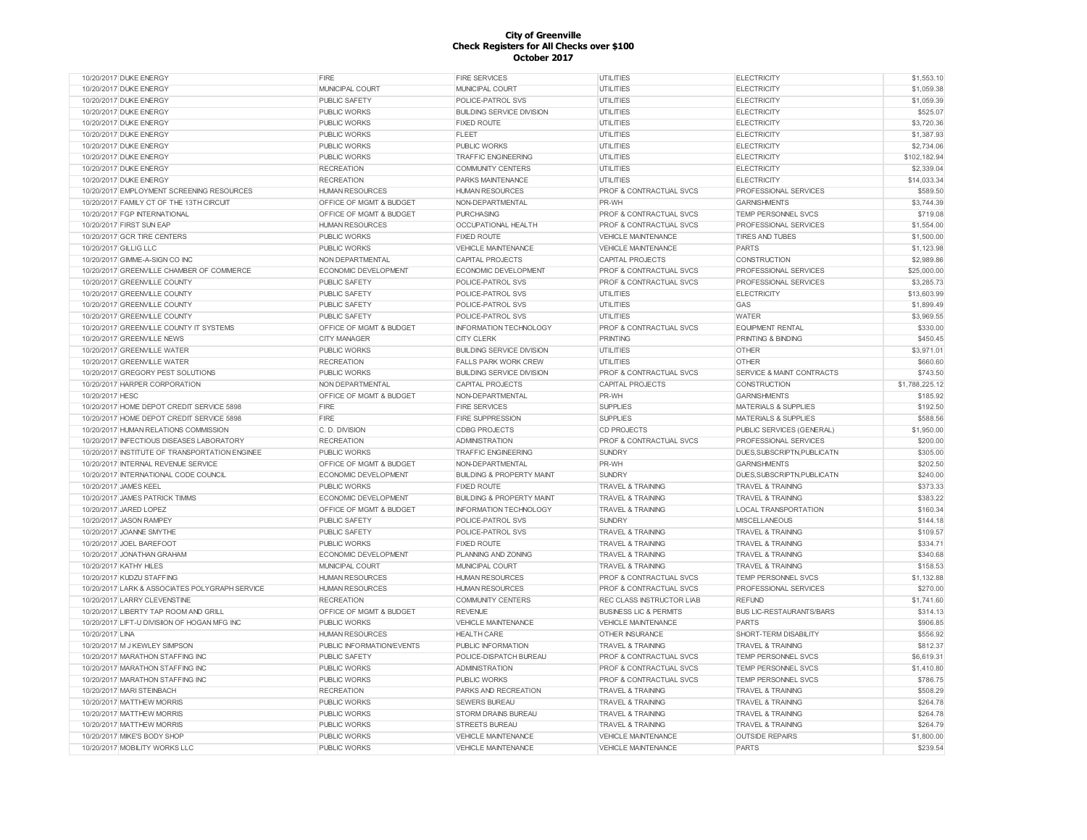| 10/20/2017 DUKE ENERGY                         | FIRE                      | <b>FIRE SERVICES</b>                 | <b>UTILITIES</b>                   | <b>ELECTRICITY</b>              | \$1,553.10     |
|------------------------------------------------|---------------------------|--------------------------------------|------------------------------------|---------------------------------|----------------|
| 10/20/2017 DUKE ENERGY                         | MUNICIPAL COURT           | MUNICIPAL COURT                      | UTILITIES                          | <b>ELECTRICITY</b>              | \$1,059.38     |
| 10/20/2017 DUKE ENERGY                         | PUBLIC SAFETY             | POLICE-PATROL SVS                    | <b>UTILITIES</b>                   | <b>ELECTRICITY</b>              | \$1,059.39     |
| 10/20/2017 DUKE ENERGY                         | PUBLIC WORKS              | <b>BUILDING SERVICE DIVISION</b>     | UTILITIES                          | <b>ELECTRICITY</b>              | \$525.07       |
| 10/20/2017 DUKE ENERGY                         | PUBLIC WORKS              | <b>FIXED ROUTE</b>                   | <b>UTILITIES</b>                   | <b>ELECTRICITY</b>              | \$3,720.36     |
| 10/20/2017 DUKE ENERGY                         | PUBLIC WORKS              | FLEET                                | <b>UTILITIES</b>                   | <b>ELECTRICITY</b>              | \$1,387.93     |
| 10/20/2017 DUKE ENERGY                         | PUBLIC WORKS              | PUBLIC WORKS                         | <b>UTILITIES</b>                   | <b>ELECTRICITY</b>              | \$2,734.06     |
| 10/20/2017 DUKE ENERGY                         | PUBLIC WORKS              | <b>TRAFFIC ENGINEERING</b>           | <b>UTILITIES</b>                   | <b>ELECTRICITY</b>              | \$102.182.94   |
| 10/20/2017 DUKE ENERGY                         | <b>RECREATION</b>         | <b>COMMUNITY CENTERS</b>             | <b>UTILITIES</b>                   | <b>ELECTRICITY</b>              | \$2,339.04     |
| 10/20/2017 DUKE ENERGY                         | <b>RECREATION</b>         | PARKS MAINTENANCE                    | UTILITIES                          | <b>ELECTRICITY</b>              | \$14,033.34    |
| 10/20/2017 EMPLOYMENT SCREENING RESOURCES      | <b>HUMAN RESOURCES</b>    | <b>HUMAN RESOURCES</b>               | PROF & CONTRACTUAL SVCS            | PROFESSIONAL SERVICES           | \$589.50       |
| 10/20/2017 FAMILY CT OF THE 13TH CIRCUIT       | OFFICE OF MGMT & BUDGET   | NON-DEPARTMENTAL                     | PR-WH                              | <b>GARNISHMENTS</b>             | \$3,744.39     |
| 10/20/2017 FGP INTERNATIONAL                   | OFFICE OF MGMT & BUDGET   | <b>PURCHASING</b>                    | PROF & CONTRACTUAL SVCS            | TEMP PERSONNEL SVCS             | \$719.08       |
| 10/20/2017 FIRST SUN EAP                       | <b>HUMAN RESOURCES</b>    | OCCUPATIONAL HEALTH                  | PROF & CONTRACTUAL SVCS            | PROFESSIONAL SERVICES           | \$1,554.00     |
| 10/20/2017 GCR TIRE CENTERS                    | PUBLIC WORKS              | <b>FIXED ROUTE</b>                   | <b>VEHICLE MAINTENANCE</b>         | <b>TIRES AND TUBES</b>          | \$1,500.00     |
| 10/20/2017 GILLIG LLC                          | PUBLIC WORKS              | VEHICLE MAINTENANCE                  | <b>VEHICLE MAINTENANCE</b>         | <b>PARTS</b>                    | \$1,123.98     |
| 10/20/2017 GIMME-A-SIGN CO INC                 | NON DEPARTMENTAL          | CAPITAL PROJECTS                     | CAPITAL PROJECTS                   | <b>CONSTRUCTION</b>             | \$2,989.86     |
| 10/20/2017 GREENVILLE CHAMBER OF COMMERCE      | ECONOMIC DEVELOPMENT      | ECONOMIC DEVELOPMENT                 | <b>PROF &amp; CONTRACTUAL SVCS</b> | PROFESSIONAL SERVICES           | \$25,000.00    |
| 10/20/2017 GREENVILLE COUNTY                   | PUBLIC SAFETY             | POLICE-PATROL SVS                    | <b>PROF &amp; CONTRACTUAL SVCS</b> | PROFESSIONAL SERVICES           | \$3,285.73     |
|                                                |                           |                                      |                                    |                                 |                |
| 10/20/2017 GREENVILLE COUNTY                   | PUBLIC SAFETY             | POLICE-PATROL SVS                    | <b>UTILITIES</b>                   | <b>ELECTRICITY</b>              | \$13,603.99    |
| 10/20/2017 GREENVILLE COUNTY                   | PUBLIC SAFETY             | POLICE-PATROL SVS                    | <b>UTILITIES</b>                   | GAS                             | \$1,899.49     |
| 10/20/2017 GREENVILLE COUNTY                   | PUBLIC SAFETY             | POLICE-PATROL SVS                    | <b>UTILITIES</b>                   | <b>WATER</b>                    | \$3,969.55     |
| 10/20/2017 GREENVILLE COUNTY IT SYSTEMS        | OFFICE OF MGMT & BUDGET   | <b>INFORMATION TECHNOLOGY</b>        | PROF & CONTRACTUAL SVCS            | <b>EQUIPMENT RENTAL</b>         | \$330.00       |
| 10/20/2017 GREENVILLE NEWS                     | <b>CITY MANAGER</b>       | <b>CITY CLERK</b>                    | <b>PRINTING</b>                    | PRINTING & BINDING              | \$450.45       |
| 10/20/2017 GREENVILLE WATER                    | PUBLIC WORKS              | <b>BUILDING SERVICE DIVISION</b>     | <b>UTILITIES</b>                   | <b>OTHER</b>                    | \$3,971.01     |
| 10/20/2017 GREENVILLE WATER                    | <b>RECREATION</b>         | <b>FALLS PARK WORK CREW</b>          | <b>UTILITIES</b>                   | <b>OTHER</b>                    | \$660.60       |
| 10/20/2017 GREGORY PEST SOLUTIONS              | <b>PUBLIC WORKS</b>       | <b>BUILDING SERVICE DIVISION</b>     | PROF & CONTRACTUAL SVCS            | SERVICE & MAINT CONTRACTS       | \$743.50       |
| 10/20/2017 HARPER CORPORATION                  | NON DEPARTMENTAL          | CAPITAL PROJECTS                     | CAPITAL PROJECTS                   | CONSTRUCTION                    | \$1,788,225.12 |
| 10/20/2017 HESC                                | OFFICE OF MGMT & BUDGET   | NON-DEPARTMENTAL                     | PR-WH                              | <b>GARNISHMENTS</b>             | \$185.92       |
| 10/20/2017 HOME DEPOT CREDIT SERVICE 5898      | FIRE                      | <b>FIRE SERVICES</b>                 | <b>SUPPLIES</b>                    | <b>MATERIALS &amp; SUPPLIES</b> | \$192.50       |
| 10/20/2017 HOME DEPOT CREDIT SERVICE 5898      | FIRE                      | <b>FIRE SUPPRESSION</b>              | <b>SUPPLIES</b>                    | <b>MATERIALS &amp; SUPPLIES</b> | \$588.56       |
| 10/20/2017 HUMAN RELATIONS COMMISSION          | C. D. DIVISION            | <b>CDBG PROJECTS</b>                 | CD PROJECTS                        | PUBLIC SERVICES (GENERAL)       | \$1,950.00     |
| 10/20/2017 INFECTIOUS DISEASES LABORATORY      | <b>RECREATION</b>         | <b>ADMINISTRATION</b>                | PROF & CONTRACTUAL SVCS            | PROFESSIONAL SERVICES           | \$200.00       |
| 10/20/2017 INSTITUTE OF TRANSPORTATION ENGINEE | <b>PUBLIC WORKS</b>       | <b>TRAFFIC ENGINEERING</b>           | <b>SUNDRY</b>                      | DUES, SUBSCRIPTN, PUBLICATN     | \$305.00       |
| 10/20/2017 INTERNAL REVENUE SERVICE            | OFFICE OF MGMT & BUDGET   | NON-DEPARTMENTAL                     | PR-WH                              | <b>GARNISHMENTS</b>             | \$202.50       |
| 10/20/2017 INTERNATIONAL CODE COUNCIL          | ECONOMIC DEVELOPMENT      | <b>BUILDING &amp; PROPERTY MAINT</b> | <b>SUNDRY</b>                      | DUES, SUBSCRIPTN, PUBLICATN     | \$240.00       |
| 10/20/2017 JAMES KEEL                          | <b>PUBLIC WORKS</b>       | <b>FIXED ROUTE</b>                   | TRAVEL & TRAINING                  | <b>TRAVEL &amp; TRAINING</b>    | \$373.33       |
| 10/20/2017 JAMES PATRICK TIMMS                 | ECONOMIC DEVELOPMENT      | <b>BUILDING &amp; PROPERTY MAINT</b> | <b>TRAVEL &amp; TRAINING</b>       | <b>TRAVEL &amp; TRAINING</b>    | \$383.22       |
| 10/20/2017 JARED LOPEZ                         | OFFICE OF MGMT & BUDGET   | <b>INFORMATION TECHNOLOGY</b>        | <b>TRAVEL &amp; TRAINING</b>       | LOCAL TRANSPORTATION            | \$160.34       |
| 10/20/2017 JASON RAMPEY                        | PUBLIC SAFETY             | POLICE-PATROL SVS                    | <b>SUNDRY</b>                      | <b>MISCELLANEOUS</b>            | \$144.18       |
| 10/20/2017 JOANNE SMYTHE                       | <b>PUBLIC SAFETY</b>      | POLICE-PATROL SVS                    | <b>TRAVEL &amp; TRAINING</b>       | <b>TRAVEL &amp; TRAINING</b>    | \$109.57       |
| 10/20/2017 JOEL BAREFOOT                       | PUBLIC WORKS              | <b>FIXED ROUTE</b>                   | <b>TRAVEL &amp; TRAINING</b>       | <b>TRAVEL &amp; TRAINING</b>    | \$334.71       |
| 10/20/2017 JONATHAN GRAHAM                     | ECONOMIC DEVELOPMENT      | PLANNING AND ZONING                  | TRAVEL & TRAINING                  | <b>TRAVEL &amp; TRAINING</b>    | \$340.68       |
| 10/20/2017 KATHY HILES                         | MUNICIPAL COURT           | MUNICIPAL COURT                      | <b>TRAVEL &amp; TRAINING</b>       | <b>TRAVEL &amp; TRAINING</b>    | \$158.53       |
| 10/20/2017 KUDZU STAFFING                      | <b>HUMAN RESOURCES</b>    | <b>HUMAN RESOURCES</b>               | PROF & CONTRACTUAL SVCS            | TEMP PERSONNEL SVCS             | \$1,132.88     |
| 10/20/2017 LARK & ASSOCIATES POLYGRAPH SERVICE | <b>HUMAN RESOURCES</b>    | <b>HUMAN RESOURCES</b>               | <b>PROF &amp; CONTRACTUAL SVCS</b> | PROFESSIONAL SERVICES           | \$270.00       |
| 10/20/2017 LARRY CLEVENSTINE                   | <b>RECREATION</b>         | <b>COMMUNITY CENTERS</b>             | REC CLASS INSTRUCTOR LIAB          | <b>REFUND</b>                   | \$1,741.60     |
| 10/20/2017 LIBERTY TAP ROOM AND GRILL          | OFFICE OF MGMT & BUDGET   | <b>REVENUE</b>                       | <b>BUSINESS LIC &amp; PERMITS</b>  | <b>BUS LIC-RESTAURANTS/BARS</b> | \$314.13       |
| 10/20/2017 LIFT-U DIVISIION OF HOGAN MFG INC   | <b>PUBLIC WORKS</b>       | <b>VEHICLE MAINTENANCE</b>           | <b>VEHICLE MAINTENANCE</b>         | <b>PARTS</b>                    | \$906.85       |
|                                                |                           | <b>HEALTH CARE</b>                   |                                    |                                 |                |
| 10/20/2017 LINA                                | <b>HUMAN RESOURCES</b>    |                                      | <b>OTHER INSURANCE</b>             | SHORT-TERM DISABILITY           | \$556.92       |
| 10/20/2017 M J KEWLEY SIMPSON                  | PUBLIC INFORMATION/EVENTS | PUBLIC INFORMATION                   | <b>TRAVEL &amp; TRAINING</b>       | <b>TRAVEL &amp; TRAINING</b>    | \$812.37       |
| 10/20/2017 MARATHON STAFFING INC               | PUBLIC SAFETY             | POLICE-DISPATCH BUREAU               | PROF & CONTRACTUAL SVCS            | TEMP PERSONNEL SVCS             | \$6,619.31     |
| 10/20/2017 MARATHON STAFFING INC               | <b>PUBLIC WORKS</b>       | <b>ADMINISTRATION</b>                | PROF & CONTRACTUAL SVCS            | TEMP PERSONNEL SVCS             | \$1,410.80     |
| 10/20/2017 MARATHON STAFFING INC               | <b>PUBLIC WORKS</b>       | <b>PUBLIC WORKS</b>                  | <b>PROF &amp; CONTRACTUAL SVCS</b> | TEMP PERSONNEL SVCS             | \$786.75       |
| 10/20/2017 MARI STEINBACH                      | <b>RECREATION</b>         | PARKS AND RECREATION                 | <b>TRAVEL &amp; TRAINING</b>       | <b>TRAVEL &amp; TRAINING</b>    | \$508.29       |
| 10/20/2017 MATTHEW MORRIS                      | <b>PUBLIC WORKS</b>       | <b>SEWERS BUREAU</b>                 | <b>TRAVEL &amp; TRAINING</b>       | <b>TRAVEL &amp; TRAINING</b>    | \$264.78       |
| 10/20/2017 MATTHEW MORRIS                      | <b>PUBLIC WORKS</b>       | <b>STORM DRAINS BUREAU</b>           | <b>TRAVEL &amp; TRAINING</b>       | <b>TRAVEL &amp; TRAINING</b>    | \$264.78       |
| 10/20/2017 MATTHEW MORRIS                      | <b>PUBLIC WORKS</b>       | <b>STREETS BUREAU</b>                | <b>TRAVEL &amp; TRAINING</b>       | <b>TRAVEL &amp; TRAINING</b>    | \$264.79       |
| 10/20/2017 MIKE'S BODY SHOP                    | PUBLIC WORKS              | VEHICLE MAINTENANCE                  | VEHICLE MAINTENANCE                | <b>OUTSIDE REPAIRS</b>          | \$1,800.00     |
| 10/20/2017 MOBILITY WORKS LLC                  | PUBLIC WORKS              | <b>VEHICLE MAINTENANCE</b>           | <b>VEHICLE MAINTENANCE</b>         | <b>PARTS</b>                    | \$239.54       |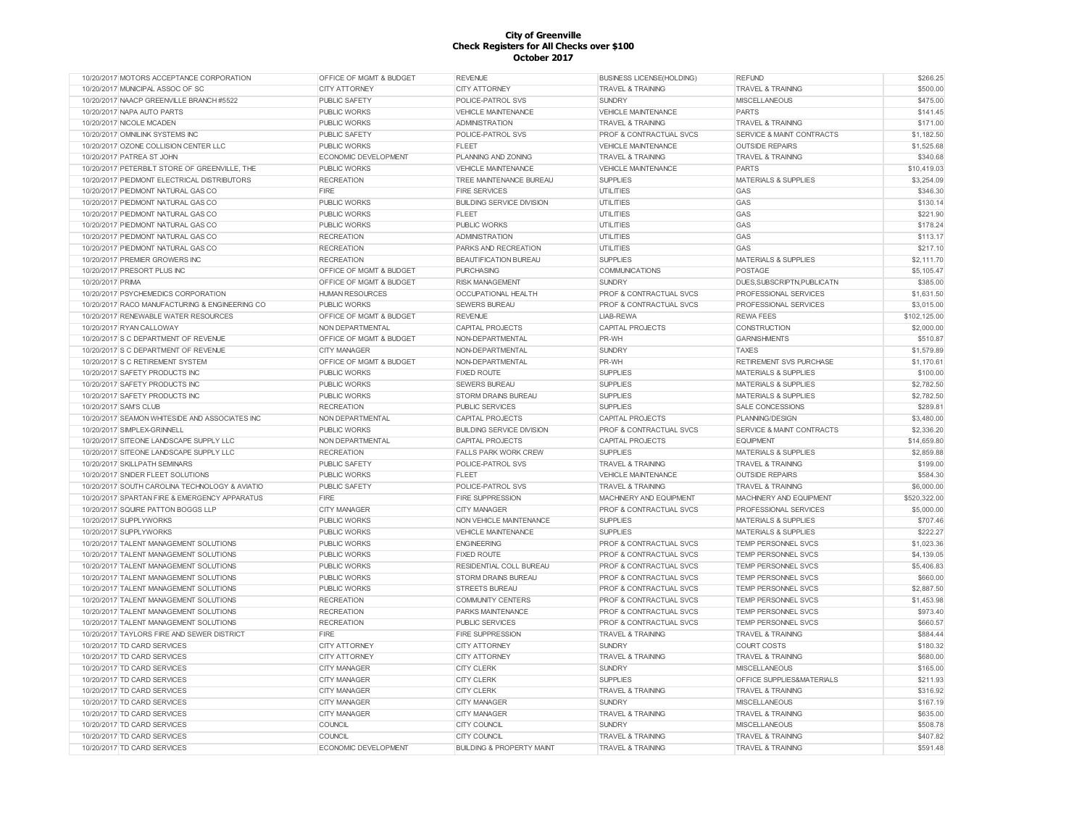| 10/20/2017 MOTORS ACCEPTANCE CORPORATION       | OFFICE OF MGMT & BUDGET            | <b>REVENUE</b>                       | <b>BUSINESS LICENSE(HOLDING)</b>   | <b>REFUND</b>                        | \$266.25     |
|------------------------------------------------|------------------------------------|--------------------------------------|------------------------------------|--------------------------------------|--------------|
| 10/20/2017 MUNICIPAL ASSOC OF SC               | <b>CITY ATTORNEY</b>               | <b>CITY ATTORNEY</b>                 | <b>TRAVEL &amp; TRAINING</b>       | <b>TRAVEL &amp; TRAINING</b>         | \$500.00     |
| 10/20/2017 NAACP GREENVILLE BRANCH #5522       | PUBLIC SAFETY                      | POLICE-PATROL SVS                    | <b>SUNDRY</b>                      | <b>MISCELLANEOUS</b>                 | \$475.00     |
| 10/20/2017 NAPA AUTO PARTS                     | <b>PUBLIC WORKS</b>                | VEHICLE MAINTENANCE                  | <b>VEHICLE MAINTENANCE</b>         | <b>PARTS</b>                         | \$141.45     |
| 10/20/2017 NICOLE MCADEN                       | <b>PUBLIC WORKS</b>                | <b>ADMINISTRATION</b>                | <b>TRAVEL &amp; TRAINING</b>       | <b>TRAVEL &amp; TRAINING</b>         | \$171.00     |
| 10/20/2017 OMNILINK SYSTEMS INC                | <b>PUBLIC SAFETY</b>               | POLICE-PATROL SVS                    | PROF & CONTRACTUAL SVCS            | SERVICE & MAINT CONTRACTS            | \$1,182.50   |
| 10/20/2017 OZONE COLLISION CENTER LLC          | <b>PUBLIC WORKS</b>                | <b>FLEET</b>                         | <b>VEHICLE MAINTENANCE</b>         | <b>OUTSIDE REPAIRS</b>               | \$1,525.68   |
| 10/20/2017 PATREA ST JOHN                      | ECONOMIC DEVELOPMENT               | PLANNING AND ZONING                  | <b>TRAVEL &amp; TRAINING</b>       | <b>TRAVEL &amp; TRAINING</b>         | \$340.68     |
| 10/20/2017 PETERBILT STORE OF GREENVILLE, THE  | <b>PUBLIC WORKS</b>                | VEHICLE MAINTENANCE                  | <b>VEHICLE MAINTENANCE</b>         | <b>PARTS</b>                         | \$10,419.03  |
| 10/20/2017 PIEDMONT ELECTRICAL DISTRIBUTORS    | <b>RECREATION</b>                  | TREE MAINTENANCE BUREAU              | <b>SUPPLIES</b>                    | <b>MATERIALS &amp; SUPPLIES</b>      | \$3,254.09   |
| 10/20/2017 PIEDMONT NATURAL GAS CO             | <b>FIRE</b>                        | <b>FIRE SERVICES</b>                 | <b>UTILITIES</b>                   | GAS                                  | \$346.30     |
| 10/20/2017 PIEDMONT NATURAL GAS CO             | <b>PUBLIC WORKS</b>                | <b>BUILDING SERVICE DIVISION</b>     | <b>UTILITIES</b>                   | GAS                                  | \$130.14     |
| 10/20/2017 PIEDMONT NATURAL GAS CO             | <b>PUBLIC WORKS</b>                | <b>FLEET</b>                         | <b>UTILITIES</b>                   | GAS                                  | \$221.90     |
| 10/20/2017 PIEDMONT NATURAL GAS CO             | <b>PUBLIC WORKS</b>                | <b>PUBLIC WORKS</b>                  | UTILITIES                          | GAS                                  | \$178.24     |
| 10/20/2017 PIEDMONT NATURAL GAS CO             | <b>RECREATION</b>                  | ADMINISTRATION                       | UTILITIES                          | GAS                                  | \$113.17     |
| 10/20/2017 PIEDMONT NATURAL GAS CO             | <b>RECREATION</b>                  | PARKS AND RECREATION                 | UTILITIES                          | GAS                                  | \$217.10     |
| 10/20/2017 PREMIER GROWERS INC                 | <b>RECREATION</b>                  | BEAUTIFICATION BUREAU                | <b>SUPPLIES</b>                    | MATERIALS & SUPPLIES                 | \$2,111.70   |
| 10/20/2017 PRESORT PLUS INC                    | OFFICE OF MGMT & BUDGET            | <b>PURCHASING</b>                    | COMMUNICATIONS                     | POSTAGE                              | \$5,105.47   |
| 10/20/2017 PRIMA                               | OFFICE OF MGMT & BUDGET            | <b>RISK MANAGEMENT</b>               | SUNDRY                             | DUES, SUBSCRIPTN, PUBLICATN          | \$385.00     |
| 10/20/2017 PSYCHEMEDICS CORPORATION            | <b>HUMAN RESOURCES</b>             | <b>OCCUPATIONAL HEALTH</b>           | PROF & CONTRACTUAL SVCS            | PROFESSIONAL SERVICES                | \$1,631.50   |
| 10/20/2017 RACO MANUFACTURING & ENGINEERING CO | <b>PUBLIC WORKS</b>                | <b>SEWERS BUREAU</b>                 | PROF & CONTRACTUAL SVCS            | PROFESSIONAL SERVICES                | \$3,015.00   |
| 10/20/2017 RENEWABLE WATER RESOURCES           | <b>OFFICE OF MGMT &amp; BUDGET</b> | <b>REVENUE</b>                       | LIAB-REWA                          | <b>REWA FEES</b>                     | \$102,125.00 |
| 10/20/2017 RYAN CALLOWAY                       | NON DEPARTMENTAL                   | <b>CAPITAL PROJECTS</b>              | CAPITAL PROJECTS                   | CONSTRUCTION                         | \$2,000.00   |
| 10/20/2017 S C DEPARTMENT OF REVENUE           | OFFICE OF MGMT & BUDGET            | NON-DEPARTMENTAL                     | PR-WH                              | <b>GARNISHMENTS</b>                  | \$510.87     |
| 10/20/2017 S C DEPARTMENT OF REVENUE           | <b>CITY MANAGER</b>                | NON-DEPARTMENTAL                     | <b>SUNDRY</b>                      | <b>TAXES</b>                         | \$1,579.89   |
| 10/20/2017 S C RETIREMENT SYSTEM               | OFFICE OF MGMT & BUDGET            | NON-DEPARTMENTAL                     | PR-WH                              | <b>RETIREMENT SVS PURCHASE</b>       | \$1,170.61   |
| 10/20/2017 SAFETY PRODUCTS INC                 | <b>PUBLIC WORKS</b>                | <b>FIXED ROUTE</b>                   | <b>SUPPLIES</b>                    | <b>MATERIALS &amp; SUPPLIES</b>      | \$100.00     |
| 10/20/2017 SAFETY PRODUCTS INC                 | <b>PUBLIC WORKS</b>                | <b>SEWERS BUREAU</b>                 | <b>SUPPLIES</b>                    | <b>MATERIALS &amp; SUPPLIES</b>      | \$2,782.50   |
| 10/20/2017 SAFETY PRODUCTS INC                 | <b>PUBLIC WORKS</b>                | <b>STORM DRAINS BUREAU</b>           | <b>SUPPLIES</b>                    | <b>MATERIALS &amp; SUPPLIES</b>      | \$2,782.50   |
| 10/20/2017 SAM'S CLUB                          | <b>RECREATION</b>                  | <b>PUBLIC SERVICES</b>               | <b>SUPPLIES</b>                    | <b>SALE CONCESSIONS</b>              | \$289.81     |
| 10/20/2017 SEAMON WHITESIDE AND ASSOCIATES INC | NON DEPARTMENTAL                   | CAPITAL PROJECTS                     | CAPITAL PROJECTS                   | PLANNING/DESIGN                      | \$3,480.00   |
| 10/20/2017 SIMPLEX-GRINNELL                    | <b>PUBLIC WORKS</b>                | <b>BUILDING SERVICE DIVISION</b>     | PROF & CONTRACTUAL SVCS            | <b>SERVICE &amp; MAINT CONTRACTS</b> | \$2,336.20   |
| 10/20/2017 SITEONE LANDSCAPE SUPPLY LLC        | NON DEPARTMENTAL                   | <b>CAPITAL PROJECTS</b>              | <b>CAPITAL PROJECTS</b>            | <b>FOUPMENT</b>                      | \$14,659.80  |
| 10/20/2017 SITEONE LANDSCAPE SUPPLY LLC        | <b>RECREATION</b>                  | <b>FALLS PARK WORK CREW</b>          | <b>SUPPLIES</b>                    | <b>MATERIALS &amp; SUPPLIES</b>      | \$2,859.88   |
| 10/20/2017 SKILLPATH SEMINARS                  | PUBLIC SAFETY                      | POLICE-PATROL SVS                    | <b>TRAVEL &amp; TRAINING</b>       | <b>TRAVEL &amp; TRAINING</b>         | \$199.00     |
| 10/20/2017 SNIDER FLEET SOLUTIONS              | <b>PUBLIC WORKS</b>                | <b>FLEET</b>                         | VEHICLE MAINTENANCE                | <b>OUTSIDE REPAIRS</b>               | \$584.30     |
| 10/20/2017 SOUTH CAROLINA TECHNOLOGY & AVIATIO | PUBLIC SAFETY                      | POLICE-PATROL SVS                    | <b>TRAVEL &amp; TRAINING</b>       | <b>TRAVEL &amp; TRAINING</b>         | \$6,000.00   |
| 10/20/2017 SPARTAN FIRE & EMERGENCY APPARATUS  | FIRE                               | <b>FIRE SUPPRESSION</b>              | MACHINERY AND EQUIPMENT            | MACHINERY AND EQUIPMENT              | \$520,322.00 |
| 10/20/2017 SQUIRE PATTON BOGGS LLP             | <b>CITY MANAGER</b>                | <b>CITY MANAGER</b>                  | PROF & CONTRACTUAL SVCS            | PROFESSIONAL SERVICES                | \$5,000.00   |
| 10/20/2017 SUPPLYWORKS                         | <b>PUBLIC WORKS</b>                | NON VEHICLE MAINTENANCE              | <b>SUPPLIES</b>                    | <b>MATERIALS &amp; SUPPLIES</b>      | \$707.46     |
| 10/20/2017 SUPPLYWORKS                         | <b>PUBLIC WORKS</b>                | <b>VEHICLE MAINTENANCE</b>           | <b>SUPPLIES</b>                    | <b>MATERIALS &amp; SUPPLIES</b>      | \$222.27     |
| 10/20/2017 TALENT MANAGEMENT SOLUTIONS         | <b>PUBLIC WORKS</b>                | <b>ENGINEERING</b>                   | <b>PROF &amp; CONTRACTUAL SVCS</b> | <b>TEMP PERSONNEL SVCS</b>           | \$1,023.36   |
| 10/20/2017 TALENT MANAGEMENT SOLUTIONS         | <b>PUBLIC WORKS</b>                | <b>FIXED ROUTE</b>                   | PROF & CONTRACTUAL SVCS            | TEMP PERSONNEL SVCS                  | \$4,139.05   |
| 10/20/2017 TALENT MANAGEMENT SOLUTIONS         | <b>PUBLIC WORKS</b>                | RESIDENTIAL COLL BUREAU              | PROF & CONTRACTUAL SVCS            | TEMP PERSONNEL SVCS                  | \$5,406.83   |
| 10/20/2017 TALENT MANAGEMENT SOLUTIONS         | <b>PUBLIC WORKS</b>                | <b>STORM DRAINS BUREAU</b>           | PROF & CONTRACTUAL SVCS            | TEMP PERSONNEL SVCS                  | \$660.00     |
| 10/20/2017 TALENT MANAGEMENT SOLUTIONS         | <b>PUBLIC WORKS</b>                | <b>STREETS BUREAU</b>                | <b>PROF &amp; CONTRACTUAL SVCS</b> | TEMP PERSONNEL SVCS                  | \$2,887.50   |
| 10/20/2017 TALENT MANAGEMENT SOLUTIONS         | <b>RECREATION</b>                  | <b>COMMUNITY CENTERS</b>             | PROF & CONTRACTUAL SVCS            | TEMP PERSONNEL SVCS                  | \$1,453.98   |
| 10/20/2017 TALENT MANAGEMENT SOLUTIONS         | <b>RECREATION</b>                  | PARKS MAINTENANCE                    | PROF & CONTRACTUAL SVCS            | TEMP PERSONNEL SVCS                  | \$973.40     |
| 10/20/2017 TALENT MANAGEMENT SOLUTIONS         | <b>RECREATION</b>                  | <b>PUBLIC SERVICES</b>               | PROF & CONTRACTUAL SVCS            | TEMP PERSONNEL SVCS                  | \$660.57     |
| 10/20/2017 TAYLORS FIRE AND SEWER DISTRICT     | <b>FIRE</b>                        | <b>FIRE SUPPRESSION</b>              | <b>TRAVEL &amp; TRAINING</b>       | <b>TRAVEL &amp; TRAINING</b>         | \$884.44     |
| 10/20/2017 TD CARD SERVICES                    | <b>CITY ATTORNEY</b>               | <b>CITY ATTORNEY</b>                 | <b>SUNDRY</b>                      | <b>COURT COSTS</b>                   | \$180.32     |
| 10/20/2017 TD CARD SERVICES                    | <b>CITY ATTORNEY</b>               | <b>CITY ATTORNEY</b>                 | <b>TRAVEL &amp; TRAINING</b>       | <b>TRAVEL &amp; TRAINING</b>         | \$680.00     |
| 10/20/2017 TD CARD SERVICES                    | CITY MANAGER                       | <b>CITY CLERK</b>                    | <b>SUNDRY</b>                      | <b>MISCELLANEOUS</b>                 | \$165.00     |
| 10/20/2017 TD CARD SERVICES                    | <b>CITY MANAGER</b>                | <b>CITY CLERK</b>                    | <b>SUPPLIES</b>                    | OFFICE SUPPLIES&MATERIALS            | \$211.93     |
| 10/20/2017 TD CARD SERVICES                    | CITY MANAGER                       | <b>CITY CLERK</b>                    | <b>TRAVEL &amp; TRAINING</b>       | <b>TRAVEL &amp; TRAINING</b>         | \$316.92     |
| 10/20/2017 TD CARD SERVICES                    | CITY MANAGER                       | <b>CITY MANAGER</b>                  | <b>SUNDRY</b>                      | <b>MISCELLANEOUS</b>                 | \$167.19     |
| 10/20/2017 TD CARD SERVICES                    | <b>CITY MANAGER</b>                | <b>CITY MANAGER</b>                  | <b>TRAVEL &amp; TRAINING</b>       | <b>TRAVEL &amp; TRAINING</b>         | \$635.00     |
| 10/20/2017 TD CARD SERVICES                    | COUNCIL                            | <b>CITY COUNCIL</b>                  | <b>SUNDRY</b>                      | <b>MISCELLANEOUS</b>                 | \$508.78     |
| 10/20/2017 TD CARD SERVICES                    | <b>COUNCIL</b>                     | <b>CITY COUNCIL</b>                  | <b>TRAVEL &amp; TRAINING</b>       | <b>TRAVEL &amp; TRAINING</b>         | \$407.82     |
| 10/20/2017 TD CARD SERVICES                    | <b>ECONOMIC DEVELOPMENT</b>        | <b>BUILDING &amp; PROPERTY MAINT</b> | <b>TRAVEL &amp; TRAINING</b>       | <b>TRAVEL &amp; TRAINING</b>         | \$591.48     |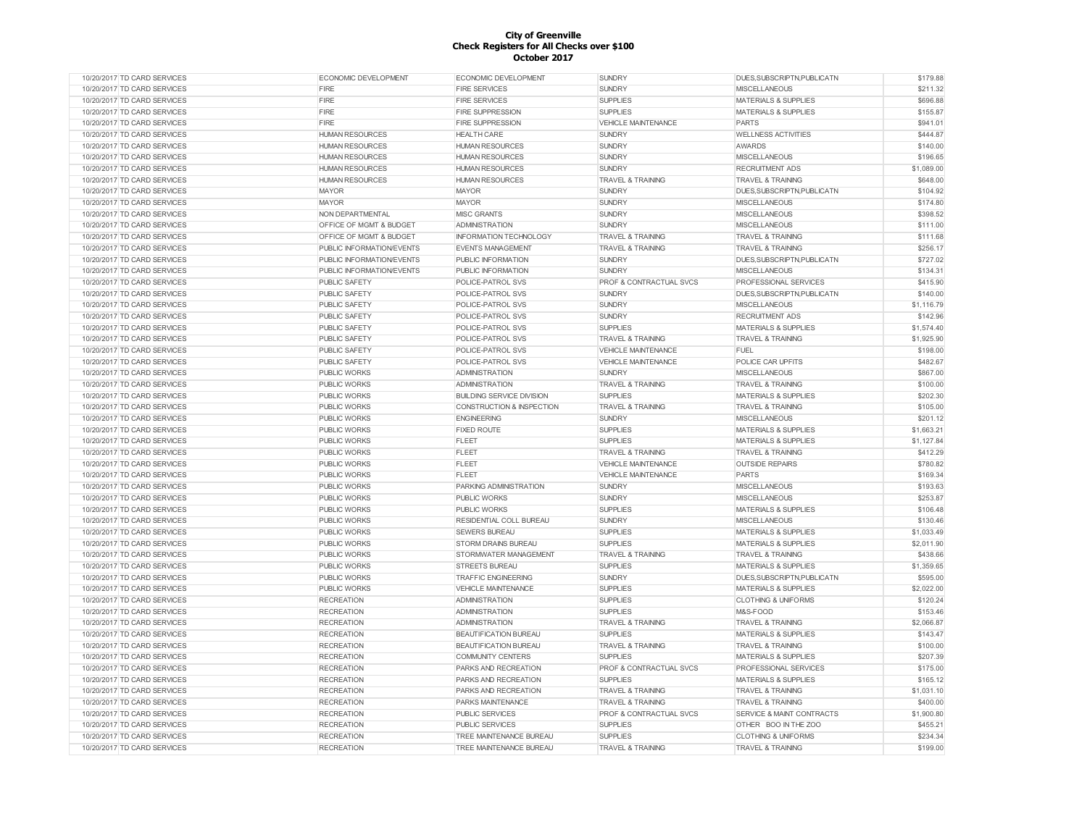| 10/20/2017 TD CARD SERVICES | <b>ECONOMIC DEVELOPMENT</b> | <b>ECONOMIC DEVELOPMENT</b>      | <b>SUNDRY</b>                      | DUES, SUBSCRIPTN, PUBLICATN     | \$179.88   |
|-----------------------------|-----------------------------|----------------------------------|------------------------------------|---------------------------------|------------|
| 10/20/2017 TD CARD SERVICES | FIRE                        | <b>FIRE SERVICES</b>             | <b>SUNDRY</b>                      | <b>MISCELLANEOUS</b>            | \$211.32   |
| 10/20/2017 TD CARD SERVICES | FIRE                        | <b>FIRE SERVICES</b>             | <b>SUPPLIES</b>                    | <b>MATERIALS &amp; SUPPLIES</b> | \$696.88   |
| 10/20/2017 TD CARD SERVICES | FIRE                        | <b>FIRE SUPPRESSION</b>          | <b>SUPPLIES</b>                    | <b>MATERIALS &amp; SUPPLIES</b> | \$155.87   |
| 10/20/2017 TD CARD SERVICES | FIRE                        | <b>FIRE SUPPRESSION</b>          | VEHICLE MAINTENANCE                | <b>PARTS</b>                    | \$941.01   |
| 10/20/2017 TD CARD SERVICES | <b>HUMAN RESOURCES</b>      | <b>HEALTH CARE</b>               | <b>SUNDRY</b>                      | <b>WELLNESS ACTIVITIES</b>      | \$444.87   |
| 10/20/2017 TD CARD SERVICES | <b>HUMAN RESOURCES</b>      | <b>HUMAN RESOURCES</b>           | <b>SUNDRY</b>                      | <b>AWARDS</b>                   | \$140.00   |
| 10/20/2017 TD CARD SERVICES | <b>HUMAN RESOURCES</b>      | <b>HUMAN RESOURCES</b>           | <b>SUNDRY</b>                      | <b>MISCELLANEOUS</b>            | \$196.65   |
| 10/20/2017 TD CARD SERVICES | <b>HUMAN RESOURCES</b>      | <b>HUMAN RESOURCES</b>           | <b>SUNDRY</b>                      | <b>RECRUITMENT ADS</b>          | \$1,089.00 |
| 10/20/2017 TD CARD SERVICES | <b>HUMAN RESOURCES</b>      | <b>HUMAN RESOURCES</b>           | <b>TRAVEL &amp; TRAINING</b>       | <b>TRAVEL &amp; TRAINING</b>    | \$648.00   |
| 10/20/2017 TD CARD SERVICES | <b>MAYOR</b>                | <b>MAYOR</b>                     | <b>SUNDRY</b>                      | DUES, SUBSCRIPTN, PUBLICATN     | \$104.92   |
| 10/20/2017 TD CARD SERVICES | <b>MAYOR</b>                | <b>MAYOR</b>                     | <b>SUNDRY</b>                      | <b>MISCELLANEOUS</b>            | \$174.80   |
| 10/20/2017 TD CARD SERVICES | NON DEPARTMENTAL            | <b>MISC GRANTS</b>               | <b>SUNDRY</b>                      | <b>MISCELLANEOUS</b>            | \$398.52   |
| 10/20/2017 TD CARD SERVICES | OFFICE OF MGMT & BUDGET     | <b>ADMINISTRATION</b>            | <b>SUNDRY</b>                      | <b>MISCELLANEOUS</b>            | \$111.00   |
| 10/20/2017 TD CARD SERVICES | OFFICE OF MGMT & BUDGET     | <b>INFORMATION TECHNOLOGY</b>    | <b>TRAVEL &amp; TRAINING</b>       | <b>TRAVEL &amp; TRAINING</b>    | \$111.68   |
| 10/20/2017 TD CARD SERVICES | PUBLIC INFORMATION/EVENTS   | <b>EVENTS MANAGEMENT</b>         | <b>TRAVEL &amp; TRAINING</b>       | <b>TRAVEL &amp; TRAINING</b>    | \$256.17   |
| 10/20/2017 TD CARD SERVICES | PUBLIC INFORMATION/EVENTS   |                                  | <b>SUNDRY</b>                      | DUES, SUBSCRIPTN, PUBLICATN     | \$727.02   |
|                             |                             | PUBLIC INFORMATION               |                                    |                                 |            |
| 10/20/2017 TD CARD SERVICES | PUBLIC INFORMATION/EVENTS   | PUBLIC INFORMATION               | <b>SUNDRY</b>                      | <b>MISCELLANEOUS</b>            | \$134.31   |
| 10/20/2017 TD CARD SERVICES | PUBLIC SAFETY               | POLICE-PATROL SVS                | PROF & CONTRACTUAL SVCS            | PROFESSIONAL SERVICES           | \$415.90   |
| 10/20/2017 TD CARD SERVICES | <b>PUBLIC SAFETY</b>        | POLICE-PATROL SVS                | <b>SUNDRY</b>                      | DUES, SUBSCRIPTN, PUBLICATN     | \$140.00   |
| 10/20/2017 TD CARD SERVICES | PUBLIC SAFETY               | POLICE-PATROL SVS                | <b>SUNDRY</b>                      | <b>MISCELLANEOUS</b>            | \$1,116.79 |
| 10/20/2017 TD CARD SERVICES | PUBLIC SAFETY               | POLICE-PATROL SVS                | <b>SUNDRY</b>                      | <b>RECRUITMENT ADS</b>          | \$142.96   |
| 10/20/2017 TD CARD SERVICES | PUBLIC SAFETY               | POLICE-PATROL SVS                | <b>SUPPLIES</b>                    | <b>MATERIALS &amp; SUPPLIES</b> | \$1,574.40 |
| 10/20/2017 TD CARD SERVICES | <b>PUBLIC SAFETY</b>        | POLICE-PATROL SVS                | <b>TRAVEL &amp; TRAINING</b>       | <b>TRAVEL &amp; TRAINING</b>    | \$1,925.90 |
| 10/20/2017 TD CARD SERVICES | PUBLIC SAFETY               | POLICE-PATROL SVS                | <b>VEHICLE MAINTENANCE</b>         | <b>FUEL</b>                     | \$198.00   |
| 10/20/2017 TD CARD SERVICES | <b>PUBLIC SAFETY</b>        | POLICE-PATROL SVS                | <b>VEHICLE MAINTENANCE</b>         | POLICE CAR UPFITS               | \$482.67   |
| 10/20/2017 TD CARD SERVICES | PUBLIC WORKS                | <b>ADMINISTRATION</b>            | <b>SUNDRY</b>                      | <b>MISCELLANEOUS</b>            | \$867.00   |
| 10/20/2017 TD CARD SERVICES | PUBLIC WORKS                | <b>ADMINISTRATION</b>            | <b>TRAVEL &amp; TRAINING</b>       | <b>TRAVEL &amp; TRAINING</b>    | \$100.00   |
| 10/20/2017 TD CARD SERVICES | <b>PUBLIC WORKS</b>         | <b>BUILDING SERVICE DIVISION</b> | <b>SUPPLIES</b>                    | <b>MATERIALS &amp; SUPPLIES</b> | \$202.30   |
| 10/20/2017 TD CARD SERVICES | <b>PUBLIC WORKS</b>         | CONSTRUCTION & INSPECTION        | <b>TRAVEL &amp; TRAINING</b>       | <b>TRAVEL &amp; TRAINING</b>    | \$105.00   |
| 10/20/2017 TD CARD SERVICES | <b>PUBLIC WORKS</b>         | <b>ENGINEERING</b>               | <b>SUNDRY</b>                      | <b>MISCELLANEOUS</b>            | \$201.12   |
| 10/20/2017 TD CARD SERVICES | <b>PUBLIC WORKS</b>         | <b>FIXED ROUTE</b>               | <b>SUPPLIES</b>                    | <b>MATERIALS &amp; SUPPLIES</b> | \$1,663.21 |
| 10/20/2017 TD CARD SERVICES | <b>PUBLIC WORKS</b>         | <b>FLEET</b>                     | <b>SUPPLIES</b>                    | <b>MATERIALS &amp; SUPPLIES</b> | \$1,127.84 |
| 10/20/2017 TD CARD SERVICES | <b>PUBLIC WORKS</b>         | FLEET                            | <b>TRAVEL &amp; TRAINING</b>       | <b>TRAVEL &amp; TRAINING</b>    | \$412.29   |
| 10/20/2017 TD CARD SERVICES | <b>PUBLIC WORKS</b>         | <b>FLEET</b>                     | <b>VEHICLE MAINTENANCE</b>         | <b>OUTSIDE REPAIRS</b>          | \$780.82   |
| 10/20/2017 TD CARD SERVICES | <b>PUBLIC WORKS</b>         | <b>FLEET</b>                     | <b>VEHICLE MAINTENANCE</b>         | <b>PARTS</b>                    | \$169.34   |
| 10/20/2017 TD CARD SERVICES | PUBLIC WORKS                | PARKING ADMINISTRATION           | <b>SUNDRY</b>                      | <b>MISCELLANEOUS</b>            | \$193.63   |
| 10/20/2017 TD CARD SERVICES | <b>PUBLIC WORKS</b>         | <b>PUBLIC WORKS</b>              | <b>SUNDRY</b>                      | <b>MISCELLANEOUS</b>            | \$253.87   |
| 10/20/2017 TD CARD SERVICES | <b>PUBLIC WORKS</b>         | <b>PUBLIC WORKS</b>              | <b>SUPPLIES</b>                    | <b>MATERIALS &amp; SUPPLIES</b> | \$106.48   |
| 10/20/2017 TD CARD SERVICES | <b>PUBLIC WORKS</b>         | RESIDENTIAL COLL BUREAU          | <b>SUNDRY</b>                      | <b>MISCELLANEOUS</b>            | \$130.46   |
| 10/20/2017 TD CARD SERVICES | <b>PUBLIC WORKS</b>         | <b>SEWERS BUREAU</b>             | <b>SUPPLIES</b>                    | <b>MATERIALS &amp; SUPPLIES</b> | \$1,033.49 |
| 10/20/2017 TD CARD SERVICES | <b>PUBLIC WORKS</b>         | STORM DRAINS BUREAU              | <b>SUPPLIES</b>                    | <b>MATERIALS &amp; SUPPLIES</b> | \$2,011.90 |
| 10/20/2017 TD CARD SERVICES | PUBLIC WORKS                | STORMWATER MANAGEMENT            | <b>TRAVEL &amp; TRAINING</b>       | <b>TRAVEL &amp; TRAINING</b>    | \$438.66   |
| 10/20/2017 TD CARD SERVICES | <b>PUBLIC WORKS</b>         | <b>STREETS BUREAU</b>            |                                    | <b>MATERIALS &amp; SUPPLIES</b> |            |
|                             |                             |                                  | <b>SUPPLIES</b>                    |                                 | \$1,359.65 |
| 10/20/2017 TD CARD SERVICES | <b>PUBLIC WORKS</b>         | <b>TRAFFIC ENGINEERING</b>       | <b>SUNDRY</b>                      | DUES.SUBSCRIPTN.PUBLICATN       | \$595.00   |
| 10/20/2017 TD CARD SERVICES | <b>PUBLIC WORKS</b>         | <b>VEHICLE MAINTENANCE</b>       | <b>SUPPLIES</b>                    | <b>MATERIALS &amp; SUPPLIES</b> | \$2,022.00 |
| 10/20/2017 TD CARD SERVICES | <b>RECREATION</b>           | <b>ADMINISTRATION</b>            | <b>SUPPLIES</b>                    | <b>CLOTHING &amp; UNIFORMS</b>  | \$120.24   |
| 10/20/2017 TD CARD SERVICES | <b>RECREATION</b>           | <b>ADMINISTRATION</b>            | <b>SUPPLIES</b>                    | M&S-FOOD                        | \$153.46   |
| 10/20/2017 TD CARD SERVICES | <b>RECREATION</b>           | <b>ADMINISTRATION</b>            | <b>TRAVEL &amp; TRAINING</b>       | <b>TRAVEL &amp; TRAINING</b>    | \$2,066.87 |
| 10/20/2017 TD CARD SERVICES | <b>RECREATION</b>           | <b>BEAUTIFICATION BUREAU</b>     | <b>SUPPLIES</b>                    | <b>MATERIALS &amp; SUPPLIES</b> | \$143.47   |
| 10/20/2017 TD CARD SERVICES | <b>RECREATION</b>           | <b>BEAUTIFICATION BUREAU</b>     | <b>TRAVEL &amp; TRAINING</b>       | <b>TRAVEL &amp; TRAINING</b>    | \$100.00   |
| 10/20/2017 TD CARD SERVICES | <b>RECREATION</b>           | <b>COMMUNITY CENTERS</b>         | <b>SUPPLIES</b>                    | <b>MATERIALS &amp; SUPPLIES</b> | \$207.39   |
| 10/20/2017 TD CARD SERVICES | <b>RECREATION</b>           | PARKS AND RECREATION             | PROF & CONTRACTUAL SVCS            | PROFESSIONAL SERVICES           | \$175.00   |
| 10/20/2017 TD CARD SERVICES | <b>RECREATION</b>           | PARKS AND RECREATION             | <b>SUPPLIES</b>                    | <b>MATERIALS &amp; SUPPLIES</b> | \$165.12   |
| 10/20/2017 TD CARD SERVICES | <b>RECREATION</b>           | PARKS AND RECREATION             | <b>TRAVEL &amp; TRAINING</b>       | <b>TRAVEL &amp; TRAINING</b>    | \$1.031.10 |
| 10/20/2017 TD CARD SERVICES | <b>RECREATION</b>           | PARKS MAINTENANCE                | <b>TRAVEL &amp; TRAINING</b>       | <b>TRAVEL &amp; TRAINING</b>    | \$400.00   |
| 10/20/2017 TD CARD SERVICES | <b>RECREATION</b>           | <b>PUBLIC SERVICES</b>           | <b>PROF &amp; CONTRACTUAL SVCS</b> | SERVICE & MAINT CONTRACTS       | \$1,900.80 |
| 10/20/2017 TD CARD SERVICES | <b>RECREATION</b>           | <b>PUBLIC SERVICES</b>           | <b>SUPPLIES</b>                    | OTHER BOO IN THE ZOO            | \$455.21   |
| 10/20/2017 TD CARD SERVICES | <b>RECREATION</b>           | TREE MAINTENANCE BUREAU          | <b>SUPPLIES</b>                    | <b>CLOTHING &amp; UNIFORMS</b>  | \$234.34   |
| 10/20/2017 TD CARD SERVICES | <b>RECREATION</b>           | TREE MAINTENANCE BUREAU          | <b>TRAVEL &amp; TRAINING</b>       | <b>TRAVEL &amp; TRAINING</b>    | \$199.00   |
|                             |                             |                                  |                                    |                                 |            |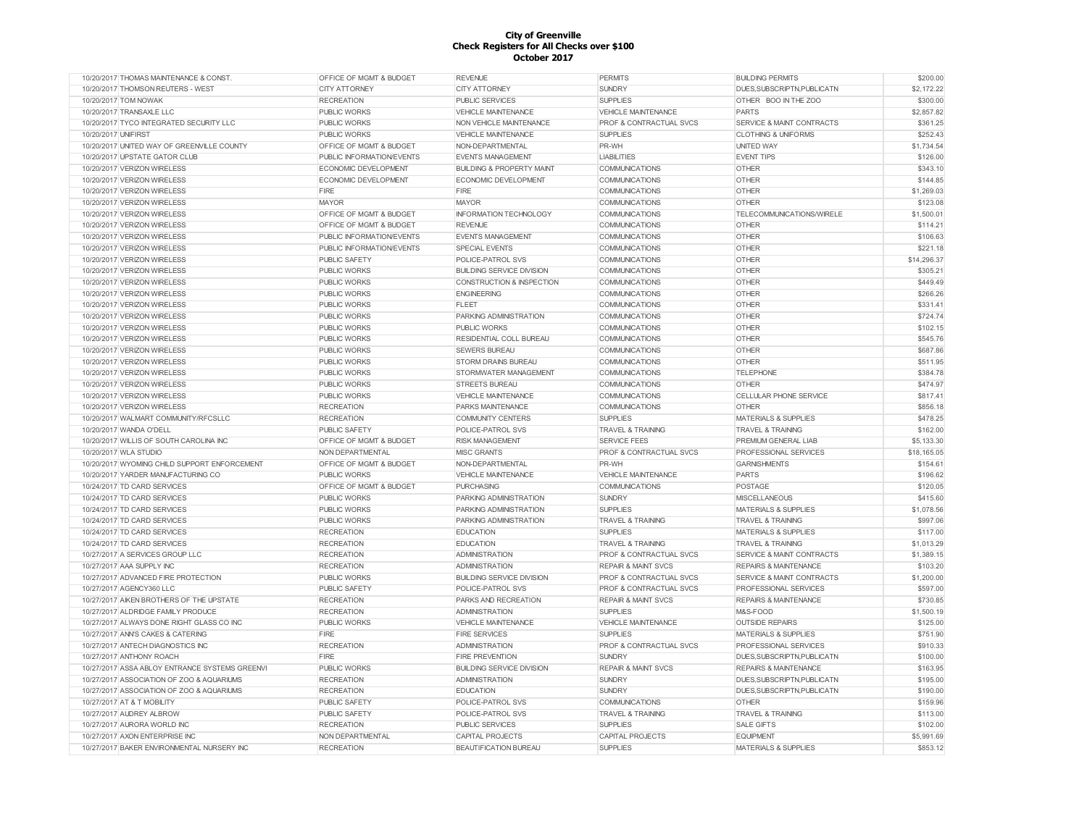| 10/20/2017 THOMAS MAINTENANCE & CONST          | OFFICE OF MGMT & BUDGET            | <b>REVENUE</b>                       | <b>PERMITS</b>                     | <b>BUILDING PERMITS</b>              | \$200.00    |
|------------------------------------------------|------------------------------------|--------------------------------------|------------------------------------|--------------------------------------|-------------|
| 10/20/2017 THOMSON REUTERS - WEST              | <b>CITY ATTORNEY</b>               | <b>CITY ATTORNEY</b>                 | <b>SUNDRY</b>                      | DUES, SUBSCRIPTN, PUBLICATN          | \$2,172.22  |
| 10/20/2017 TOM NOWAK                           | <b>RECREATION</b>                  | <b>PUBLIC SERVICES</b>               | <b>SUPPLIES</b>                    | OTHER BOO IN THE ZOO                 | \$300.00    |
| 10/20/2017 TRANSAXLE LLC                       | <b>PUBLIC WORKS</b>                | VEHICLE MAINTENANCE                  | VEHICLE MAINTENANCE                | PARTS                                | \$2,857.82  |
| 10/20/2017 TYCO INTEGRATED SECURITY LLC        | <b>PUBLIC WORKS</b>                | NON VEHICLE MAINTENANCE              | PROF & CONTRACTUAL SVCS            | SERVICE & MAINT CONTRACTS            | \$361.25    |
| 10/20/2017 UNIFIRST                            | <b>PUBLIC WORKS</b>                | VEHICLE MAINTENANCE                  | <b>SUPPLIES</b>                    | <b>CLOTHING &amp; UNIFORMS</b>       | \$252.43    |
| 10/20/2017 UNITED WAY OF GREENVILLE COUNTY     | <b>OFFICE OF MGMT &amp; BUDGET</b> | NON-DEPARTMENTAL                     | PR-WH                              | <b>UNITED WAY</b>                    | \$1,734.54  |
| 10/20/2017 UPSTATE GATOR CLUB                  | PUBLIC INFORMATION/EVENTS          | <b>EVENTS MANAGEMENT</b>             | <b>LIABILITIES</b>                 | <b>EVENT TIPS</b>                    | \$126.00    |
| 10/20/2017 VERIZON WIRELESS                    | <b>ECONOMIC DEVELOPMENT</b>        | <b>BUILDING &amp; PROPERTY MAINT</b> | <b>COMMUNICATIONS</b>              | <b>OTHER</b>                         | \$343.10    |
| 10/20/2017 VERIZON WIRELESS                    | ECONOMIC DEVELOPMENT               | ECONOMIC DEVELOPMENT                 | <b>COMMUNICATIONS</b>              | <b>OTHER</b>                         | \$144.85    |
| 10/20/2017 VERIZON WIRELESS                    | FIRE                               | <b>FIRE</b>                          |                                    | <b>OTHER</b>                         | \$1,269.03  |
|                                                | <b>MAYOR</b>                       | <b>MAYOR</b>                         | <b>COMMUNICATIONS</b>              |                                      |             |
| 10/20/2017 VERIZON WIRELESS                    |                                    |                                      | COMMUNICATIONS                     | <b>OTHER</b>                         | \$123.08    |
| 10/20/2017 VERIZON WIRELESS                    | <b>OFFICE OF MGMT &amp; BUDGET</b> | <b>INFORMATION TECHNOLOGY</b>        | <b>COMMUNICATIONS</b>              | TELECOMMUNICATIONS/WIRELE            | \$1,500.01  |
| 10/20/2017 VERIZON WIRELESS                    | OFFICE OF MGMT & BUDGET            | <b>REVENUE</b>                       | COMMUNICATIONS                     | <b>OTHER</b>                         | \$114.21    |
| 10/20/2017 VERIZON WIRELESS                    | PUBLIC INFORMATION/FVENTS          | <b>FVENTS MANAGEMENT</b>             | <b>COMMUNICATIONS</b>              | <b>OTHER</b>                         | \$106.63    |
| 10/20/2017 VERIZON WIRELESS                    | PUBLIC INFORMATION/EVENTS          | SPECIAL EVENTS                       | <b>COMMUNICATIONS</b>              | <b>OTHER</b>                         | \$221.18    |
| 10/20/2017 VERIZON WIRELESS                    | PUBLIC SAFETY                      | POLICE-PATROL SVS                    | COMMUNICATIONS                     | <b>OTHER</b>                         | \$14,296.37 |
| 10/20/2017 VERIZON WIRELESS                    | PUBLIC WORKS                       | <b>BUILDING SERVICE DIVISION</b>     | COMMUNICATIONS                     | <b>OTHER</b>                         | \$305.21    |
| 10/20/2017 VERIZON WIRELESS                    | <b>PUBLIC WORKS</b>                | CONSTRUCTION & INSPECTION            | <b>COMMUNICATIONS</b>              | <b>OTHER</b>                         | \$449.49    |
| 10/20/2017 VERIZON WIRELESS                    | <b>PUBLIC WORKS</b>                | <b>ENGINEERING</b>                   | COMMUNICATIONS                     | <b>OTHER</b>                         | \$266.26    |
| 10/20/2017 VERIZON WIRELESS                    | <b>PUBLIC WORKS</b>                | <b>FLEET</b>                         | <b>COMMUNICATIONS</b>              | <b>OTHER</b>                         | \$331.41    |
| 10/20/2017 VERIZON WIRELESS                    | <b>PUBLIC WORKS</b>                | PARKING ADMINISTRATION               | COMMUNICATIONS                     | <b>OTHER</b>                         | \$724.74    |
| 10/20/2017 VERIZON WIRELESS                    | <b>PUBLIC WORKS</b>                | PUBLIC WORKS                         | <b>COMMUNICATIONS</b>              | <b>OTHER</b>                         | \$102.15    |
| 10/20/2017 VERIZON WIRELESS                    | <b>PUBLIC WORKS</b>                | RESIDENTIAL COLL BUREAU              | COMMUNICATIONS                     | <b>OTHER</b>                         | \$545.76    |
| 10/20/2017 VERIZON WIRELESS                    | <b>PUBLIC WORKS</b>                | <b>SEWERS BUREAU</b>                 | COMMUNICATIONS                     | <b>OTHER</b>                         | \$687.86    |
| 10/20/2017 VERIZON WIRELESS                    | <b>PUBLIC WORKS</b>                | <b>STORM DRAINS BUREAU</b>           | COMMUNICATIONS                     | <b>OTHER</b>                         | \$511.95    |
|                                                |                                    |                                      |                                    |                                      |             |
| 10/20/2017 VERIZON WIRELESS                    | <b>PUBLIC WORKS</b>                | <b>STORMWATER MANAGEMENT</b>         | <b>COMMUNICATIONS</b>              | <b>TELEPHONE</b>                     | \$384.78    |
| 10/20/2017 VERIZON WIRELESS                    | PUBLIC WORKS                       | <b>STREETS BUREAU</b>                | COMMUNICATIONS                     | <b>OTHER</b>                         | \$474.97    |
| 10/20/2017 VERIZON WIRELESS                    | <b>PUBLIC WORKS</b>                | <b>VEHICLE MAINTENANCE</b>           | <b>COMMUNICATIONS</b>              | CELLULAR PHONE SERVICE               | \$817.41    |
| 10/20/2017 VERIZON WIRELESS                    | <b>RECREATION</b>                  | PARKS MAINTENANCE                    | <b>COMMUNICATIONS</b>              | <b>OTHER</b>                         | \$856.18    |
| 10/20/2017 WALMART COMMUNITY/RFCSLLC           | <b>RECREATION</b>                  | <b>COMMUNITY CENTERS</b>             | <b>SUPPLIES</b>                    | MATERIALS & SUPPLIES                 | \$478.25    |
| 10/20/2017 WANDA O'DELL                        | <b>PUBLIC SAFETY</b>               | POLICE-PATROL SVS                    | <b>TRAVEL &amp; TRAINING</b>       | <b>TRAVEL &amp; TRAINING</b>         | \$162.00    |
| 10/20/2017 WILLIS OF SOUTH CAROLINA INC        | <b>OFFICE OF MGMT &amp; BUDGET</b> | <b>RISK MANAGEMENT</b>               | <b>SERVICE FEES</b>                | PREMIUM GENERAL LIAB                 | \$5,133.30  |
| 10/20/2017 WLA STUDIO                          | NON DEPARTMENTAL                   | <b>MISC GRANTS</b>                   | <b>PROF &amp; CONTRACTUAL SVCS</b> | PROFESSIONAL SERVICES                | \$18,165.05 |
| 10/20/2017 WYOMING CHILD SUPPORT ENFORCEMENT   | OFFICE OF MGMT & BUDGET            | NON-DEPARTMENTAL                     | PR-WH                              | <b>GARNISHMENTS</b>                  | \$154.61    |
| 10/20/2017 YARDER MANUFACTURING CO             | PUBLIC WORKS                       | <b>VEHICLE MAINTENANCE</b>           | <b>VEHICLE MAINTENANCE</b>         | PARTS                                | \$196.62    |
| 10/24/2017 TD CARD SERVICES                    | OFFICE OF MGMT & BUDGET            | <b>PURCHASING</b>                    | <b>COMMUNICATIONS</b>              | POSTAGE                              | \$120.05    |
| 10/24/2017 TD CARD SERVICES                    | <b>PUBLIC WORKS</b>                | PARKING ADMINISTRATION               | <b>SUNDRY</b>                      | <b>MISCELLANEOUS</b>                 | \$415.60    |
| 10/24/2017 TD CARD SERVICES                    | PUBLIC WORKS                       | PARKING ADMINISTRATION               | <b>SUPPLIES</b>                    | MATERIALS & SUPPLIES                 | \$1,078.56  |
| 10/24/2017 TD CARD SERVICES                    | PUBLIC WORKS                       | PARKING ADMINISTRATION               | <b>TRAVEL &amp; TRAINING</b>       | <b>TRAVEL &amp; TRAINING</b>         | \$997.06    |
| 10/24/2017 TD CARD SERVICES                    | <b>RECREATION</b>                  | <b>EDUCATION</b>                     | <b>SUPPLIES</b>                    | MATERIALS & SUPPLIES                 | \$117.00    |
| 10/24/2017 TD CARD SERVICES                    | <b>RECREATION</b>                  | <b>EDUCATION</b>                     | <b>TRAVEL &amp; TRAINING</b>       | <b>TRAVEL &amp; TRAINING</b>         | \$1,013.29  |
| 10/27/2017 A SERVICES GROUP LLC                | <b>RECREATION</b>                  | <b>ADMINISTRATION</b>                | PROF & CONTRACTUAL SVCS            | SERVICE & MAINT CONTRACTS            | \$1,389.15  |
|                                                |                                    |                                      | <b>REPAIR &amp; MAINT SVCS</b>     | <b>REPAIRS &amp; MAINTENANCE</b>     | \$103.20    |
| 10/27/2017 AAA SUPPLY INC                      | <b>RECREATION</b>                  | ADMINISTRATION                       |                                    |                                      |             |
| 10/27/2017 ADVANCED FIRE PROTECTION            | <b>PUBLIC WORKS</b>                | <b>BUILDING SERVICE DIVISION</b>     | <b>PROF &amp; CONTRACTUAL SVCS</b> | <b>SERVICE &amp; MAINT CONTRACTS</b> | \$1,200.00  |
| 10/27/2017 AGENCY360 LLC                       | <b>PUBLIC SAFETY</b>               | POLICE-PATROL SVS                    | PROF & CONTRACTUAL SVCS            | PROFESSIONAL SERVICES                | \$597.00    |
| 10/27/2017 AIKEN BROTHERS OF THE UPSTATE       | <b>RECREATION</b>                  | PARKS AND RECREATION                 | <b>REPAIR &amp; MAINT SVCS</b>     | <b>REPAIRS &amp; MAINTENANCE</b>     | \$730.85    |
| 10/27/2017 ALDRIDGE FAMILY PRODUCE             | <b>RECREATION</b>                  | <b>ADMINISTRATION</b>                | <b>SUPPLIES</b>                    | M&S-FOOD                             | \$1,500.19  |
| 10/27/2017 ALWAYS DONE RIGHT GLASS CO INC      | <b>PUBLIC WORKS</b>                | <b>VEHICLE MAINTENANCE</b>           | <b>VEHICLE MAINTENANCE</b>         | <b>OUTSIDE REPAIRS</b>               | \$125.00    |
| 10/27/2017 ANN'S CAKES & CATERING              | FIRE                               | <b>FIRE SERVICES</b>                 | <b>SUPPLIES</b>                    | MATERIALS & SUPPLIES                 | \$751.90    |
| 10/27/2017 ANTECH DIAGNOSTICS INC              | <b>RECREATION</b>                  | <b>ADMINISTRATION</b>                | PROF & CONTRACTUAL SVCS            | PROFESSIONAL SERVICES                | \$910.33    |
| 10/27/2017 ANTHONY ROACH                       | <b>FIRE</b>                        | <b>FIRE PREVENTION</b>               | <b>SUNDRY</b>                      | DUES, SUBSCRIPTN, PUBLICATN          | \$100.00    |
| 10/27/2017 ASSA ABLOY ENTRANCE SYSTEMS GREENVI | <b>PUBLIC WORKS</b>                | <b>BUILDING SERVICE DIVISION</b>     | <b>REPAIR &amp; MAINT SVCS</b>     | <b>REPAIRS &amp; MAINTENANCE</b>     | \$163.95    |
| 10/27/2017 ASSOCIATION OF ZOO & AQUARIUMS      | <b>RECREATION</b>                  | ADMINISTRATION                       | <b>SUNDRY</b>                      | DUES, SUBSCRIPTN, PUBLICATN          | \$195.00    |
| 10/27/2017 ASSOCIATION OF ZOO & AQUARIUMS      | <b>RECREATION</b>                  | <b>EDUCATION</b>                     | <b>SUNDRY</b>                      | DUES, SUBSCRIPTN, PUBLICATN          | \$190.00    |
| 10/27/2017 AT & T MOBILITY                     | PUBLIC SAFETY                      | POLICE-PATROL SVS                    | <b>COMMUNICATIONS</b>              | <b>OTHER</b>                         | \$159.96    |
| 10/27/2017 AUDREY ALBROW                       | <b>PUBLIC SAFETY</b>               | POLICE-PATROL SVS                    | <b>TRAVEL &amp; TRAINING</b>       | <b>TRAVEL &amp; TRAINING</b>         | \$113.00    |
| 10/27/2017 AURORA WORLD INC                    | <b>RECREATION</b>                  | <b>PUBLIC SERVICES</b>               | <b>SUPPLIES</b>                    | <b>SALE GIFTS</b>                    | \$102.00    |
| 10/27/2017 AXON ENTERPRISE INC                 | NON DEPARTMENTAL                   |                                      |                                    |                                      | \$5,991.69  |
|                                                |                                    | CAPITAL PROJECTS                     | CAPITAL PROJECTS                   | <b>EQUIPMENT</b>                     |             |
| 10/27/2017 BAKER ENVIRONMENTAL NURSERY INC     | <b>RECREATION</b>                  | <b>BEAUTIFICATION BUREAU</b>         | <b>SUPPLIES</b>                    | MATERIALS & SUPPLIES                 | \$853.12    |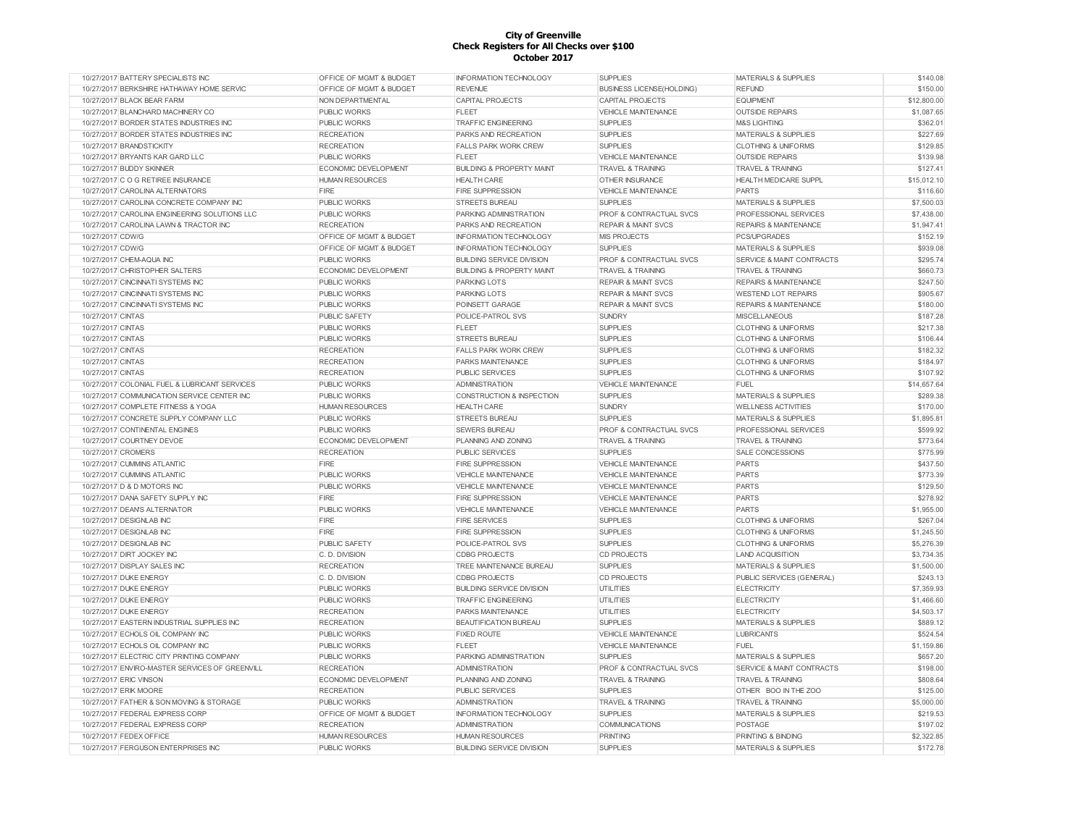| 10/27/2017 BATTERY SPECIALISTS INC             | OFFICE OF MGMT & BUDGET | <b>INFORMATION TECHNOLOGY</b>        | <b>SUPPLIES</b>                  | <b>MATERIALS &amp; SUPPLIES</b>      | \$140.08    |
|------------------------------------------------|-------------------------|--------------------------------------|----------------------------------|--------------------------------------|-------------|
| 10/27/2017 BERKSHIRE HATHAWAY HOME SERVIC      | OFFICE OF MGMT & BUDGET | <b>REVENUE</b>                       | <b>BUSINESS LICENSE(HOLDING)</b> | <b>REFUND</b>                        | \$150.00    |
| 10/27/2017 BLACK BEAR FARM                     | NON DEPARTMENTAL        | <b>CAPITAL PROJECTS</b>              | CAPITAL PROJECTS                 | <b>EQUIPMENT</b>                     | \$12,800.00 |
| 10/27/2017 BLANCHARD MACHINERY CO              | <b>PUBLIC WORKS</b>     | <b>FLEET</b>                         | <b>VEHICLE MAINTENANCE</b>       | <b>OUTSIDE REPAIRS</b>               | \$1,087.65  |
| 10/27/2017 BORDER STATES INDUSTRIES INC        | <b>PUBLIC WORKS</b>     | <b>TRAFFIC ENGINEERING</b>           | <b>SUPPLIES</b>                  | <b>M&amp;S LIGHTING</b>              | \$362.01    |
| 10/27/2017 BORDER STATES INDUSTRIES INC        | <b>RECREATION</b>       | PARKS AND RECREATION                 | <b>SUPPLIES</b>                  | <b>MATERIALS &amp; SUPPLIES</b>      | \$227.69    |
| 10/27/2017 BRANDSTICKITY                       | <b>RECREATION</b>       | <b>FALLS PARK WORK CREW</b>          | <b>SUPPLIES</b>                  | <b>CLOTHING &amp; UNIFORMS</b>       | \$129.85    |
| 10/27/2017 BRYANTS KAR GARD LLC                | <b>PUBLIC WORKS</b>     | <b>FLEET</b>                         | <b>VEHICLE MAINTENANCE</b>       | <b>OUTSIDE REPAIRS</b>               | \$139.98    |
| 10/27/2017 BUDDY SKINNER                       | ECONOMIC DEVELOPMENT    | <b>BUILDING &amp; PROPERTY MAINT</b> | <b>TRAVEL &amp; TRAINING</b>     | <b>TRAVEL &amp; TRAINING</b>         | \$127.41    |
| 10/27/2017 C O G RETIREE INSURANCE             | <b>HUMAN RESOURCES</b>  | <b>HEALTH CARE</b>                   | <b>OTHER INSURANCE</b>           | HEALTH MEDICARE SUPPL                | \$15,012.10 |
| 10/27/2017 CAROLINA ALTERNATORS                | FIRE                    | <b>FIRE SUPPRESSION</b>              | <b>VEHICLE MAINTENANCE</b>       | <b>PARTS</b>                         | \$116.60    |
| 10/27/2017 CAROLINA CONCRETE COMPANY INC       | <b>PUBLIC WORKS</b>     | <b>STREETS BUREAU</b>                | <b>SUPPLIES</b>                  | <b>MATERIALS &amp; SUPPLIES</b>      | \$7,500.03  |
| 10/27/2017 CAROLINA ENGINEERING SOLUTIONS LLC  | <b>PUBLIC WORKS</b>     | PARKING ADMINISTRATION               | PROF & CONTRACTUAL SVCS          | PROFESSIONAL SERVICES                | \$7,438.00  |
| 10/27/2017 CAROLINA LAWN & TRACTOR INC         | <b>RECREATION</b>       | PARKS AND RECREATION                 | <b>REPAIR &amp; MAINT SVCS</b>   | <b>REPAIRS &amp; MAINTENANCE</b>     | \$1,947.41  |
| 10/27/2017 CDW/G                               | OFFICE OF MGMT & BUDGET | <b>INFORMATION TECHNOLOGY</b>        | <b>MIS PROJECTS</b>              | PCS/UPGRADES                         | \$152.19    |
| 10/27/2017 CDW/G                               | OFFICE OF MGMT & BUDGET | INFORMATION TECHNOLOGY               | <b>SUPPLIES</b>                  | <b>MATERIALS &amp; SUPPLIES</b>      | \$939.08    |
| 10/27/2017 CHEM-AQUA INC                       | <b>PUBLIC WORKS</b>     | <b>BUILDING SERVICE DIVISION</b>     | PROF & CONTRACTUAL SVCS          | <b>SERVICE &amp; MAINT CONTRACTS</b> | \$295.74    |
| 10/27/2017 CHRISTOPHER SALTERS                 | ECONOMIC DEVELOPMENT    | <b>BUILDING &amp; PROPERTY MAINT</b> | <b>TRAVEL &amp; TRAINING</b>     | <b>TRAVEL &amp; TRAINING</b>         | \$660.73    |
| 10/27/2017 CINCINNATI SYSTEMS INC              | <b>PUBLIC WORKS</b>     | <b>PARKING LOTS</b>                  | <b>REPAIR &amp; MAINT SVCS</b>   | <b>REPAIRS &amp; MAINTENANCE</b>     | \$247.50    |
| 10/27/2017 CINCINNATI SYSTEMS INC              | <b>PUBLIC WORKS</b>     | <b>PARKING LOTS</b>                  | <b>REPAIR &amp; MAINT SVCS</b>   | <b>WESTEND LOT REPAIRS</b>           | \$905.67    |
| 10/27/2017 CINCINNATI SYSTEMS INC              | <b>PUBLIC WORKS</b>     | POINSETT GARAGE                      | <b>REPAIR &amp; MAINT SVCS</b>   | <b>REPAIRS &amp; MAINTENANCE</b>     | \$180.00    |
| 10/27/2017 CINTAS                              | <b>PUBLIC SAFETY</b>    |                                      |                                  | <b>MISCELLANEOUS</b>                 | \$187.28    |
|                                                |                         | POLICE-PATROL SVS                    | <b>SUNDRY</b>                    |                                      | \$217.38    |
| 10/27/2017 CINTAS                              | <b>PUBLIC WORKS</b>     | <b>FLEET</b>                         | <b>SUPPLIES</b>                  | <b>CLOTHING &amp; UNIFORMS</b>       |             |
| 10/27/2017 CINTAS                              | <b>PUBLIC WORKS</b>     | <b>STREETS BUREAU</b>                | <b>SUPPLIES</b>                  | <b>CLOTHING &amp; UNIFORMS</b>       | \$106.44    |
| 10/27/2017 CINTAS                              | <b>RECREATION</b>       | <b>FALLS PARK WORK CREW</b>          | <b>SUPPLIES</b>                  | <b>CLOTHING &amp; UNIFORMS</b>       | \$182.32    |
| 10/27/2017 CINTAS                              | <b>RECREATION</b>       | PARKS MAINTENANCE                    | <b>SUPPLIES</b>                  | <b>CLOTHING &amp; UNIFORMS</b>       | \$184.97    |
| 10/27/2017 CINTAS                              | <b>RECREATION</b>       | PUBLIC SERVICES                      | <b>SUPPLIES</b>                  | <b>CLOTHING &amp; UNIFORMS</b>       | \$107.92    |
| 10/27/2017 COLONIAL FUEL & LUBRICANT SERVICES  | <b>PUBLIC WORKS</b>     | <b>ADMINISTRATION</b>                | VEHICLE MAINTENANCE              | FUEL                                 | \$14,657.64 |
| 10/27/2017 COMMUNICATION SERVICE CENTER INC    | <b>PUBLIC WORKS</b>     | CONSTRUCTION & INSPECTION            | <b>SUPPLIES</b>                  | <b>MATERIALS &amp; SUPPLIES</b>      | \$289.38    |
| 10/27/2017 COMPLETE FITNESS & YOGA             | <b>HUMAN RESOURCES</b>  | <b>HEALTH CARE</b>                   | SUNDRY                           | <b>WELLNESS ACTIVITIES</b>           | \$170.00    |
| 10/27/2017 CONCRETE SUPPLY COMPANY LLC         | <b>PUBLIC WORKS</b>     | <b>STREETS BUREAU</b>                | <b>SUPPLIES</b>                  | <b>MATERIALS &amp; SUPPLIES</b>      | \$1,895.81  |
| 10/27/2017 CONTINENTAL ENGINES                 | <b>PUBLIC WORKS</b>     | <b>SEWERS BUREAU</b>                 | PROF & CONTRACTUAL SVCS          | PROFESSIONAL SERVICES                | \$599.92    |
| 10/27/2017 COURTNEY DEVOE                      | ECONOMIC DEVELOPMENT    | <b>PLANNING AND ZONING</b>           | <b>TRAVEL &amp; TRAINING</b>     | <b>TRAVEL &amp; TRAINING</b>         | \$773.64    |
| 10/27/2017 CROMERS                             | <b>RECREATION</b>       | <b>PUBLIC SERVICES</b>               | <b>SUPPLIES</b>                  | <b>SALE CONCESSIONS</b>              | \$775.99    |
| 10/27/2017 CUMMINS ATLANTIC                    | <b>FIRE</b>             | <b>FIRE SUPPRESSION</b>              | <b>VEHICLE MAINTENANCE</b>       | <b>PARTS</b>                         | \$437.50    |
| 10/27/2017 CUMMINS ATLANTIC                    | <b>PUBLIC WORKS</b>     | <b>VEHICLE MAINTENANCE</b>           | <b>VEHICLE MAINTENANCE</b>       | <b>PARTS</b>                         | \$773.39    |
| 10/27/2017 D & D MOTORS INC                    | <b>PUBLIC WORKS</b>     | <b>VEHICLE MAINTENANCE</b>           | <b>VEHICLE MAINTENANCE</b>       | <b>PARTS</b>                         | \$129.50    |
| 10/27/2017 DANA SAFETY SUPPLY INC              | <b>FIRE</b>             | <b>FIRE SUPPRESSION</b>              | <b>VEHICLE MAINTENANCE</b>       | <b>PARTS</b>                         | \$278.92    |
| 10/27/2017 DEAN'S ALTERNATOR                   | <b>PUBLIC WORKS</b>     | <b>VEHICLE MAINTENANCE</b>           | <b>VEHICLE MAINTENANCE</b>       | <b>PARTS</b>                         | \$1,955.00  |
| 10/27/2017 DESIGNLAB INC                       | FIRE                    | <b>FIRE SERVICES</b>                 | <b>SUPPLIES</b>                  | <b>CLOTHING &amp; UNIFORMS</b>       | \$267.04    |
| 10/27/2017 DESIGNLAB INC                       | <b>FIRE</b>             | <b>FIRE SUPPRESSION</b>              | <b>SUPPLIES</b>                  | <b>CLOTHING &amp; UNIFORMS</b>       | \$1,245.50  |
| 10/27/2017 DESIGNLAB INC                       | PUBLIC SAFETY           | POLICE-PATROL SVS                    | <b>SUPPLIES</b>                  | <b>CLOTHING &amp; UNIFORMS</b>       | \$5,276.39  |
| 10/27/2017 DIRT JOCKEY INC                     | C. D. DIVISION          | <b>CDBG PROJECTS</b>                 | <b>CD PROJECTS</b>               | <b>LAND ACQUISITION</b>              | \$3,734.35  |
| 10/27/2017 DISPLAY SALES INC                   | <b>RECREATION</b>       | TREE MAINTENANCE BUREAU              | <b>SUPPLIES</b>                  | <b>MATERIALS &amp; SUPPLIES</b>      | \$1,500.00  |
| 10/27/2017 DUKE ENERGY                         | C. D. DIVISION          | <b>CDBG PROJECTS</b>                 | <b>CD PROJECTS</b>               | PUBLIC SERVICES (GENERAL)            | \$243.13    |
| 10/27/2017 DUKE ENERGY                         | <b>PUBLIC WORKS</b>     | <b>BUILDING SERVICE DIVISION</b>     | <b>UTILITIES</b>                 | <b>ELECTRICITY</b>                   | \$7,359.93  |
| 10/27/2017 DUKE ENERGY                         | PUBLIC WORKS            | <b>TRAFFIC ENGINEERING</b>           | <b>UTILITIES</b>                 | <b>ELECTRICITY</b>                   | \$1,466.60  |
| 10/27/2017 DUKE ENERGY                         | <b>RECREATION</b>       | <b>PARKS MAINTENANCE</b>             | <b>UTILITIES</b>                 | <b>ELECTRICITY</b>                   | \$4,503.17  |
| 10/27/2017 EASTERN INDUSTRIAL SUPPLIES INC     | <b>RECREATION</b>       | <b>BEAUTIFICATION BUREAU</b>         | <b>SUPPLIES</b>                  | <b>MATERIALS &amp; SUPPLIES</b>      | \$889.12    |
| 10/27/2017 ECHOLS OIL COMPANY INC              | <b>PUBLIC WORKS</b>     | <b>FIXED ROUTE</b>                   | <b>VEHICLE MAINTENANCE</b>       | <b>LUBRICANTS</b>                    | \$524.54    |
| 10/27/2017 ECHOLS OIL COMPANY INC              | PUBLIC WORKS            | <b>FLEET</b>                         | <b>VEHICLE MAINTENANCE</b>       | <b>FUEL</b>                          | \$1,159.86  |
| 10/27/2017 ELECTRIC CITY PRINTING COMPANY      | PUBLIC WORKS            | PARKING ADMINISTRATION               | <b>SUPPLIES</b>                  | <b>MATERIALS &amp; SUPPLIES</b>      | \$657.20    |
| 10/27/2017 ENVIRO-MASTER SERVICES OF GREENVILL | <b>RECREATION</b>       | <b>ADMINISTRATION</b>                | PROF & CONTRACTUAL SVCS          | SERVICE & MAINT CONTRACTS            | \$198.00    |
| 10/27/2017 ERIC VINSON                         | ECONOMIC DEVELOPMENT    | PLANNING AND ZONING                  | <b>TRAVEL &amp; TRAINING</b>     | <b>TRAVEL &amp; TRAINING</b>         | \$808.64    |
| 10/27/2017 ERIK MOORE                          | <b>RECREATION</b>       | <b>PUBLIC SERVICES</b>               | <b>SUPPLIES</b>                  | OTHER BOO IN THE ZOO                 | \$125.00    |
| 10/27/2017 FATHER & SON MOVING & STORAGE       | <b>PUBLIC WORKS</b>     | <b>ADMINISTRATION</b>                | <b>TRAVEL &amp; TRAINING</b>     | <b>TRAVEL &amp; TRAINING</b>         | \$5,000.00  |
| 10/27/2017 FEDERAL EXPRESS CORP                | OFFICE OF MGMT & BUDGET | INFORMATION TECHNOLOGY               | <b>SUPPLIES</b>                  | MATERIALS & SUPPLIES                 | \$219.53    |
| 10/27/2017 FEDERAL EXPRESS CORP                | <b>RECREATION</b>       | <b>ADMINISTRATION</b>                | <b>COMMUNICATIONS</b>            | POSTAGE                              | \$197.02    |
| 10/27/2017 FEDEX OFFICE                        | <b>HUMAN RESOURCES</b>  | <b>HUMAN RESOURCES</b>               | <b>PRINTING</b>                  | PRINTING & BINDING                   | \$2,322.85  |
| 10/27/2017 FERGUSON ENTERPRISES INC            | PUBLIC WORKS            | <b>BUILDING SERVICE DIVISION</b>     | <b>SUPPLIES</b>                  | <b>MATERIALS &amp; SUPPLIES</b>      | \$172.78    |
|                                                |                         |                                      |                                  |                                      |             |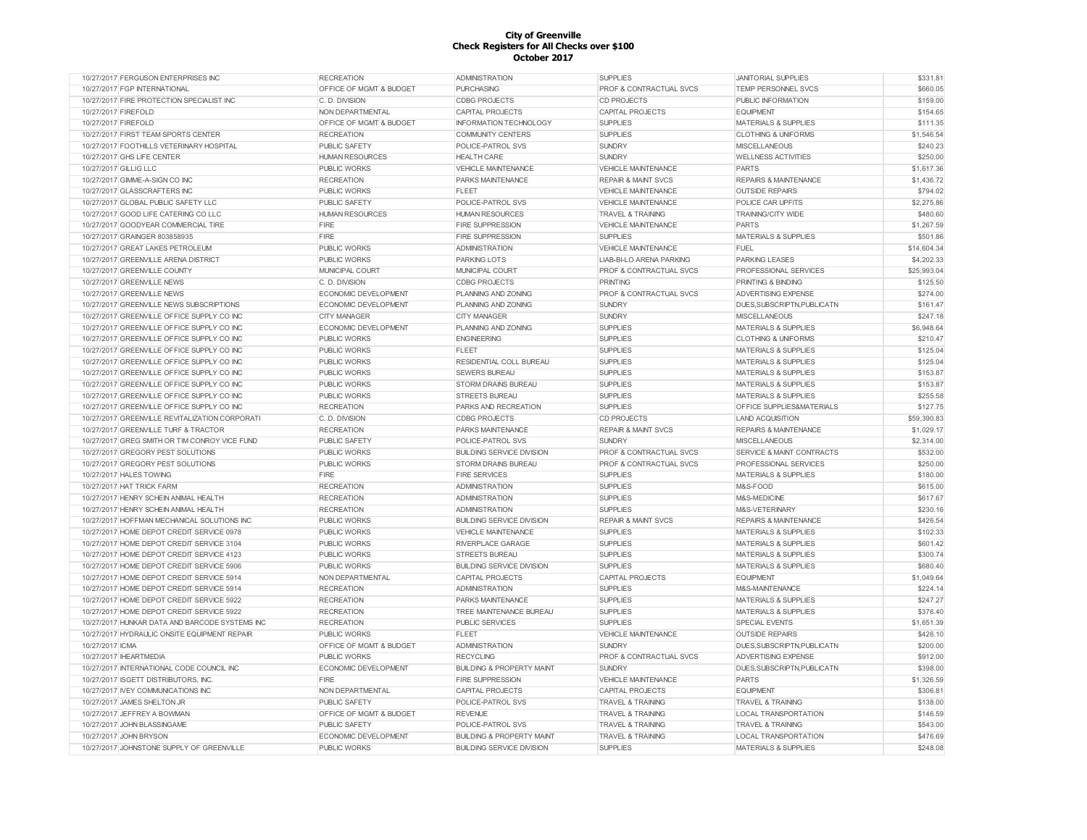| 10/27/2017 FERGUSON ENTERPRISES INC            | <b>RECREATION</b>                  | <b>ADMINISTRATION</b>                | <b>SUPPLIES</b>                    | <b>JANITORIAL SUPPLIES</b>           | \$331.81               |
|------------------------------------------------|------------------------------------|--------------------------------------|------------------------------------|--------------------------------------|------------------------|
| 10/27/2017 FGP INTERNATIONAL                   | OFFICE OF MGMT & BUDGET            | <b>PURCHASING</b>                    | PROF & CONTRACTUAL SVCS            | TEMP PERSONNEL SVCS                  | \$660.05               |
| 10/27/2017 FIRE PROTECTION SPECIALIST INC      | C. D. DIVISION                     | <b>CDBG PROJECTS</b>                 | <b>CD PROJECTS</b>                 | PUBLIC INFORMATION                   | \$159.00               |
| 10/27/2017 FIREFOLD                            | NON DEPARTMENTAL                   | CAPITAL PROJECTS                     | <b>CAPITAL PROJECTS</b>            | <b>EQUIPMENT</b>                     | \$154.65               |
| 10/27/2017 FIREFOLD                            | OFFICE OF MGMT & BUDGET            | <b>INFORMATION TECHNOLOGY</b>        | <b>SUPPLIES</b>                    | <b>MATERIALS &amp; SUPPLIES</b>      | \$111.35               |
| 10/27/2017 FIRST TEAM SPORTS CENTER            | <b>RECREATION</b>                  | <b>COMMUNITY CENTERS</b>             | <b>SUPPLIES</b>                    | <b>CLOTHING &amp; UNIFORMS</b>       | \$1,546.54             |
| 10/27/2017 FOOTHILLS VETERINARY HOSPITAL       | PUBLIC SAFETY                      | POLICE-PATROL SVS                    | <b>SUNDRY</b>                      | <b>MISCELLANEOUS</b>                 | \$240.23               |
| 10/27/2017 GHS LIFE CENTER                     | <b>HUMAN RESOURCES</b>             | <b>HEALTH CARE</b>                   | <b>SUNDRY</b>                      | <b>WELLNESS ACTIVITIES</b>           | \$250.00               |
| 10/27/2017 GILLIG LLC                          | <b>PUBLIC WORKS</b>                | <b>VEHICLE MAINTENANCE</b>           | <b>VEHICLE MAINTENANCE</b>         | <b>PARTS</b>                         | \$1,617.36             |
| 10/27/2017 GIMME-A-SIGN CO INC                 | <b>RECREATION</b>                  | PARKS MAINTENANCE                    | <b>REPAIR &amp; MAINT SVCS</b>     | <b>REPAIRS &amp; MAINTENANCE</b>     | \$1,436.72             |
| 10/27/2017 GLASSCRAFTERS INC                   | <b>PUBLIC WORKS</b>                | <b>FLEET</b>                         | <b>VEHICLE MAINTENANCE</b>         | <b>OUTSIDE REPAIRS</b>               | \$794.02               |
| 10/27/2017 GLOBAL PUBLIC SAFETY LLC            | PUBLIC SAFETY                      | POLICE-PATROL SVS                    | <b>VEHICLE MAINTENANCE</b>         | POLICE CAR UPFITS                    | \$2,275.86             |
| 10/27/2017 GOOD LIFE CATERING CO LLC           | <b>HUMAN RESOURCES</b>             | <b>HUMAN RESOURCES</b>               | <b>TRAVEL &amp; TRAINING</b>       | <b>TRAINING/CITY WIDE</b>            | \$480.60               |
| 10/27/2017 GOODYEAR COMMERCIAL TIRE            | FIRE                               | <b>FIRE SUPPRESSION</b>              | <b>VEHICLE MAINTENANCE</b>         | <b>PARTS</b>                         | \$1,267.59             |
| 10/27/2017 GRAINGER 803858935                  | FIRE                               | <b>FIRE SUPPRESSION</b>              | <b>SUPPLIES</b>                    | <b>MATERIALS &amp; SUPPLIES</b>      | \$501.86               |
| 10/27/2017 GREAT LAKES PETROLEUM               | <b>PUBLIC WORKS</b>                | <b>ADMINISTRATION</b>                | <b>VEHICLE MAINTENANCE</b>         | FUEL                                 | \$14,604.34            |
| 10/27/2017 GREENVILLE ARENA DISTRICT           | PUBLIC WORKS                       | PARKING LOTS                         | <b>LIAB-BI-LO ARENA PARKING</b>    | <b>PARKING LEASES</b>                | \$4,202.33             |
| 10/27/2017 GREENVILLE COUNTY                   | <b>MUNICIPAL COURT</b>             | MUNICIPAL COURT                      | PROF & CONTRACTUAL SVCS            | PROFESSIONAL SERVICES                | \$25,993.04            |
| 10/27/2017 GREENVILLE NEWS                     | C. D. DIVISION                     | <b>CDBG PROJECTS</b>                 | <b>PRINTING</b>                    | PRINTING & BINDING                   | \$125.50               |
| 10/27/2017 GREENVILLE NEWS                     | ECONOMIC DEVELOPMENT               | PLANNING AND ZONING                  | <b>PROF &amp; CONTRACTUAL SVCS</b> | <b>ADVERTISING EXPENSE</b>           | \$274.00               |
| 10/27/2017 GREENVILLE NEWS SUBSCRIPTIONS       | ECONOMIC DEVELOPMENT               | PLANNING AND ZONING                  | <b>SUNDRY</b>                      | DUES, SUBSCRIPTN, PUBLICATN          | \$161.47               |
| 10/27/2017 GREENVILLE OFFICE SUPPLY CO INC     |                                    |                                      |                                    |                                      |                        |
| 10/27/2017 GREENVILLE OFFICE SUPPLY CO INC     | <b>CITY MANAGER</b>                | <b>CITY MANAGER</b>                  | <b>SUNDRY</b><br><b>SUPPLIES</b>   | <b>MISCELLANEOUS</b>                 | \$247.18<br>\$6,948.64 |
|                                                | ECONOMIC DEVELOPMENT               | PLANNING AND ZONING                  |                                    | <b>MATERIALS &amp; SUPPLIES</b>      |                        |
| 10/27/2017 GREENVILLE OFFICE SUPPLY CO INC     | <b>PUBLIC WORKS</b>                | <b>ENGINEERING</b>                   | <b>SUPPLIES</b>                    | <b>CLOTHING &amp; UNIFORMS</b>       | \$210.47               |
| 10/27/2017 GREENVILLE OFFICE SUPPLY CO INC     | <b>PUBLIC WORKS</b>                | <b>FLEET</b>                         | <b>SUPPLIES</b>                    | <b>MATERIALS &amp; SUPPLIES</b>      | \$125.04               |
| 10/27/2017 GREENVILLE OFFICE SUPPLY CO INC     | <b>PUBLIC WORKS</b>                | RESIDENTIAL COLL BUREAU              | <b>SUPPLIES</b>                    | <b>MATERIALS &amp; SUPPLIES</b>      | \$125.04               |
| 10/27/2017 GREENVILLE OFFICE SUPPLY CO INC     | PUBLIC WORKS                       | <b>SEWERS BUREAU</b>                 | <b>SUPPLIES</b>                    | <b>MATERIALS &amp; SUPPLIES</b>      | \$153.87               |
| 10/27/2017 GREENVILLE OFFICE SUPPLY CO INC     | <b>PUBLIC WORKS</b>                | STORM DRAINS BUREAU                  | <b>SUPPLIES</b>                    | <b>MATERIALS &amp; SUPPLIES</b>      | \$153.87               |
| 10/27/2017 GREENVILLE OFFICE SUPPLY CO INC     | <b>PUBLIC WORKS</b>                | <b>STREETS BUREAU</b>                | <b>SUPPLIES</b>                    | <b>MATERIALS &amp; SUPPLIES</b>      | \$255.58               |
| 10/27/2017 GREENVILLE OFFICE SUPPLY CO INC     | <b>RECREATION</b>                  | PARKS AND RECREATION                 | <b>SUPPLIES</b>                    | OFFICE SUPPLIES&MATERIALS            | \$127.75               |
| 10/27/2017 GREENVILLE REVITALIZATION CORPORATI | C. D. DIVISION                     | <b>CDBG PROJECTS</b>                 | <b>CD PROJECTS</b>                 | <b>LAND ACQUISITION</b>              | \$59,390.83            |
| 10/27/2017 GREENVILLE TURF & TRACTOR           | <b>RECREATION</b>                  | PARKS MAINTENANCE                    | <b>REPAIR &amp; MAINT SVCS</b>     | <b>REPAIRS &amp; MAINTENANCE</b>     | \$1,029.17             |
| 10/27/2017 GREG SMITH OR TIM CONROY VICE FUND  | <b>PUBLIC SAFETY</b>               | POLICE-PATROL SVS                    | <b>SUNDRY</b>                      | <b>MISCELLANEOUS</b>                 | \$2,314.00             |
| 10/27/2017 GREGORY PEST SOLUTIONS              | <b>PUBLIC WORKS</b>                | <b>BUILDING SERVICE DIVISION</b>     | PROF & CONTRACTUAL SVCS            | <b>SERVICE &amp; MAINT CONTRACTS</b> | \$532.00               |
| 10/27/2017 GREGORY PEST SOLUTIONS              | <b>PUBLIC WORKS</b>                | STORM DRAINS BUREAU                  | PROF & CONTRACTUAL SVCS            | PROFESSIONAL SERVICES                | \$250.00               |
| 10/27/2017 HALES TOWING                        | <b>FIRE</b>                        | <b>FIRE SERVICES</b>                 | <b>SUPPLIES</b>                    | <b>MATERIALS &amp; SUPPLIES</b>      | \$180.00               |
| 10/27/2017 HAT TRICK FARM                      | <b>RECREATION</b>                  | <b>ADMINISTRATION</b>                | <b>SUPPLIES</b>                    | M&S-FOOD                             | \$615.00               |
| 10/27/2017 HENRY SCHEIN ANIMAL HEALTH          | <b>RECREATION</b>                  | <b>ADMINISTRATION</b>                | <b>SUPPLIES</b>                    | M&S-MEDICINE                         | \$617.67               |
| 10/27/2017 HENRY SCHEIN ANIMAL HEALTH          | <b>RECREATION</b>                  | <b>ADMINISTRATION</b>                | <b>SUPPLIES</b>                    | M&S-VETERINARY                       | \$230.16               |
| 10/27/2017 HOFFMAN MECHANICAL SOLUTIONS INC    | <b>PUBLIC WORKS</b>                | <b>BUILDING SERVICE DIVISION</b>     | <b>REPAIR &amp; MAINT SVCS</b>     | <b>REPAIRS &amp; MAINTENANCE</b>     | \$426.54               |
| 10/27/2017 HOME DEPOT CREDIT SERVICE 0978      | <b>PUBLIC WORKS</b>                | <b>VEHICLE MAINTENANCE</b>           | <b>SUPPLIES</b>                    | <b>MATERIALS &amp; SUPPLIES</b>      | \$102.33               |
| 10/27/2017 HOME DEPOT CREDIT SERVICE 3104      | <b>PUBLIC WORKS</b>                | <b>RIVERPLACE GARAGE</b>             | <b>SUPPLIES</b>                    | <b>MATERIALS &amp; SUPPLIES</b>      | \$601.42               |
| 10/27/2017 HOME DEPOT CREDIT SERVICE 4123      | PUBLIC WORKS                       | <b>STREETS BUREAU</b>                | <b>SUPPLIES</b>                    | MATERIALS & SUPPLIES                 | \$300.74               |
| 10/27/2017 HOME DEPOT CREDIT SERVICE 5906      | PUBLIC WORKS                       | <b>BUILDING SERVICE DIVISION</b>     | <b>SUPPLIES</b>                    | MATERIALS & SUPPLIES                 | \$680.40               |
| 10/27/2017 HOME DEPOT CREDIT SERVICE 5914      | NON DEPARTMENTAL                   | CAPITAL PROJECTS                     | <b>CAPITAL PROJECTS</b>            | <b>EQUIPMENT</b>                     | \$1,049.64             |
| 10/27/2017 HOME DEPOT CREDIT SERVICE 5914      | <b>RECREATION</b>                  | <b>ADMINISTRATION</b>                | <b>SUPPLIES</b>                    | M&S-MAINTENANCE                      | \$224.14               |
| 10/27/2017 HOME DEPOT CREDIT SERVICE 5922      | <b>RECREATION</b>                  | PARKS MAINTENANCE                    | <b>SUPPLIES</b>                    | <b>MATERIALS &amp; SUPPLIES</b>      | \$247.27               |
| 10/27/2017 HOME DEPOT CREDIT SERVICE 5922      | <b>RECREATION</b>                  | TREE MAINTENANCE BUREAU              | <b>SUPPLIES</b>                    | MATERIALS & SUPPLIES                 | \$376.40               |
| 10/27/2017 HUNKAR DATA AND BARCODE SYSTEMS INC | <b>RECREATION</b>                  | <b>PUBLIC SERVICES</b>               | <b>SUPPLIES</b>                    | <b>SPECIAL EVENTS</b>                | \$1,651.39             |
| 10/27/2017 HYDRAULIC ONSITE EQUIPMENT REPAIR   | <b>PUBLIC WORKS</b>                | <b>FLEET</b>                         | VEHICLE MAINTENANCE                | <b>OUTSIDE REPAIRS</b>               | \$426.10               |
| 10/27/2017 ICMA                                | OFFICE OF MGMT & BUDGET            | <b>ADMINISTRATION</b>                | <b>SUNDRY</b>                      | DUES, SUBSCRIPTN, PUBLICATN          | \$200.00               |
| 10/27/2017 IHEARTMEDIA                         | <b>PUBLIC WORKS</b>                | <b>RECYCLING</b>                     | PROF & CONTRACTUAL SVCS            | ADVERTISING EXPENSE                  | \$912.00               |
| 10/27/2017 INTERNATIONAL CODE COUNCIL INC      | ECONOMIC DEVELOPMENT               | <b>BUILDING &amp; PROPERTY MAINT</b> | <b>SUNDRY</b>                      | DUES, SUBSCRIPTN, PUBLICATN          | \$398.00               |
| 10/27/2017 ISGETT DISTRIBUTORS, INC.           | FIRE                               | FIRE SUPPRESSION                     | VEHICLE MAINTENANCE                | <b>PARTS</b>                         | \$1,326.59             |
| 10/27/2017 IVEY COMMUNICATIONS INC             | NON DEPARTMENTAL                   | <b>CAPITAL PROJECTS</b>              | <b>CAPITAL PROJECTS</b>            | <b>EQUIPMENT</b>                     | \$306.81               |
| 10/27/2017 JAMES SHELTON JR                    | <b>PUBLIC SAFETY</b>               | POLICE-PATROL SVS                    | <b>TRAVEL &amp; TRAINING</b>       | <b>TRAVEL &amp; TRAINING</b>         | \$138.00               |
| 10/27/2017 JEFFREY A BOWMAN                    | <b>OFFICE OF MGMT &amp; BUDGET</b> | <b>REVENUE</b>                       | <b>TRAVEL &amp; TRAINING</b>       | <b>LOCAL TRANSPORTATION</b>          | \$146.59               |
| 10/27/2017 JOHN BLASSINGAME                    | <b>PUBLIC SAFETY</b>               | POLICE-PATROL SVS                    | <b>TRAVEL &amp; TRAINING</b>       | <b>TRAVEL &amp; TRAINING</b>         | \$543.00               |
| 10/27/2017 JOHN BRYSON                         | ECONOMIC DEVELOPMENT               | <b>BUILDING &amp; PROPERTY MAINT</b> | <b>TRAVEL &amp; TRAINING</b>       | LOCAL TRANSPORTATION                 | \$476.69               |
| 10/27/2017 JOHNSTONE SUPPLY OF GREENVILLE      | <b>PUBLIC WORKS</b>                | <b>BUILDING SERVICE DIVISION</b>     | <b>SUPPLIES</b>                    | MATERIALS & SUPPLIES                 | \$248.08               |
|                                                |                                    |                                      |                                    |                                      |                        |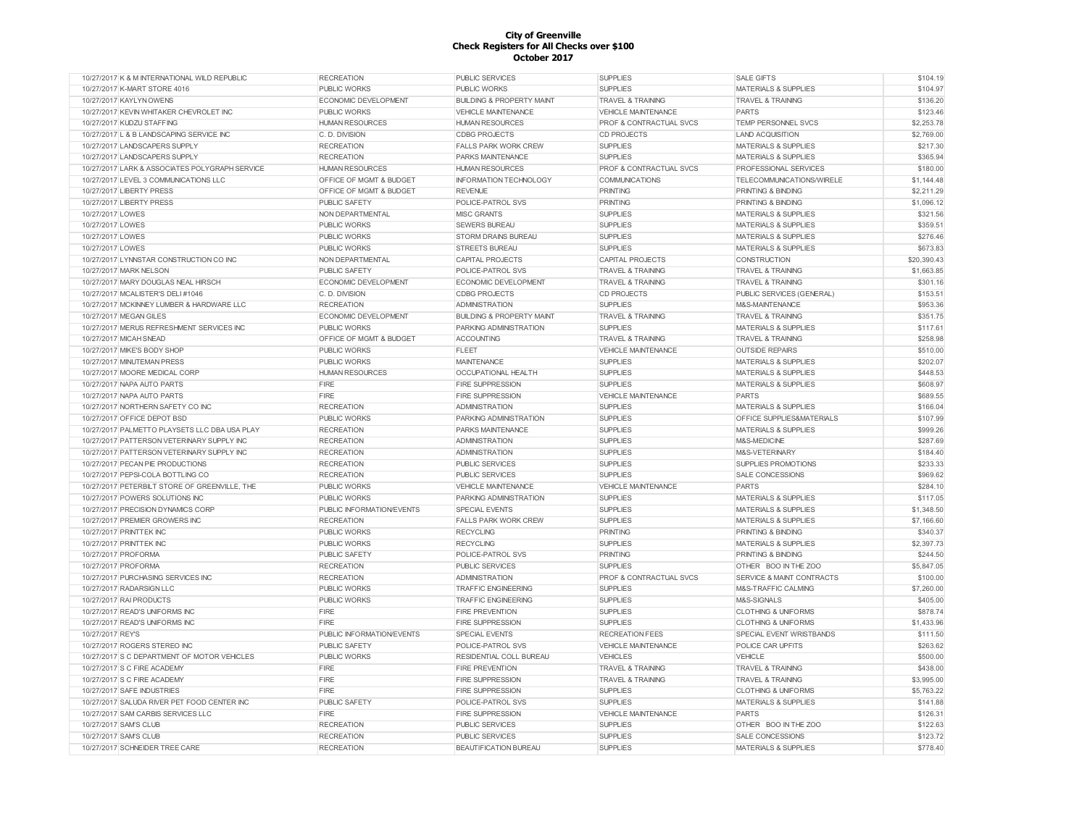| 10/27/2017 K & M INTERNATIONAL WILD REPUBLIC   | <b>RECREATION</b>           | PUBLIC SERVICES                      | <b>SUPPLIES</b>                    | <b>SALE GIFTS</b>                    | \$104.19    |
|------------------------------------------------|-----------------------------|--------------------------------------|------------------------------------|--------------------------------------|-------------|
| 10/27/2017 K-MART STORE 4016                   | <b>PUBLIC WORKS</b>         | <b>PUBLIC WORKS</b>                  | <b>SUPPLIES</b>                    | <b>MATERIALS &amp; SUPPLIES</b>      | \$104.97    |
| 10/27/2017 KAYLYN OWENS                        | ECONOMIC DEVELOPMENT        | <b>BUILDING &amp; PROPERTY MAINT</b> | <b>TRAVEL &amp; TRAINING</b>       | <b>TRAVEL &amp; TRAINING</b>         | \$136.20    |
| 10/27/2017 KEVIN WHITAKER CHEVROLET INC        | <b>PUBLIC WORKS</b>         | <b>VEHICLE MAINTENANCE</b>           | <b>VEHICLE MAINTENANCE</b>         | <b>PARTS</b>                         | \$123.46    |
| 10/27/2017 KUDZU STAFFING                      | <b>HUMAN RESOURCES</b>      | <b>HUMAN RESOURCES</b>               | <b>PROF &amp; CONTRACTUAL SVCS</b> | <b>TEMP PERSONNEL SVCS</b>           | \$2,253.78  |
| 10/27/2017 L & B LANDSCAPING SERVICE INC       | C. D. DIVISION              | <b>CDBG PROJECTS</b>                 | <b>CD PROJECTS</b>                 | <b>LAND ACQUISITION</b>              | \$2,769.00  |
| 10/27/2017 LANDSCAPERS SUPPLY                  | <b>RECREATION</b>           | <b>FALLS PARK WORK CREW</b>          | <b>SUPPLIES</b>                    | <b>MATERIALS &amp; SUPPLIES</b>      | \$217.30    |
| 10/27/2017 LANDSCAPERS SUPPLY                  | <b>RECREATION</b>           | PARKS MAINTENANCE                    | <b>SUPPLIES</b>                    | <b>MATERIALS &amp; SUPPLIES</b>      | \$365.94    |
| 10/27/2017 LARK & ASSOCIATES POLYGRAPH SERVICE | <b>HUMAN RESOURCES</b>      | <b>HUMAN RESOURCES</b>               | PROF & CONTRACTUAL SVCS            | PROFESSIONAL SERVICES                | \$180.00    |
| 10/27/2017 LEVEL 3 COMMUNICATIONS LLC          | OFFICE OF MGMT & BUDGET     | <b>INFORMATION TECHNOLOGY</b>        | <b>COMMUNICATIONS</b>              | TELECOMMUNICATIONS/WIRELE            | \$1,144.48  |
| 10/27/2017 LIBERTY PRESS                       | OFFICE OF MGMT & BUDGET     | <b>REVENUE</b>                       | PRINTING                           | PRINTING & BINDING                   | \$2,211.29  |
| 10/27/2017 LIBERTY PRESS                       | <b>PUBLIC SAFETY</b>        | POLICE-PATROL SVS                    | <b>PRINTING</b>                    | PRINTING & BINDING                   | \$1,096.12  |
| 10/27/2017 LOWES                               | NON DEPARTMENTAL            | MISC GRANTS                          | <b>SUPPLIES</b>                    | <b>MATERIALS &amp; SUPPLIES</b>      | \$321.56    |
| 10/27/2017 LOWES                               | <b>PUBLIC WORKS</b>         | <b>SEWERS BUREAU</b>                 | <b>SUPPLIES</b>                    | <b>MATERIALS &amp; SUPPLIES</b>      | \$359.51    |
| 10/27/2017 LOWES                               | <b>PUBLIC WORKS</b>         | <b>STORM DRAINS BUREAU</b>           | <b>SUPPLIES</b>                    | <b>MATERIALS &amp; SUPPLIES</b>      | \$276.46    |
| 10/27/2017 LOWES                               | <b>PUBLIC WORKS</b>         | <b>STREETS BUREAU</b>                | <b>SUPPLIES</b>                    | <b>MATERIALS &amp; SUPPLIES</b>      | \$673.83    |
| 10/27/2017 LYNNSTAR CONSTRUCTION CO INC        | NON DEPARTMENTAL            | <b>CAPITAL PROJECTS</b>              | <b>CAPITAL PROJECTS</b>            | <b>CONSTRUCTION</b>                  | \$20,390.43 |
| 10/27/2017 MARK NELSON                         | <b>PUBLIC SAFETY</b>        | POLICE-PATROL SVS                    | <b>TRAVEL &amp; TRAINING</b>       | <b>TRAVEL &amp; TRAINING</b>         | \$1,663.85  |
| 10/27/2017 MARY DOUGLAS NEAL HIRSCH            | ECONOMIC DEVELOPMENT        | ECONOMIC DEVELOPMENT                 | <b>TRAVEL &amp; TRAINING</b>       | <b>TRAVEL &amp; TRAINING</b>         | \$301.16    |
| 10/27/2017 MCALISTER'S DELI #1046              | C. D. DIVISION              | <b>CDBG PROJECTS</b>                 | <b>CD PROJECTS</b>                 | PUBLIC SERVICES (GENERAL)            | \$153.51    |
| 10/27/2017 MCKINNEY LUMBER & HARDWARE LLC      | <b>RECREATION</b>           | <b>ADMINISTRATION</b>                | <b>SUPPLIES</b>                    | M&S-MAINTENANCE                      | \$953.36    |
| 10/27/2017 MEGAN GILES                         | <b>ECONOMIC DEVELOPMENT</b> | <b>BUILDING &amp; PROPERTY MAINT</b> | <b>TRAVEL &amp; TRAINING</b>       | <b>TRAVEL &amp; TRAINING</b>         | \$351.75    |
| 10/27/2017 MERUS REFRESHMENT SERVICES INC      | PUBLIC WORKS                | PARKING ADMINISTRATION               | <b>SUPPLIES</b>                    | <b>MATERIALS &amp; SUPPLIES</b>      | \$117.61    |
| 10/27/2017 MICAH SNEAD                         | OFFICE OF MGMT & BUDGET     | <b>ACCOUNTING</b>                    | <b>TRAVEL &amp; TRAINING</b>       | <b>TRAVEL &amp; TRAINING</b>         | \$258.98    |
| 10/27/2017 MIKE'S BODY SHOP                    | PUBLIC WORKS                | <b>FLEET</b>                         | <b>VEHICLE MAINTENANCE</b>         | <b>OUTSIDE REPAIRS</b>               | \$510.00    |
|                                                |                             |                                      |                                    |                                      |             |
| 10/27/2017 MINUTEMAN PRESS                     | PUBLIC WORKS                | <b>MAINTENANCE</b>                   | <b>SUPPLIES</b>                    | MATERIALS & SUPPLIES                 | \$202.07    |
| 10/27/2017 MOORE MEDICAL CORP                  | <b>HUMAN RESOURCES</b>      | OCCUPATIONAL HEALTH                  | <b>SUPPLIES</b>                    | <b>MATERIALS &amp; SUPPLIES</b>      | \$448.53    |
| 10/27/2017 NAPA AUTO PARTS                     | <b>FIRE</b>                 | <b>FIRE SUPPRESSION</b>              | <b>SUPPLIES</b>                    | MATERIALS & SUPPLIES                 | \$608.97    |
| 10/27/2017 NAPA AUTO PARTS                     | <b>FIRE</b>                 | <b>FIRE SUPPRESSION</b>              | <b>VEHICLE MAINTENANCE</b>         | <b>PARTS</b>                         | \$689.55    |
| 10/27/2017 NORTHERN SAFETY CO INC              | <b>RECREATION</b>           | <b>ADMINISTRATION</b>                | <b>SUPPLIES</b>                    | <b>MATERIALS &amp; SUPPLIES</b>      | \$166.04    |
| 10/27/2017 OFFICE DEPOT BSD                    | <b>PUBLIC WORKS</b>         | PARKING ADMINISTRATION               | <b>SUPPLIES</b>                    | <b>OFFICE SUPPLIES&amp;MATERIALS</b> | \$107.99    |
| 10/27/2017 PALMETTO PLAYSETS LLC DBA USA PLAY  | <b>RECREATION</b>           | PARKS MAINTENANCE                    | <b>SUPPLIES</b>                    | <b>MATERIALS &amp; SUPPLIES</b>      | \$999.26    |
| 10/27/2017 PATTERSON VETERINARY SUPPLY INC     | <b>RECREATION</b>           | <b>ADMINISTRATION</b>                | <b>SUPPLIES</b>                    | M&S-MEDICINE                         | \$287.69    |
| 10/27/2017 PATTERSON VETERINARY SUPPLY INC     | <b>RECREATION</b>           | <b>ADMINISTRATION</b>                | <b>SUPPLIES</b>                    | M&S-VETERINARY                       | \$184.40    |
| 10/27/2017 PECAN PIE PRODUCTIONS               | <b>RECREATION</b>           | PUBLIC SERVICES                      | <b>SUPPLIES</b>                    | <b>SUPPLIES PROMOTIONS</b>           | \$233.33    |
| 10/27/2017 PEPSI-COLA BOTTLING CO              | <b>RECREATION</b>           | PUBLIC SERVICES                      | <b>SUPPLIES</b>                    | <b>SALE CONCESSIONS</b>              | \$969.62    |
| 10/27/2017 PETERBILT STORE OF GREENVILLE, THE  | <b>PUBLIC WORKS</b>         | <b>VEHICLE MAINTENANCE</b>           | <b>VEHICLE MAINTENANCE</b>         | PARTS                                | \$284.10    |
| 10/27/2017 POWERS SOLUTIONS INC                | <b>PUBLIC WORKS</b>         | PARKING ADMINISTRATION               | <b>SUPPLIES</b>                    | <b>MATERIALS &amp; SUPPLIES</b>      | \$117.05    |
| 10/27/2017 PRECISION DYNAMICS CORP             | PUBLIC INFORMATION/EVENTS   | SPECIAL EVENTS                       | <b>SUPPLIES</b>                    | <b>MATERIALS &amp; SUPPLIES</b>      | \$1,348.50  |
| 10/27/2017 PREMIER GROWERS INC                 | <b>RECREATION</b>           | <b>FALLS PARK WORK CREW</b>          | <b>SUPPLIES</b>                    | MATERIALS & SUPPLIES                 | \$7,166.60  |
| 10/27/2017 PRINTTEK INC                        | PUBLIC WORKS                | <b>RECYCLING</b>                     | <b>PRINTING</b>                    | PRINTING & BINDING                   | \$340.37    |
| 10/27/2017 PRINTTEK INC                        | PUBLIC WORKS                | <b>RECYCLING</b>                     | <b>SUPPLIES</b>                    | MATERIALS & SUPPLIES                 | \$2,397.73  |
| 10/27/2017 PROFORMA                            | PUBLIC SAFETY               | POLICE-PATROL SVS                    | <b>PRINTING</b>                    | PRINTING & BINDING                   | \$244.50    |
| 10/27/2017 PROFORMA                            | <b>RECREATION</b>           | PUBLIC SERVICES                      | <b>SUPPLIES</b>                    | OTHER BOO IN THE ZOO                 | \$5,847.05  |
| 10/27/2017 PURCHASING SERVICES INC             | <b>RECREATION</b>           | <b>ADMINISTRATION</b>                | PROF & CONTRACTUAL SVCS            | SERVICE & MAINT CONTRACTS            | \$100.00    |
| 10/27/2017 RADARSIGN LLC                       | <b>PUBLIC WORKS</b>         | <b>TRAFFIC ENGINEERING</b>           | <b>SUPPLIES</b>                    | M&S-TRAFFIC CALMING                  | \$7,260.00  |
| 10/27/2017 RAI PRODUCTS                        | PUBLIC WORKS                | <b>TRAFFIC ENGINEERING</b>           | <b>SUPPLIES</b>                    | M&S-SIGNALS                          | \$405.00    |
| 10/27/2017 READ'S UNIFORMS INC                 | <b>FIRE</b>                 | <b>FIRE PREVENTION</b>               | <b>SUPPLIES</b>                    | <b>CLOTHING &amp; UNIFORMS</b>       | \$878.74    |
| 10/27/2017 READ'S UNIFORMS INC                 | <b>FIRE</b>                 | <b>FIRE SUPPRESSION</b>              | <b>SUPPLIES</b>                    | <b>CLOTHING &amp; UNIFORMS</b>       | \$1,433.96  |
| 10/27/2017 REY'S                               | PUBLIC INFORMATION/EVENTS   | SPECIAL EVENTS                       | <b>RECREATION FEES</b>             | <b>SPECIAL EVENT WRISTBANDS</b>      | \$111.50    |
| 10/27/2017 ROGERS STEREO INC                   | PUBLIC SAFETY               | POLICE-PATROL SVS                    | VEHICLE MAINTENANCE                | POLICE CAR UPFITS                    | \$263.62    |
| 10/27/2017 S C DEPARTMENT OF MOTOR VEHICLES    | PUBLIC WORKS                | RESIDENTIAL COLL BUREAU              | <b>VEHICLES</b>                    | VEHICLE                              | \$500.00    |
| 10/27/2017 S C FIRE ACADEMY                    | <b>FIRE</b>                 | <b>FIRE PREVENTION</b>               | <b>TRAVEL &amp; TRAINING</b>       | <b>TRAVEL &amp; TRAINING</b>         | \$438.00    |
| 10/27/2017 S C FIRE ACADEMY                    | <b>FIRE</b>                 | <b>FIRE SUPPRESSION</b>              | <b>TRAVEL &amp; TRAINING</b>       | <b>TRAVEL &amp; TRAINING</b>         | \$3,995.00  |
| 10/27/2017 SAFE INDUSTRIES                     | <b>FIRE</b>                 | FIRE SUPPRESSION                     | <b>SUPPLIES</b>                    | <b>CLOTHING &amp; UNIFORMS</b>       | \$5,763.22  |
| 10/27/2017 SALUDA RIVER PET FOOD CENTER INC    | PUBLIC SAFETY               | POLICE-PATROL SVS                    | <b>SUPPLIES</b>                    | MATERIALS & SUPPLIES                 | \$141.88    |
| 10/27/2017 SAM CARBIS SERVICES LLC             | <b>FIRE</b>                 | <b>FIRE SUPPRESSION</b>              | VEHICLE MAINTENANCE                | <b>PARTS</b>                         | \$126.31    |
| 10/27/2017 SAM'S CLUB                          | <b>RECREATION</b>           | PUBLIC SERVICES                      | <b>SUPPLIES</b>                    | OTHER BOO IN THE ZOO                 | \$122.63    |
| 10/27/2017 SAM'S CLUB                          | <b>RECREATION</b>           | PUBLIC SERVICES                      | <b>SUPPLIES</b>                    | <b>SALE CONCESSIONS</b>              | \$123.72    |
| 10/27/2017 SCHNEIDER TREE CARE                 | <b>RECREATION</b>           | BEAUTIFICATION BUREAU                | <b>SUPPLIES</b>                    | <b>MATERIALS &amp; SUPPLIES</b>      | \$778.40    |
|                                                |                             |                                      |                                    |                                      |             |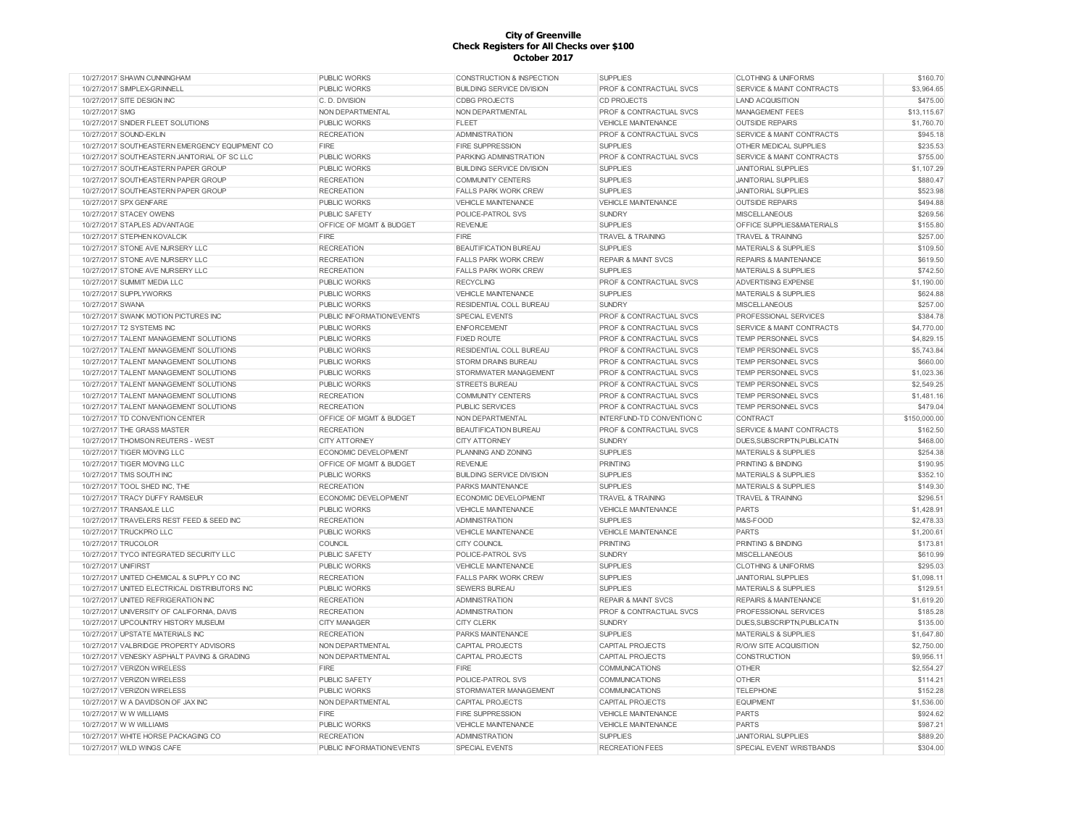| 10/27/2017 SHAWN CUNNINGHAM                                                           | <b>PUBLIC WORKS</b>                            | CONSTRUCTION & INSPECTION               | <b>SUPPLIES</b>                           | <b>CLOTHING &amp; UNIFORMS</b>                         | \$160.70             |
|---------------------------------------------------------------------------------------|------------------------------------------------|-----------------------------------------|-------------------------------------------|--------------------------------------------------------|----------------------|
| 10/27/2017 SIMPLEX-GRINNELL                                                           | <b>PUBLIC WORKS</b>                            | <b>BUILDING SERVICE DIVISION</b>        | PROF & CONTRACTUAL SVCS                   | <b>SERVICE &amp; MAINT CONTRACTS</b>                   | \$3,964.65           |
| 10/27/2017 SITE DESIGN INC                                                            | C. D. DIVISION                                 | <b>CDBG PROJECTS</b>                    | CD PROJECTS                               | <b>LAND ACQUISITION</b>                                | \$475.00             |
| 10/27/2017 SMG                                                                        | NON DEPARTMENTAL                               | NON DEPARTMENTAL                        | PROF & CONTRACTUAL SVCS                   | <b>MANAGEMENT FEES</b>                                 | \$13,115.67          |
| 10/27/2017 SNIDER FLEET SOLUTIONS                                                     | <b>PUBLIC WORKS</b>                            | <b>FLEET</b>                            | <b>VEHICLE MAINTENANCE</b>                | <b>OUTSIDE REPAIRS</b>                                 | \$1,760.70           |
| 10/27/2017 SOUND-EKLIN                                                                | <b>RECREATION</b>                              | <b>ADMINISTRATION</b>                   | PROF & CONTRACTUAL SVCS                   | <b>SERVICE &amp; MAINT CONTRACTS</b>                   | \$945.18             |
| 10/27/2017 SOUTHEASTERN EMERGENCY EQUIPMENT CO                                        | FIRE                                           | <b>FIRE SUPPRESSION</b>                 | <b>SUPPLIES</b>                           | OTHER MEDICAL SUPPLIES                                 | \$235.53             |
| 10/27/2017 SOUTHEASTERN JANITORIAL OF SC LLC                                          | <b>PUBLIC WORKS</b>                            | PARKING ADMINISTRATION                  | PROF & CONTRACTUAL SVCS                   | SERVICE & MAINT CONTRACTS                              | \$755.00             |
| 10/27/2017 SOUTHEASTERN PAPER GROUP                                                   | <b>PUBLIC WORKS</b>                            | <b>BUILDING SERVICE DIVISION</b>        | <b>SUPPLIES</b>                           | <b>JANITORIAL SUPPLIES</b>                             | \$1,107.29           |
| 10/27/2017 SOUTHEASTERN PAPER GROUP                                                   | <b>RECREATION</b>                              | <b>COMMUNITY CENTERS</b>                | <b>SUPPLIES</b>                           | <b>JANITORIAL SUPPLIES</b>                             | \$880.47             |
| 10/27/2017 SOUTHEASTERN PAPER GROUP                                                   | <b>RECREATION</b>                              | <b>FALLS PARK WORK CREW</b>             | <b>SUPPLIES</b>                           | <b>JANITORIAL SUPPLIES</b>                             | \$523.98             |
| 10/27/2017 SPX GENFARE                                                                | <b>PUBLIC WORKS</b>                            | <b>VEHICLE MAINTENANCE</b>              | <b>VEHICLE MAINTENANCE</b>                | <b>OUTSIDE REPAIRS</b>                                 | \$494.88             |
| 10/27/2017 STACEY OWENS                                                               | <b>PUBLIC SAFETY</b>                           | POLICE-PATROL SVS                       | <b>SUNDRY</b>                             | <b>MISCELLANEOUS</b>                                   | \$269.56             |
| 10/27/2017 STAPLES ADVANTAGE                                                          | OFFICE OF MGMT & BUDGET                        | <b>REVENUE</b>                          | <b>SUPPLIES</b>                           | <b>OFFICE SUPPLIES&amp;MATERIALS</b>                   | \$155.80             |
| 10/27/2017 STEPHEN KOVALCIK                                                           | FIRE                                           | <b>FIRE</b>                             | <b>TRAVEL &amp; TRAINING</b>              | <b>TRAVEL &amp; TRAINING</b>                           | \$257.00             |
| 10/27/2017 STONE AVE NURSERY LLC                                                      | <b>RECREATION</b>                              | <b>BEAUTIFICATION BUREAU</b>            | <b>SUPPLIES</b>                           | <b>MATERIALS &amp; SUPPLIES</b>                        | \$109.50             |
| 10/27/2017 STONE AVE NURSERY LLC                                                      | <b>RECREATION</b>                              | <b>FALLS PARK WORK CREW</b>             | <b>REPAIR &amp; MAINT SVCS</b>            | <b>REPAIRS &amp; MAINTENANCE</b>                       | \$619.50             |
| 10/27/2017 STONE AVE NURSERY LLC                                                      | <b>RECREATION</b>                              | <b>FALLS PARK WORK CREW</b>             | <b>SUPPLIES</b>                           | <b>MATERIALS &amp; SUPPLIES</b>                        | \$742.50             |
| 10/27/2017 SUMMIT MEDIA LLC                                                           | <b>PUBLIC WORKS</b>                            | <b>RECYCLING</b>                        | PROF & CONTRACTUAL SVCS                   | ADVERTISING EXPENSE                                    | \$1,190.00           |
| 10/27/2017 SUPPLYWORKS                                                                | <b>PUBLIC WORKS</b>                            | <b>VEHICLE MAINTENANCE</b>              | <b>SUPPLIES</b>                           | <b>MATERIALS &amp; SUPPLIES</b>                        | \$624.88             |
|                                                                                       |                                                |                                         |                                           |                                                        |                      |
| 10/27/2017 SWANA                                                                      | <b>PUBLIC WORKS</b>                            | RESIDENTIAL COLL BUREAU                 | <b>SUNDRY</b>                             | <b>MISCELLANEOUS</b>                                   | \$257.00             |
| 10/27/2017 SWANK MOTION PICTURES INC                                                  | PUBLIC INFORMATION/EVENTS                      | SPECIAL EVENTS                          | PROF & CONTRACTUAL SVCS                   | PROFESSIONAL SERVICES                                  | \$384.78             |
| 10/27/2017 T2 SYSTEMS INC                                                             | <b>PUBLIC WORKS</b>                            | <b>ENFORCEMENT</b>                      | PROF & CONTRACTUAL SVCS                   | SERVICE & MAINT CONTRACTS                              | \$4,770.00           |
| 10/27/2017 TALENT MANAGEMENT SOLUTIONS                                                | <b>PUBLIC WORKS</b>                            | <b>FIXED ROUTE</b>                      | PROF & CONTRACTUAL SVCS                   | TEMP PERSONNEL SVCS                                    | \$4,829.15           |
| 10/27/2017 TALENT MANAGEMENT SOLUTIONS                                                | <b>PUBLIC WORKS</b>                            | RESIDENTIAL COLL BUREAU                 | PROF & CONTRACTUAL SVCS                   | TEMP PERSONNEL SVCS                                    | \$5,743.84           |
| 10/27/2017 TALENT MANAGEMENT SOLUTIONS                                                | <b>PUBLIC WORKS</b>                            | <b>STORM DRAINS BUREAU</b>              | PROF & CONTRACTUAL SVCS                   | TEMP PERSONNEL SVCS                                    | \$660.00             |
| 10/27/2017 TALENT MANAGEMENT SOLUTIONS                                                | <b>PUBLIC WORKS</b>                            | STORMWATER MANAGEMENT                   | <b>PROF &amp; CONTRACTUAL SVCS</b>        | <b>TEMP PERSONNEL SVCS</b>                             | \$1,023.36           |
| 10/27/2017 TALENT MANAGEMENT SOLUTIONS                                                | <b>PUBLIC WORKS</b>                            | <b>STREETS BUREAU</b>                   | <b>PROF &amp; CONTRACTUAL SVCS</b>        | TEMP PERSONNEL SVCS                                    | \$2,549.25           |
| 10/27/2017 TALENT MANAGEMENT SOLUTIONS                                                | <b>RECREATION</b>                              | <b>COMMUNITY CENTERS</b>                | PROF & CONTRACTUAL SVCS                   | <b>TEMP PERSONNEL SVCS</b>                             | \$1,481.16           |
| 10/27/2017 TALENT MANAGEMENT SOLUTIONS                                                | <b>RECREATION</b>                              | PUBLIC SERVICES                         | <b>PROF &amp; CONTRACTUAL SVCS</b>        | TEMP PERSONNEL SVCS                                    | \$479.04             |
|                                                                                       |                                                |                                         |                                           |                                                        |                      |
| 10/27/2017 TD CONVENTION CENTER                                                       | OFFICE OF MGMT & BUDGET                        | NON DEPARTMENTAL                        | INTERFUND-TD CONVENTION C                 | CONTRACT                                               | \$150,000.00         |
| 10/27/2017 THE GRASS MASTER                                                           | <b>RECREATION</b>                              | <b>BEAUTIFICATION BUREAU</b>            | PROF & CONTRACTUAL SVCS                   | <b>SERVICE &amp; MAINT CONTRACTS</b>                   | \$162.50             |
| 10/27/2017 THOMSON REUTERS - WEST                                                     | <b>CITY ATTORNEY</b>                           | <b>CITY ATTORNEY</b>                    | <b>SUNDRY</b>                             | DUES.SUBSCRIPTN.PUBLICATN                              | \$468.00             |
| 10/27/2017 TIGER MOVING LLC                                                           | <b>ECONOMIC DEVELOPMENT</b>                    | PLANNING AND ZONING                     | <b>SUPPLIES</b>                           | <b>MATERIALS &amp; SUPPLIES</b>                        | \$254.38             |
| 10/27/2017 TIGER MOVING LLC                                                           | OFFICE OF MGMT & BUDGET                        | <b>REVENUE</b>                          | <b>PRINTING</b>                           | <b>PRINTING &amp; BINDING</b>                          | \$190.95             |
| 10/27/2017 TMS SOUTH INC                                                              | <b>PUBLIC WORKS</b>                            | <b>BUILDING SERVICE DIVISION</b>        | <b>SUPPLIES</b>                           | <b>MATERIALS &amp; SUPPLIES</b>                        | \$352.10             |
| 10/27/2017 TOOL SHED INC. THE                                                         | <b>RECREATION</b>                              | <b>PARKS MAINTENANCE</b>                | <b>SUPPLIES</b>                           | <b>MATERIALS &amp; SUPPLIES</b>                        | \$149.30             |
| 10/27/2017 TRACY DUFFY RAMSEUR                                                        | ECONOMIC DEVELOPMENT                           | ECONOMIC DEVELOPMENT                    | <b>TRAVEL &amp; TRAINING</b>              | <b>TRAVEL &amp; TRAINING</b>                           | \$296.51             |
| 10/27/2017 TRANSAXLE LLC                                                              | <b>PUBLIC WORKS</b>                            | <b>VEHICLE MAINTENANCE</b>              | <b>VEHICLE MAINTENANCE</b>                | <b>PARTS</b>                                           | \$1,428.91           |
| 10/27/2017 TRAVELERS REST FEED & SEED INC                                             | <b>RECREATION</b>                              | <b>ADMINISTRATION</b>                   | <b>SUPPLIES</b>                           | M&S-FOOD                                               | \$2,478.33           |
| 10/27/2017 TRUCKPRO LLC                                                               | <b>PUBLIC WORKS</b>                            | <b>VEHICLE MAINTENANCE</b>              | <b>VEHICLE MAINTENANCE</b>                | <b>PARTS</b>                                           | \$1,200.61           |
| 10/27/2017 TRUCOLOR                                                                   | COUNCIL                                        | <b>CITY COUNCIL</b>                     | <b>PRINTING</b>                           | PRINTING & BINDING                                     | \$173.81             |
| 10/27/2017 TYCO INTEGRATED SECURITY LLC                                               | <b>PUBLIC SAFETY</b>                           | POLICE-PATROL SVS                       | <b>SUNDRY</b>                             | <b>MISCELLANEOUS</b>                                   | \$610.99             |
| 10/27/2017 UNIFIRST                                                                   |                                                | <b>VEHICLE MAINTENANCE</b>              |                                           | <b>CLOTHING &amp; UNIFORMS</b>                         |                      |
| 10/27/2017 UNITED CHEMICAL & SUPPLY CO INC                                            | PUBLIC WORKS<br><b>RECREATION</b>              |                                         | <b>SUPPLIES</b><br><b>SUPPLIES</b>        |                                                        | \$295.03             |
|                                                                                       |                                                | <b>FALLS PARK WORK CREW</b>             |                                           | <b>JANITORIAL SUPPLIES</b>                             | \$1,098.11           |
| 10/27/2017 UNITED ELECTRICAL DISTRIBUTORS INC<br>10/27/2017 UNITED REFRIGERATION INC. | <b>PUBLIC WORKS</b>                            | SEWERS BUREAU                           | <b>SUPPLIES</b>                           | <b>MATERIALS &amp; SUPPLIES</b>                        | \$129.51             |
|                                                                                       | <b>RECREATION</b>                              | <b>ADMINISTRATION</b>                   | <b>REPAIR &amp; MAINT SVCS</b>            | <b>REPAIRS &amp; MAINTENANCE</b>                       | \$1,619.20           |
| 10/27/2017 UNIVERSITY OF CALIFORNIA, DAVIS                                            | <b>RECREATION</b>                              | <b>ADMINISTRATION</b>                   | PROF & CONTRACTUAL SVCS                   | PROFESSIONAL SERVICES                                  | \$185.28             |
| 10/27/2017 UPCOUNTRY HISTORY MUSEUM                                                   | <b>CITY MANAGER</b>                            | <b>CITY CLERK</b>                       | <b>SUNDRY</b>                             | DUES, SUBSCRIPTN, PUBLICATN                            | \$135.00             |
| 10/27/2017 UPSTATE MATERIALS INC                                                      | <b>RECREATION</b>                              | PARKS MAINTENANCE                       | <b>SUPPLIES</b>                           | MATERIALS & SUPPLIES                                   | \$1,647.80           |
| 10/27/2017 VALBRIDGE PROPERTY ADVISORS                                                | NON DEPARTMENTAL                               | <b>CAPITAL PROJECTS</b>                 | CAPITAL PROJECTS                          | R/O/W SITE ACQUISITION                                 | \$2,750.00           |
| 10/27/2017 VENESKY ASPHALT PAVING & GRADING                                           | NON DEPARTMENTAL                               | CAPITAL PROJECTS                        | <b>CAPITAL PROJECTS</b>                   | CONSTRUCTION                                           | \$9,956.11           |
| 10/27/2017 VERIZON WIRELESS                                                           | FIRE                                           | <b>FIRE</b>                             | <b>COMMUNICATIONS</b>                     | <b>OTHER</b>                                           | \$2,554.27           |
| 10/27/2017 VERIZON WIRELESS                                                           | PUBLIC SAFETY                                  | POLICE-PATROL SVS                       | <b>COMMUNICATIONS</b>                     | OTHER                                                  | \$114.21             |
| 10/27/2017 VERIZON WIRELESS                                                           | <b>PUBLIC WORKS</b>                            | STORMWATER MANAGEMENT                   | <b>COMMUNICATIONS</b>                     | <b>TELEPHONE</b>                                       | \$152.28             |
| 10/27/2017 W A DAVIDSON OF JAX INC                                                    | NON DEPARTMENTAL                               | <b>CAPITAL PROJECTS</b>                 | <b>CAPITAL PROJECTS</b>                   | <b>EQUIPMENT</b>                                       | \$1,536.00           |
| 10/27/2017 W W WILLIAMS                                                               | FIRE                                           | <b>FIRE SUPPRESSION</b>                 | <b>VEHICLE MAINTENANCE</b>                | <b>PARTS</b>                                           | \$924.62             |
| 10/27/2017 W W WILLIAMS                                                               | PUBLIC WORKS                                   | <b>VEHICLE MAINTENANCE</b>              | <b>VEHICLE MAINTENANCE</b>                | <b>PARTS</b>                                           | \$987.21             |
| 10/27/2017 WHITE HORSE PACKAGING CO<br>10/27/2017 WILD WINGS CAFE                     | <b>RECREATION</b><br>PUBLIC INFORMATION/EVENTS | <b>ADMINISTRATION</b><br>SPECIAL EVENTS | <b>SUPPLIES</b><br><b>RECREATION FEES</b> | <b>JANITORIAL SUPPLIES</b><br>SPECIAL EVENT WRISTBANDS | \$889.20<br>\$304.00 |